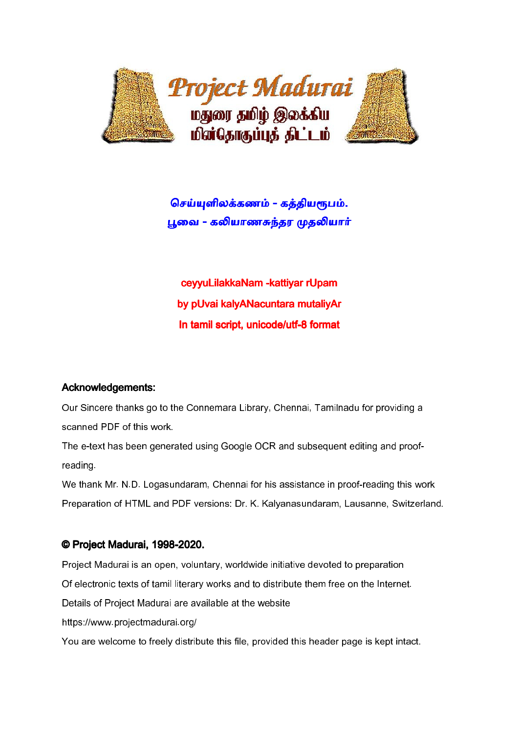

# செய்யுளிலக்கணம் - கத்தியரூபம். பூவை - கலியாணசுந்தர முதலியார்

ceyyuLilakkaNam -kattiyar rUpam by pUvai kalyANacuntara mutaliyAr In tamil script, unicode/utf-8 format

## Acknowledgements: Acknowledgements:

Our Sincere thanks go to the Connemara Library, Chennai, Tamilnadu for providing a scanned PDF of this work.

The e-text has been generated using Google OCR and subsequent editing and proofreading.

We thank Mr. N.D. Logasundaram, Chennai for his assistance in proof-reading this work Preparation of HTML and PDF versions: Dr. K. Kalyanasundaram, Lausanne, Switzerland.

## © Project Madurai, 1998-2020.

Project Madurai is an open, voluntary, worldwide initiative devoted to preparation

Of electronic texts of tamil literary works and to distribute them free on the Internet.

Details of Project Madurai are available at the website

https://www.projectmadurai.org/

You are welcome to freely distribute this file, provided this header page is kept intact.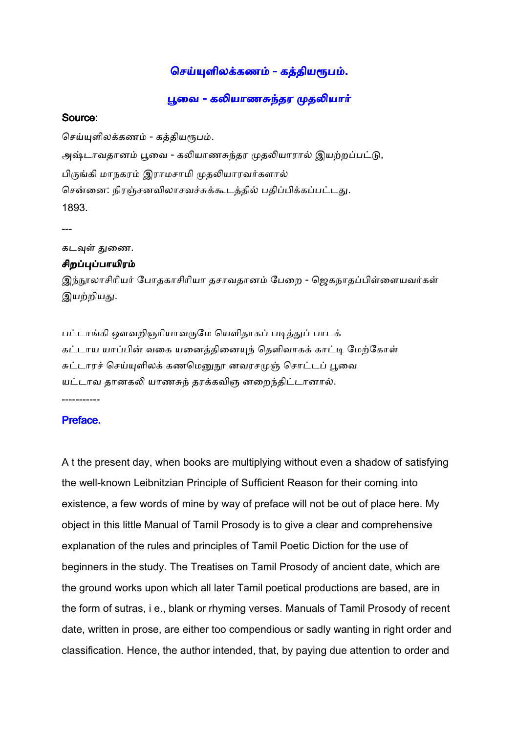## செய்யுளிலக்கணம் - கத்தியரூபம்.

பூவை - கலியாணசுந்தர முதலியார்

#### Source: Source:

செய்யுளிலக்கணம் - கத்தியரூபம். அஷ்டாவதானம் பூவை - கலியாணசுந்தர முதலியாரால் இயற்றப்பட்டு, பிருங்கி மாநகரம் இராமசாமி முதலியாரவர்களால் சென்னை: நிரஞ்சனவிலாசவச்சுக்கூடத்தில் பதிப்பிக்கப்பட்டது. 1893.

---

கடவுள் துணை.

### சிறப்புப்பாயிரம்

இந்நூலாசிரியர் போதகாசிரியா தசாவதானம் பேறை - ஜெகநாதப்பிள்ளையவர்கள் இயற்றியது.

பட்டாங்கி ஔவறிஞரியாவருமே யெளிதாகப் படித்துப் பாடக் கட்டாய யாப்பின் வகை யனைத்தினையுந் தெளிவாகக் காட்டி மேற்கோள் சுட்டாரச் செய்யுளிலக் கணமெனுநூ னவரசமுஞ் சொட்டப் பூவை யட்டாவ தானகலி யாணசுந் தரக்கவிஞ னறைந்திட்டானால்.

-----------

## Preface.

A t the present day, when books are multiplying without even a shadow of satisfying the well-known Leibnitzian Principle of Sufficient Reason for their coming into existence, a few words of mine by way of preface will not be out of place here. My object in this little Manual of Tamil Prosody is to give a clear and comprehensive explanation of the rules and principles of Tamil Poetic Diction for the use of beginners in the study. The Treatises on Tamil Prosody of ancient date, which are the ground works upon which all later Tamil poetical productions are based, are in the form of sutras, i e., blank or rhyming verses. Manuals of Tamil Prosody of recent date, written in prose, are either too compendious or sadly wanting in right order and classification. Hence, the author intended, that, by paying due attention to order and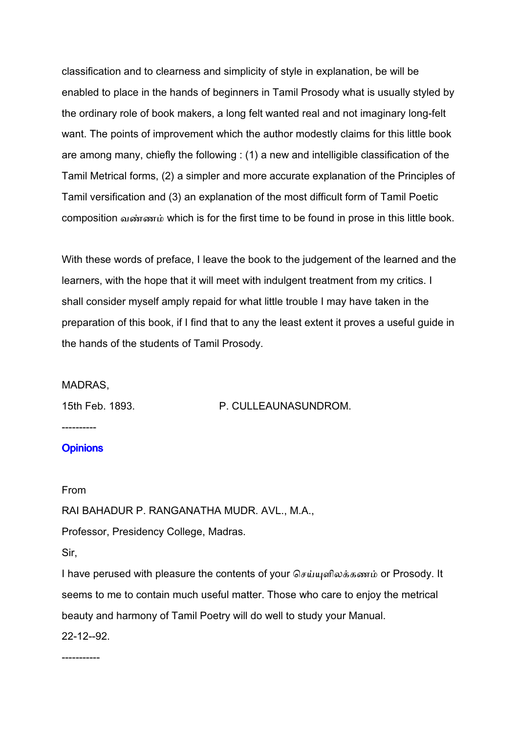classification and to clearness and simplicity of style in explanation, be will be enabled to place in the hands of beginners in Tamil Prosody what is usually styled by the ordinary role of book makers, a long felt wanted real and not imaginary long-felt want. The points of improvement which the author modestly claims for this little book are among many, chiefly the following : (1) a new and intelligible classification of the Tamil Metrical forms, (2) a simpler and more accurate explanation of the Principles of Tamil versification and (3) an explanation of the most difficult form of Tamil Poetic composition வண்ணம் which is for the first time to be found in prose in this little book.

With these words of preface, I leave the book to the judgement of the learned and the learners, with the hope that it will meet with indulgent treatment from my critics. I shall consider myself amply repaid for what little trouble I may have taken in the preparation of this book, if I find that to any the least extent it proves a useful guide in the hands of the students of Tamil Prosody.

### MADRAS,

15th Feb. 1893. P. CULLEAUNASUNDROM.

---------- **Opinions** 

From

RAI BAHADUR P. RANGANATHA MUDR. AVL., M.A.,

Professor, Presidency College, Madras.

Sir,

I have perused with pleasure the contents of your செய்யுளிலக்கணம் or Prosody. It seems to me to contain much useful matter. Those who care to enjoy the metrical beauty and harmony of Tamil Poetry will do well to study your Manual.

22-12--92.

-----------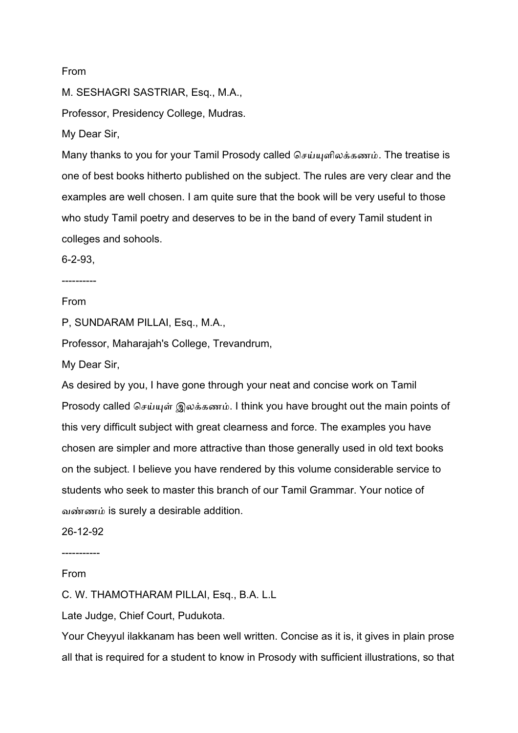#### From

M. SESHAGRI SASTRIAR, Esq., M.A.,

Professor, Presidency College, Mudras.

My Dear Sir,

Many thanks to you for your Tamil Prosody called செய்யுளிலக்கணம். The treatise is one of best books hitherto published on the subject. The rules are very clear and the examples are well chosen. I am quite sure that the book will be very useful to those who study Tamil poetry and deserves to be in the band of every Tamil student in colleges and sohools.

6-2-93,

----------

## From

P, SUNDARAM PILLAI, Esq., M.A.,

Professor, Maharajah's College, Trevandrum,

My Dear Sir,

As desired by you, I have gone through your neat and concise work on Tamil Prosody called செய்யுள் இலக்கணம். I think you have brought out the main points of this very difficult subject with great clearness and force. The examples you have chosen are simpler and more attractive than those generally used in old text books on the subject. I believe you have rendered by this volume considerable service to students who seek to master this branch of our Tamil Grammar. Your notice of வண்ணம் is surely a desirable addition.

26-12-92

-----------

From

C. W. THAMOTHARAM PILLAI, Esq., B.A. L.L

Late Judge, Chief Court, Pudukota.

Your Cheyyul ilakkanam has been well written. Concise as it is, it gives in plain prose all that is required for a student to know in Prosody with sufficient illustrations, so that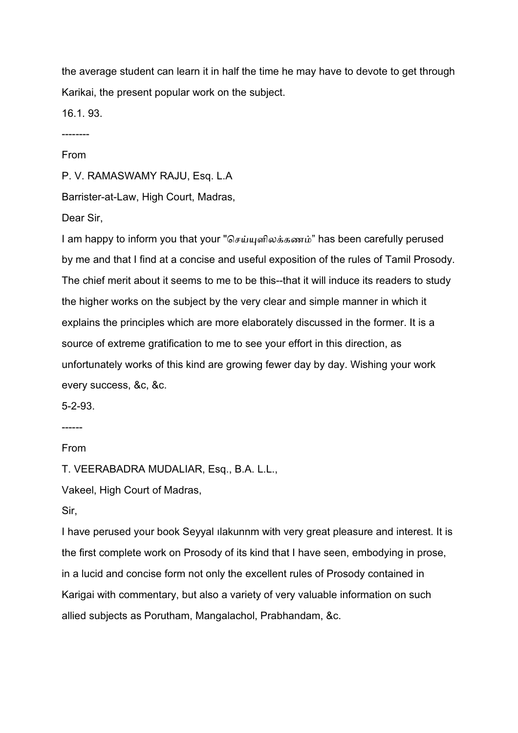the average student can learn it in half the time he may have to devote to get through Karikai, the present popular work on the subject.

16.1. 93.

--------

#### From

P. V. RAMASWAMY RAJU, Esq. L.A

Barrister-at-Law, High Court, Madras,

Dear Sir,

I am happy to inform you that your "செய்யுளிலக்கணம்" has been carefully perused by me and that I find at a concise and useful exposition of the rules of Tamil Prosody. The chief merit about it seems to me to be this--that it will induce its readers to study the higher works on the subject by the very clear and simple manner in which it explains the principles which are more elaborately discussed in the former. It is a source of extreme gratification to me to see your effort in this direction, as unfortunately works of this kind are growing fewer day by day. Wishing your work every success, &c, &c.

5-2-93.

------

From

T. VEERABADRA MUDALIAR, Esq., B.A. L.L.,

Vakeel, High Court of Madras,

Sir,

I have perused your book Seyyal ılakunnm with very great pleasure and interest. It is the first complete work on Prosody of its kind that I have seen, embodying in prose, in a lucid and concise form not only the excellent rules of Prosody contained in Karigai with commentary, but also a variety of very valuable information on such allied subjects as Porutham, Mangalachol, Prabhandam, &c.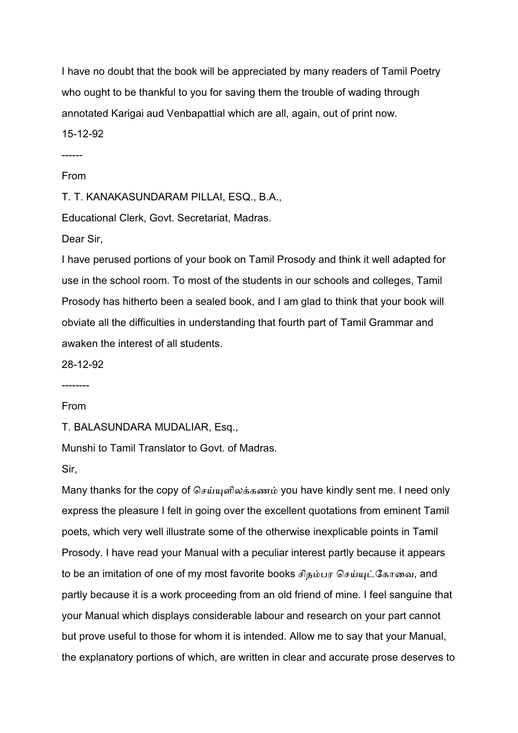I have no doubt that the book will be appreciated by many readers of Tamil Poetry who ought to be thankful to you for saving them the trouble of wading through annotated Karigai aud Venbapattial which are all, again, out of print now. 15-12-92

------

#### From

T. T. KANAKASUNDARAM PILLAI, ESQ., B.A.,

Educational Clerk, Govt. Secretariat, Madras.

Dear Sir,

I have perused portions of your book on Tamil Prosody and think it well adapted for use in the school room. To most of the students in our schools and colleges, Tamil Prosody has hitherto been a sealed book, and I am glad to think that your book will obviate all the difficulties in understanding that fourth part of Tamil Grammar and awaken the interest of all students.

28-12-92

--------

#### From

T. BALASUNDARA MUDALIAR, Esq.,

Munshi to Tamil Translator to Govt. of Madras.

Sir,

Many thanks for the copy of செய்யுளிலக்கணம் you have kindly sent me. I need only express the pleasure I felt in going over the excellent quotations from eminent Tamil poets, which very well illustrate some of the otherwise inexplicable points in Tamil Prosody. I have read your Manual with a peculiar interest partly because it appears to be an imitation of one of my most favorite books சிதம்பர செய்யுட்கோவை, and partly because it is a work proceeding from an old friend of mine. I feel sanguine that your Manual which displays considerable labour and research on your part cannot but prove useful to those for whom it is intended. Allow me to say that your Manual, the explanatory portions of which, are written in clear and accurate prose deserves to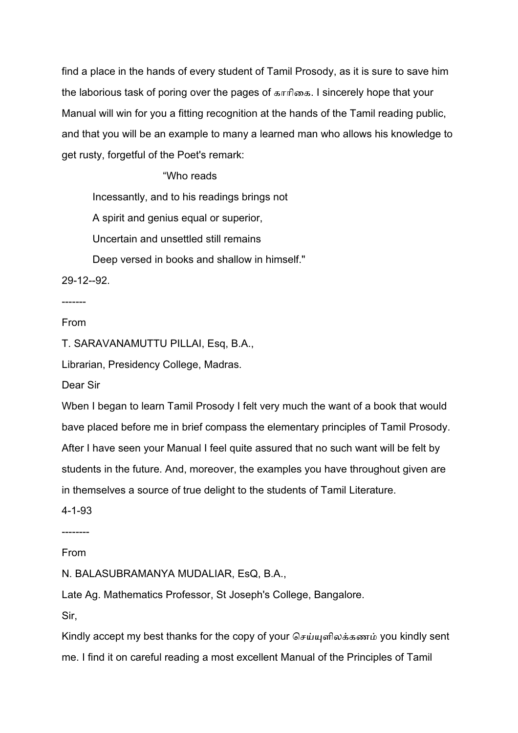find a place in the hands of every student of Tamil Prosody, as it is sure to save him the laborious task of poring over the pages of காாிைக. I sincerely hope that your Manual will win for you a fitting recognition at the hands of the Tamil reading public, and that you will be an example to many a learned man who allows his knowledge to get rusty, forgetful of the Poet's remark:

### "Who reads

Incessantly, and to his readings brings not

A spirit and genius equal or superior,

Uncertain and unsettled still remains

Deep versed in books and shallow in himself."

29-12--92.

## -------

### From

T. SARAVANAMUTTU PILLAI, Esq, B.A.,

Librarian, Presidency College, Madras.

Dear Sir

Wben I began to learn Tamil Prosody I felt very much the want of a book that would bave placed before me in brief compass the elementary principles of Tamil Prosody. After I have seen your Manual I feel quite assured that no such want will be felt by students in the future. And, moreover, the examples you have throughout given are in themselves a source of true delight to the students of Tamil Literature.

4-1-93

--------

From

N. BALASUBRAMANYA MUDALIAR, EsQ, B.A.,

Late Ag. Mathematics Professor, St Joseph's College, Bangalore.

Sir,

Kindly accept my best thanks for the copy of your செய்யுளிலக்கணம் you kindly sent me. I find it on careful reading a most excellent Manual of the Principles of Tamil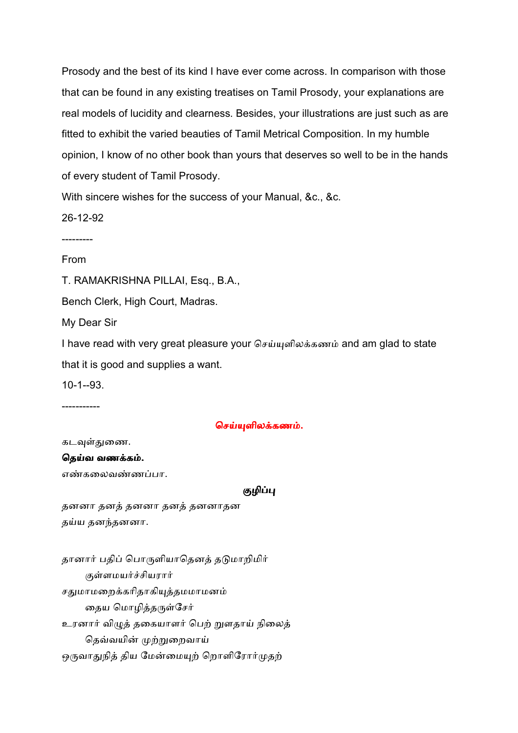Prosody and the best of its kind I have ever come across. In comparison with those that can be found in any existing treatises on Tamil Prosody, your explanations are real models of lucidity and clearness. Besides, your illustrations are just such as are fitted to exhibit the varied beauties of Tamil Metrical Composition. In my humble opinion, I know of no other book than yours that deserves so well to be in the hands of every student of Tamil Prosody.

With sincere wishes for the success of your Manual, &c., &c.

26-12-92

---------

From

T. RAMAKRISHNA PILLAI, Esq., B.A.,

Bench Clerk, High Court, Madras.

My Dear Sir

I have read with very great pleasure your செய்யுளிலக்கணம் and am glad to state that it is good and supplies a want.

10-1--93.

-----------

### செய்யுளிலக்கணம்.

கடவுள்துணை.

#### தெய்வ வணக்கம்.

எண்கலைவண்ணப்பா.

#### குழிப்பு

தனனா தன
 தனனா தன
 தனனாதன தய்ய தனந்தனனா.

தானார் பதிப் பொருளியாதெனத் தடுமாறிமிர் குள்ளமயர்ச்சியரார் சதுமாமறைக்கரிதாகியுத்தமமாமனம் தைய மொழித்தருள்சேர் உரனார் விழுத் தகையாளர் பெற் றுளதாய் நிலைத் தெவ்வயின் முற்றுறைவாய் ஒருவாதுநித் திய மேன்மையுற் றொளிரோர்முதற்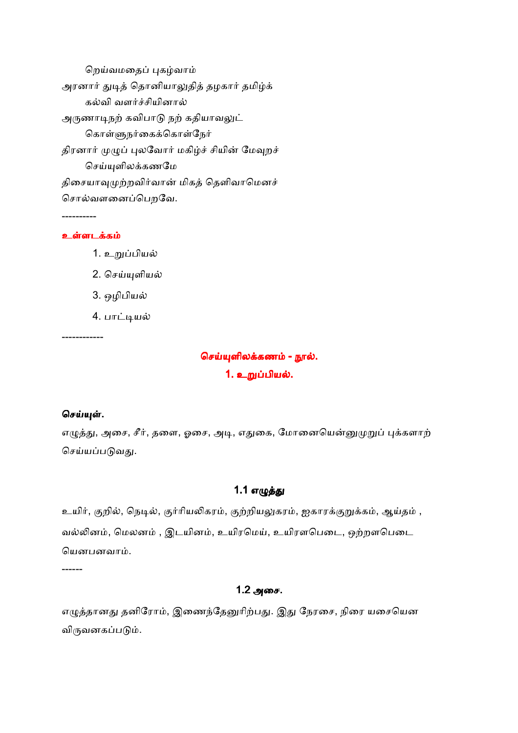றெய்வமதைப் புகழ்வாம் அரனார் துடித் தொனியாலுதித் தழகார் தமிழ்க் கல்வி வளர்ச்சியினால் அருணாடிநற் கவிபாடு நற் கதியாவலுட் கொள்ளுநர்கைக்கொள்நேர் திரனார் முழுப் புலவோர் மகிழ்ச் சியின் மேவுறச் செய்யுளிலக்கணமே திசையாவுமுற்றவிர்வான் மிகத் தெளிவாமெனச் சொல்வளனைப்பெறவே.

#### உள்ளடக்கம்

----------

- 1. உறுப்பியல் 2. செய்யுளியல்
- 3. ஒழிபிய
- 4. பாட்டியல்

------------

## செய்யுளிலக்கணம் - நூல்.

#### 1. உறுப்பியல்.

#### செய்யுள்.

எழுத்து, அசை, சீர், தளை, ஓசை, அடி, எதுகை, மோனையென்னுமுறுப் புக்களாற் செய்யப்படுவது.

### 1.1 எழுத்து

உயிர், குறில், நெடில், குர்ரியலிகரம், குற்றியலுகரம், ஐகாரக்குறுக்கம், ஆய்தம் , வல்லினம், மெலனம் , இடயினம், உயிரமெய், உயிரளபெடை, ஒற்றளபெடை யெனபனவாம்.

------

### 1.2அைச.

எழுத்தானது தனிரோம், இணைந்தேனுரிற்பது. இது நேரசை, நிரை யசையென விருவனகப்படும்.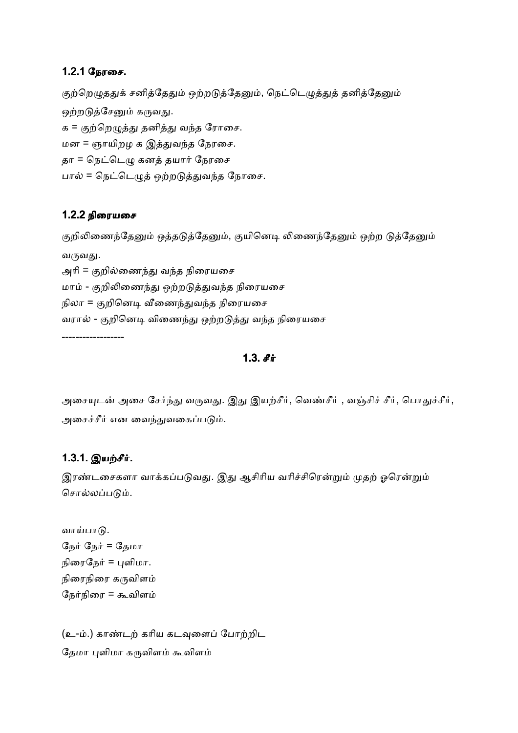### 1.2.1 நேரசை.

குற்றெழுததுக் சனித்தேதும் ஒற்றடுத்தேனும், நெட்டெழுத்துத் தனித்தேனும் ஒற்றடுத்சேனும் கருவது. க = குற்றெழுத்து தனித்து வந்த ரோசை. மன = ஞாயிறழ க இ
/வத ேநரைச. தா = நெட்டெழு கனத் தயார் நேரசை பால் = நெட்டெழுத் ஒற்றடுத்துவந்த நோசை.

### 1.2.2 நிரையசை

குறிலிணைந்தேனும் ஒத்தடுத்தேனும், குயினெடி லிணைந்தேனும் ஒற்ற டுத்தேனும் வருவது. அரி = குறில்ணைந்து வந்த நிரையசை

மாம் - குறிலிணைந்து ஒற்றடுத்துவந்த நிரையசை நிலா = குறினெடி வீணைந்துவந்த நிரையசை வரால் - குறினெடி விணைந்து ஒற்றடுத்து வந்த நிரையசை ------------------

 $1.3.$   $\mathbf{f}$  if

அசையுடன் அசை சேர்ந்து வருவது. இது இயற்சீர், வெண்சீர் , வஞ்சிச் சீர், பொதுச்சீர், அசைச்சீர் என வைந்துவகைப்படும்.

## 1.3.1. இயற்சீர்.

இரண்டசைகளா வாக்கப்படுவது. இது ஆசிரிய வரிச்சிரென்றும் முதற் ஓரென்றும் சொல்லப்படும்.

வாய்பாடு. நேர் நேர் = தேமா நிரைநேர் = புளிமா. நிரைநிரை கருவிளம் நேர்நிரை = கூவிளம்

(உ-ம்.) காண்டற் கரிய கடவுளைப் போற்றிட தேமா புளிமா கருவிளம் கூவிளம்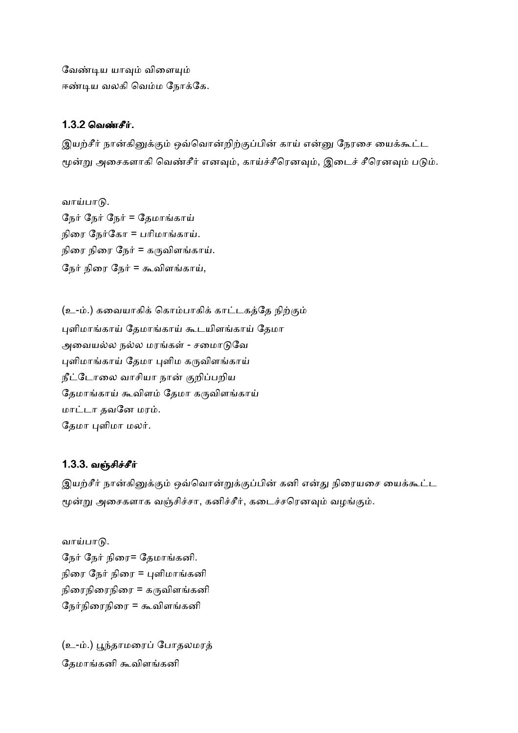வேண்டிய யாவும் விளையும் ஈண்டிய வலகி வெம்ம நோக்கே.

### 1.3.2 வெண்சீர்.

இயற்சீர் நான்கினுக்கும் ஒவ்வொன்றிற்குப்பின் காய் என்னு நேரசை யைக்கூட்ட மூன்று அசைகளாகி வெண்சீர் எனவும், காய்ச்சீரெனவும், இடைச் சீரெனவும் படும்.

வாய்பாடு.

நேர் நேர் நேர் = தேமாங்காய் நிரை நேர்கோ = பரிமாங்காய். நிரை நிரை நேர் = கருவிளங்காய். நேர் நிரை நேர் = கூவிளங்காய்,

(உ-ம்.) கவையாகிக் கொம்பாகிக் காட்டகத்தே நிற்கும் புளிமாங்காய் தேமாங்காய் கூடயிளங்காய் தேமா அவையல்ல நல்ல மரங்கள் - சமைாடுவே புளிமாங்காய் தேமா புளிம கருவிளங்காய் நீட்டோலை வாசியா நான் குறிப்பறிய தேமாங்காய் கூவிளம் தேமா கருவிளங்காய் மாட்டா தவனே மரம். தேமா புளிமா மலர்.

## 1.3.3. வஞ்சிச்சீர்

இயற்சீர் நான்கினுக்கும் ஒவ்வொன்றுக்குப்பின் கனி என்து நிரையசை யைக்கூட்ட மூன்று அசைகளாக வஞ்சிச்சா, கனிச்சீர், கடைச்சரெனவும் வழங்கும்.

வாய்பாடு. நேர் நேர் நிரை= தேமாங்கனி. நிரை நேர் நிரை = புளிமாங்கனி நிரைநிரை = கருவிளங்கனி நேர்நிரைநிரை = கூவிளங்கனி

(உ-ம்.) பூந்தாமரைப் போதலமரத் தேமாங்கனி கூவிளங்கனி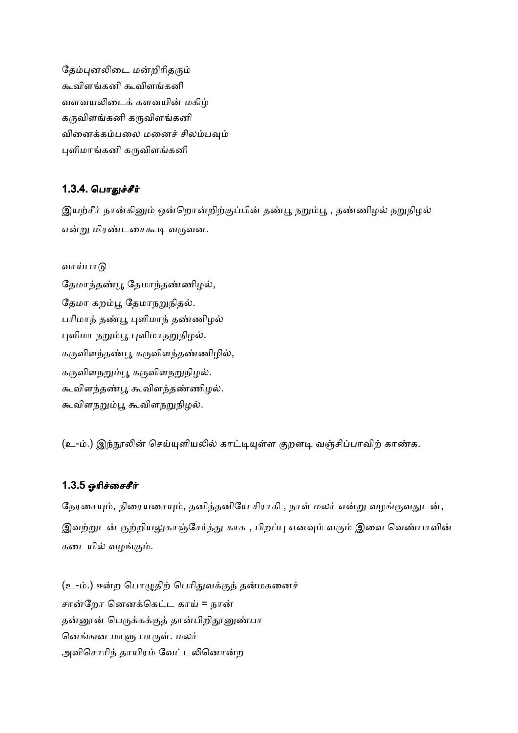தேம்புனலிடை மன்றிரிதரும் கூவிளங்கனி கூவிளங்கனி வளவயலிடைக் களவயின் மகிழ் கருவிளங்கனி கருவிளங்கனி வினைக்கம்பலை மனைச் சிலம்பவும் புளிமாங்கனி கருவிளங்கனி

## 1.3.4. பொகுச்சீர்

இயற்சீர் நான்கினும் ஒன்றொன்றிற்குப்பின் தண்பூ நறும்பூ , தண்ணிழல் நறுநிழல் என்று மிரண்டசைகூடி வருவன.

வாய்பாடு தேமாந்தண்பூ தேமாந்தண்ணிழல், தேமா கறம்பூ தேமாநறுநிதல். பரிமாந் தண்பூ புளிமாந் தண்ணிழல் புளிமா நறும்பூ புளிமாநறுநிழல். கருவிளந்தண்பூ கருவிளந்தண்ணிழில், கருவிளநறும்பூ கருவிளநறுநிழல். கூவிளந்தண்பூ கூவிளந்தண்ணிழல். கூவிளநறும்பூ கூவிளநறுநிழல்.

(உ-ம்.) இந்நூலின் செய்யுளியலில் காட்டியுள்ள குறளடி வஞ்சிப்பாவிற் காண்க.

## 1.3.5 ஓரிச்சைசீர்

நேரசையும், நிரையசையும், தனித்தனியே சிராகி , நாள் மலர் என்று வழங்குவதுடன், இவற்றுடன் குற்றியலுகாஞ்சேர்த்து காசு , பிறப்பு எனவும் வரும் இவை வெண்பாவின் கடையில் வழங்கும்.

(உ-ம்.) ஈன்ற பொழுதிற் பெரிதுவக்குந் தன்மகனைச் சான்றோ னெனக்கெட்ட காய் = நான் தன்னூன் பெருக்கக்குத் தான்பிறிதூனுண்பா னெங்ஙன மாளு பாருள். மலர் அவிசொரிந் தாயிரம் வேட்டலினொன்ற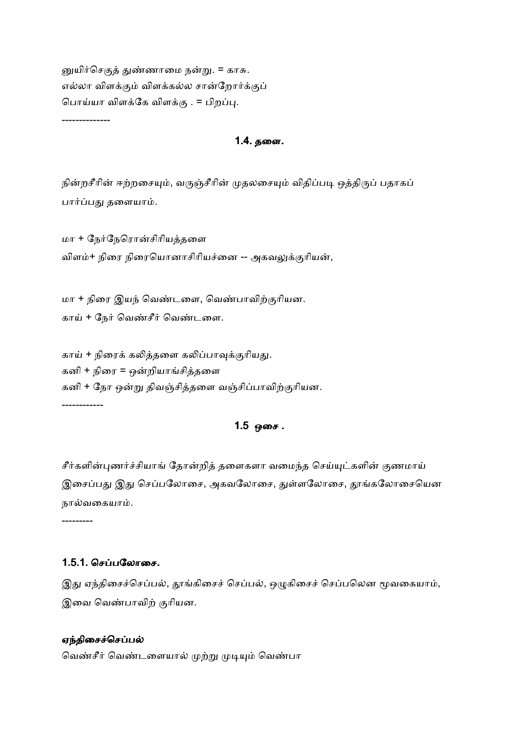னுயிர்செகுத் துண்ணாமை நன்று. = காசு. எல்லா விளக்கும் விளக்கல்ல சான்றோர்க்குப் பொய்யா விளக்கே விளக்கு . = பிறப்பு.

--------------

#### 1.4. தளை.

நின்றசீரின் ஈற்றசையும், வருஞ்சீரின் முதலசையும் விதிப்படி ஒத்திருப் பதாகப் பார்ப்பது தளையாம்.

மா + நேர்நேரொன்சிரியத்தளை விளம்+ நிரை நிரையொனாசிரியச்னை -- அகவலுக்குரியன்,

மா + நிரை இயந் வெண்டளை, வெண்பாவிற்குரியன. காய் + நேர் வெண்சீர் வெண்டளை.

காய் + நிரைக் கலித்தளை கலிப்பாவுக்குரியது. கனி + நிரை = ஒன்றியாங்சித்தளை கனி + நோ ஒன்று திவஞ்சித்தளை வஞ்சிப்பாவிற்குரியன. ------------

## $1.5$  ஒசை.

சீர்களின்புணர்ச்சியாங் தோன்றித் தளைகளா வமைந்த செய்யுட்களின் குணமாய் இசைப்பது இது செப்பலோசை, அகவலோசை, துள்ளலோசை, தூங்கலோசையென நால்வகையாம்.

---------

#### 1.5.1. செப்பலோசை.

இது ஏந்திசைச்செப்பல், தூங்கிசைச் செப்பல், ஒழுகிசைச் செப்பலென மூவகையாம், இவை வெண்பாவிற் குரியன.

#### ஏந்திசைச்செப்பல்

வெண்சீர் வெண்டளையால் முற்று முடியும் வெண்பா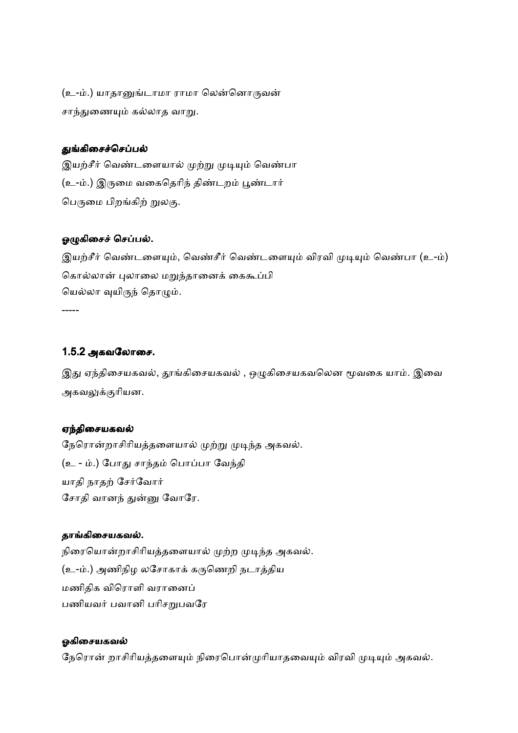(உ-ம்.) யாதானுங்டாமா ராமா லென்னொருவன் சாந்துணையும் கல்லாத வாறு.

#### துங்கிசைச்செப்பல்

இயற்சீர் வெண்டளையால் முற்று முடியும் வெண்பா (உ-ம்.) இருமை வகைதெரிந் திண்டறம் பூண்டார் பெருமை பிறங்கிற் றுலகு.

#### ஓழுகிசைச் செப்பல்.

இயற்சீர் வெண்டளையும், வெண்சீர் வெண்டளையும் விரவி முடியும் வெண்பா (உ-ம்) கொல்லான் புலாலை மறுந்தானைக் கைகூப்பி யெல்லா வுயிருந் தொழும்.

-----

### 1.5.2 அகவலோசை.

இது ஏந்திசையகவல், தூங்கிசையகவல் , ஒழுகிசையகவலென மூவகை யாம். இவை அகவலுக்குரியன.

#### ஏந்திசையகவல்

நேரொன்றாசிரியத்தளையால் முற்று முடிந்த அகவல். (உ - ம்.) போது சாந்தம் பொப்பா வேந்தி யாதி நாதற் சேர்வோர் சோதி வானந் துன்னு வோரே.

#### தாங்கிசையகவல்.

நிரையொன்றாசிரியத்தளையால் முற்ற முடிந்த அகவல். (உ-ம்.) அணிநிழ லசோகாக் கருணெறி நடாத்திய மணிதிக விரொளி வரானைப் பணியவர் பவானி பரிசறுபவரே

#### ஓகிசையகவல்

நேரொன் றாசிரியத்தளையும் நிரைபொன்முரியாதவையும் விரவி முடியும் அகவல்.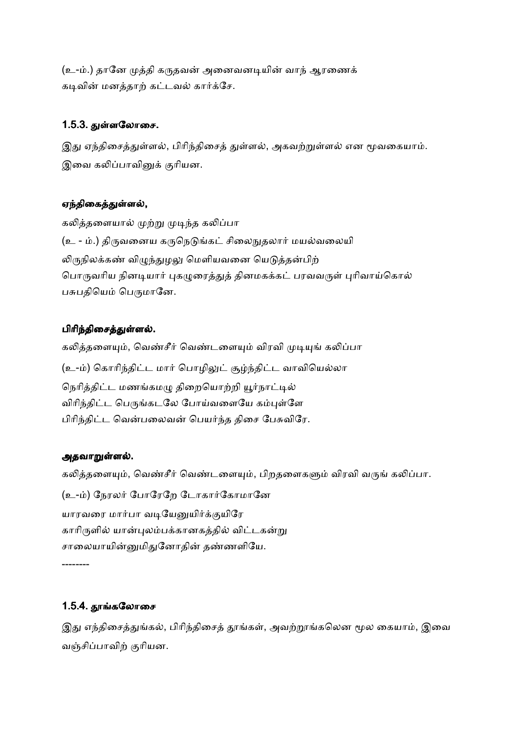(உ-ம்.) தானே முத்தி கருதவன் அனைவனடியின் வாந் ஆரணைக் கடிவின் மனத்தாற் கட்டவல் கார்க்சே.

## 1.5.3. துள்ளலோசை.

இது ஏந்திசைத்துள்ளல், பிரிந்திசைத் துள்ளல், அகவற்றுள்ளல் என மூவகையாம். இவை கலிப்பாவினுக் குரியன.

## ஏந்திகைத்துள்ளல்,

கலித்தளையால் முற்று முடிந்த கலிப்பா (உ - ம்.) திருவனைய கருநெடுங்கட் சிலைநுதலார் மயல்வலையி லிருநிலக்கண் விழுந்துழலு மெளியவனை யெடுத்தன்பிற் பொருவரிய நினடியார் புகழுரைத்துத் தினமகக்கட் பரவவருள் புரிவாய்கொல் பசுபதியெம் பெருமானே.

## பிரிந்திசைத்துள்ளல்.

கலித்தளையும், வெண்சீர் வெண்டளையும் விரவி முடியுங் கலிப்பா (உ-ம்) கொரிந்திட்ட மார் பொழிலுட் சூழ்ந்திட்ட வாவியெல்லா நெரித்திட்ட மணங்கமழு திறையொற்றி யூர்நாட்டில் விரிந்திட்ட பெருங்கடலே போய்வளையே கம்புள்ளே பிரிந்திட்ட வென்பலைவன் பெயர்ந்த திசை பேசுவிரே.

## அதவாறுள்ளல்.

கலித்தளையும், வெண்சீர் வெண்டளையும், பிறதளைகளும் விரவி வருங் கலிப்பா. (உ-ம்) நேரலர் போரேறே டோகார்கோமானே யாரவரை மார்பா வடியேனுயிர்க்குயிரே காரிருளில் யான்புலம்பக்கானகத்தில் விட்டகன்று சாலையாயின்னுமிதுனோதின் தண்ணளியே. --------

## 1.5.4. தூங்கலோசை

இது எந்திசைத்துங்கல், பிரிந்திசைத் தூங்கள், அவற்றூங்கலென மூல கையாம், இவை வஞ்சிப்பாவிற் குரியன.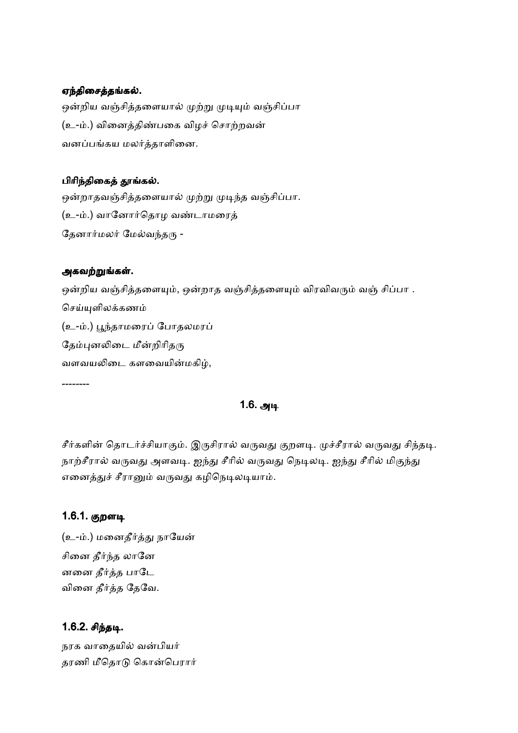#### ஏந்திசைத்தங்கல்.

ஒன்றிய வஞ்சித்தளையால் முற்று முடியும் வஞ்சிப்பா (உ-ம்.) வினைத்திண்பகை விழச் சொற்றவன் வனப்பங்கய மலர்த்தாளினை.

#### பிரிந்திகைத் தூங்கல்.

ஒன்றாதவஞ்சித்தளையால் முற்று முடிந்த வஞ்சிப்பா. (உ-ம்.) வானோர்தொழ வண்டாமரைத் தேனார்மலர் மேல்வந்தரு -

#### அகவற்றுங்கள்.

ஒன்றிய வஞ்சித்தளையும், ஒன்றாத வஞ்சித்தளையும் விரவிவரும் வஞ் சிப்பா . செய்யுளிலக்கணம் (உ-ம்.) பூந்தாமரைப் போதலமரப் தேம்புனலிடை மீன்றிரிதரு வளவயலிடை களவையின்மகிழ்,

#### --------

## 1.6. அடி

சீர்களின் தொடர்ச்சியாகும். இருசிரால் வருவது குறளடி. முச்சீரால் வருவது சிந்தடி. நாற்சீரால் வருவது அளவடி. ஐந்து சீரில் வருவது நெடிலடி. ஐந்து சீரில் மிகுந்து எனைத்துச் சீரானும் வருவது கழிநெடிலடியாம்.

### 1.6.1. குறளடி

(உ-ம்.) மனைதீர்த்து நாயேன் சினை தீர்ந்த லானே னனை தீர்த்த பாட<u>ே</u> வினை தீர்த்த தேவே.

### 1.6.2. சிந்தடி.

நரக வாதையில் வன்பியர் தரணி மீதொடு கொன்பெரார்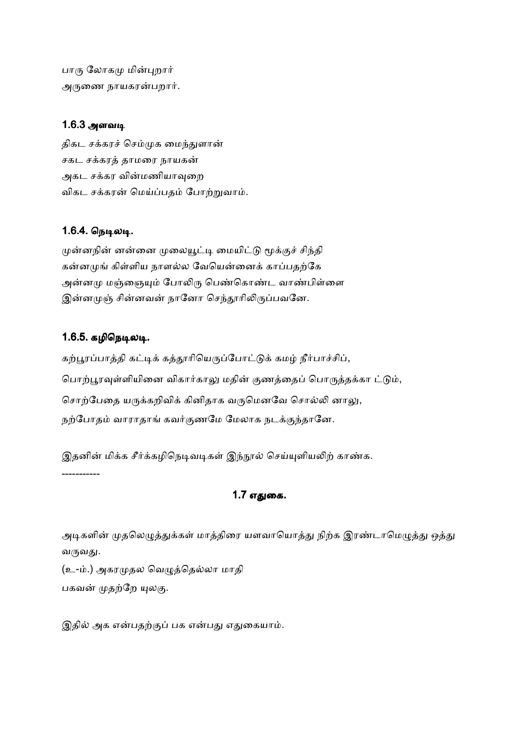பாரு லோகமு மின்புறார் அருணை நாயகரன்பறார்.

## 1.6.3 அளவடி

திகட சக்கரச் செம்முக மைந்துளான் சகட சக்கரத் தாமரை நாயகன் அகட சக்கர வின்மணியாவுறை விகட சக்கரன் மெய்ப்பதம் போற்றுவாம்.

## 1.6.4. நெடிலடி.

முன்னநின் னன்னை முலையூட்டி மையிட்டு மூக்குச் சிந்தி கன்னமுங் கிள்ளிய நாளல்ல வேயென்னைக் காப்பதற்கே அன்னமு மஞ்ஞையும் போலிரு பெண்கொண்ட வாண்பிள்ளை இன்னமுஞ் சின்னவன் நானோ செந்தூரிலிருப்பவனே.

## 1.6.5. கழிநெடிலடி.

கற்பூரப்பாத்தி கட்டிக் கத்தூரியெருப்போட்டுக் கமழ் நீர்பாச்சிப், பொற்பூரவுள்ளியினை விகார்காலு மதின் குணத்தைப் பொருத்தக்கா ட்டும், சொற்பேதை யருக்கறிவிக் கினிதாக வருமெனவே சொல்லி னாலு, நற்போதம் வாராதாங் கவர்குணமே மேலாக நடக்குந்தானே.

இதனின் மிக்க சீர்க்கழிநெடிவடிகள் இந்நூல் செய்யுளியலிற் காண்க. -----------

## 1.7 எதுகை.

அடிகளின் முதலெழுத்துக்கள் மாத்திரை யளவாயொத்து நிற்க இரண்டாமெழுத்து ஒத்து வருவது.

(உ-ம்.) அகரமுதல வெழுத்தெல்லா மாதி பகவன் முதற்றே யுலகு.

இதில் அக என்பதற்குப் பக என்பது எதுகையாம்.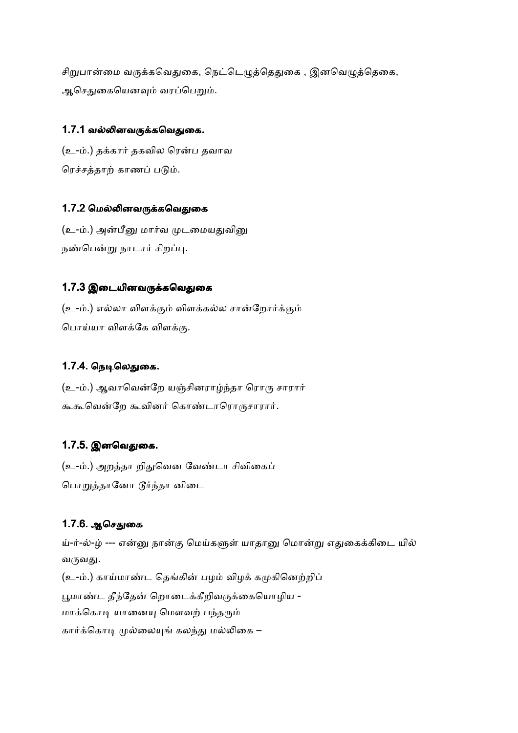சிறுபான்மை வருக்கவெதுகை, நெட்டெழுத்தெதுகை , இனவெழுத்தெகை, ஆசெதுகையெனவும் வரப்பெறும்.

### 1.7.1 வல்லினவருக்கவெதுகை.

(உ-ம்.) தக்கார் தகவில ரென்ப தவாவ ரெச்சத்தாற் காணப் படும்.

## 1.7.2 மெல்லினவருக்கவெதுகை

(உ-ம்.) அன்பீனு மார்வ முடமையதுவினு நண்பென்று நாடார் சிறப்பு.

## 1.7.3 இடையினவருக்கவெதுகை

(உ-ம்.) எல்லா விளக்கும் விளக்கல்ல சான்றோர்க்கும் பொய்யா விளக்கே விளக்கு.

## 1.7.4. நெடிலெதுகை.

(உ-ம்.) ஆவாவென்றே யஞ்சினராழ்ந்தா ரொரு சாரார் கூகூவென்றே கூவினர் கொண்டாரொருசாரார்.

## 1.7.5. இனவெதுகை.

(உ-ம்.) அறத்தா றிதுவென வேண்டா சிவிகைப் பொறுத்தானோ டூர்ந்தா னிடை

## 1.7.6. ஆசெதுகை

ய்-ர்-ல்-ழ் --- என்னு நான்கு மெய்களுள் யாதானு மொன்று எதுகைக்கிடை யில் வருவது. (உ-ம்.) காய்மாண்ட தெங்கின் பழம் விழக் கமுகினெற்றிப் பூமாண்ட தீந்தேன் றொடைக்கீறிவருக்கையொழிய -மாக்கொடி யானையு மௌவற் பந்தரும் கார்க்கொடி முல்லையுங் கலந்து மல்லிகை –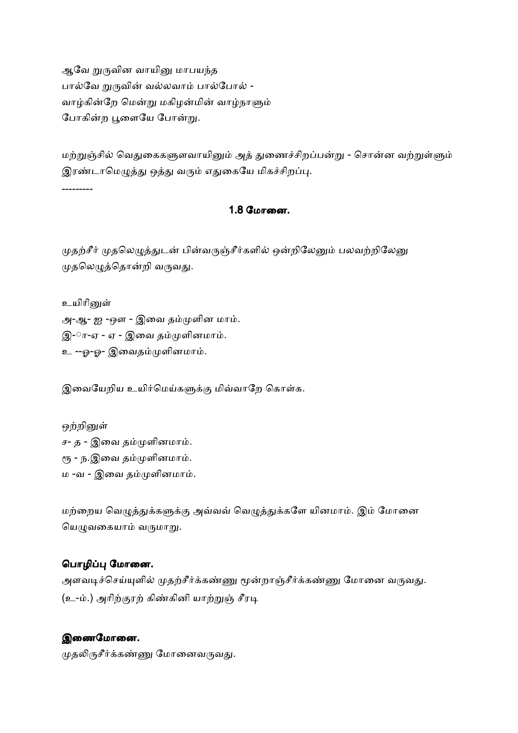ஆவே றுருவின வாயினு மாபயந்த பால்வே றுருவின் வல்லவாம் பால்போல் -வாழ்கின்றே மென்று மகிழன்மின் வாழ்நாளும் போகின்ற பூளையே போன்று.

மற்றுஞ்சில் வெதுகைகளுளவாயினும் அத் துணைச்சிறப்பன்று - சொன்ன வற்றுள்ளும் இரண்டாமெழுத்து ஒத்து வரும் எதுகையே மிகச்சிறப்பு.

---------

#### 1.8 மோனை.

முதற்சீர் முதலெழுத்துடன் பின்வருஞ்சீர்களில் ஒன்றிலேனும் பலவற்றிலேனு முதலெழுத்தொன்றி வருவது.

உயிரினுள் அ-ஆ- ஐ -ஔ - இவை தம்முளின மாம். இ-ா-ஏ - ஏ - இவை தம்முளினமாம். உ --ஓ-ஓ- இவைதம்முளினமாம்.

இவையேறிய உயிர்மெய்களுக்கு மிவ்வாறே கொள்க.

ஒற்றினுள் ச- த - இவை தம்முளினமாம். ரூ - ந.இவை தம்முளினமாம். ம -வ - இவை தம்முளினமாம்.

மற்றைய வெழுத்துக்களுக்கு அவ்வவ் வெழுத்துக்களே யினமாம். இம் மோனை யெழுவகையாம் வருமாறு.

### பொழிப்பு மோனை.

அளவடிச்செய்யுளில் முதற்சீர்க்கண்ணு மூன்றாஞ்சீர்க்கண்ணு மோனை வருவது. (உ-ம்.) அரிற்குரற் கிண்கினி யாற்றுஞ் சீரடி

### இணைமோனை.

முதலிருசீர்க்கண்ணு மோனைவருவது.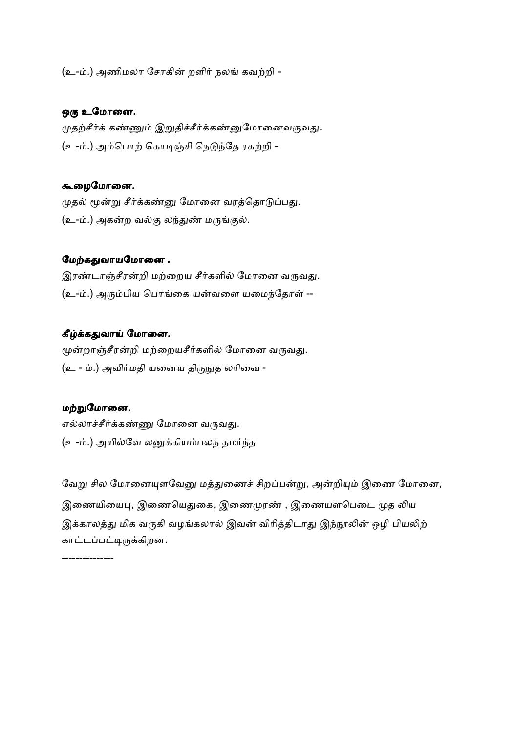(உ-ம்.) அணிமலா சோகின் றளிர் நலங் கவற்றி -

#### ஒரு உமோனை.

முதற்சீர்க் கண்ணும் இறுதிச்சீர்க்கண்னுமோனைவருவது. (உ-ம்.) அம்பொற் கொடிஞ்சி நெடுந்தே ரகற்றி -

#### 9ைழேமாைன.

முதல் மூன்று சீர்க்கண்னு மோனை வரத்தொடுப்பது. (உ-ம்.) அகன்ற வல்கு லந்துண் மருங்குல்.

#### மேற்கதுவாயமோனை .

இரண்டாஞ்சீரன்றி மற்றைய சீர்களில் மோனை வருவது. (உ-ம்.) அரும்பிய பொங்கை யன்வளை யமைந்தோள் --

#### கீழ்க்கதுவாய் மோனை.

மூன்றாஞ்சீரன்றி மற்றையசீர்களில் மோனை வருவது. (உ - ம்.) அவிர்மதி யனைய திருநுத லரிவை -

#### மற்றுமோனை.

எல்லாச்சீர்க்கண்ணு மோனை வருவது. (உ-ம்.) அயில்வே லனுக்கியம்பலந் தமர்ந்த

வேறு சில மோனையுளவேனு மத்துணைச் சிறப்பன்று, அன்றியும் இணை மோனை, இணையியைபு, இணையெதுகை, இணைமுரண் , இணையளபெடை முத லிய இக்காலத்து மிக வருகி வழங்கலால் இவன் விரித்திடாது இந்நூலின் ஒழி பியலிற் காட்டப்பட்டிருக்கிறன.

---------------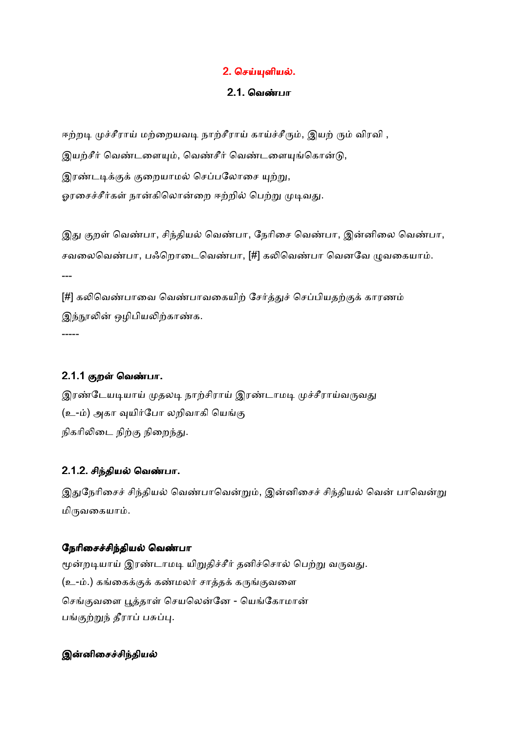## 2. செய்யுளியல்.

#### <u>2.1. வெண்பா</u>

ஈற்றடி முச்சீராய் மற்றையவடி நாற்சீராய் காய்ச்சீரும், இயற் ரும் விரவி , இயற்சீர் வெண்டளையும், வெண்சீர் வெண்டளையுங்கொன்டு, இரண்டடிக்குக் குறையாமல் செப்பலோசை யுற்று, ஓரசைச்சீர்கள் நான்கிலொன்றை ஈற்றில் பெற்று முடிவது.

இது குறள் வெண்பா, சிந்தியல் வெண்பா, நேரிசை வெண்பா, இன்னிலை வெண்பா, சவலைவெண்பா, பஃறொடைவெண்பா, [#] கலிவெண்பா வெனவே முவகையாம். ---

[#] கலிவெண்பாவை வெண்பாவகையிற் சேர்த்துச் செப்பியதற்குக் காரணம் இந்நூலின் ஒழிபியலிற்காண்க. -----

### 2.1.1 குறள் வெண்பா.

இரண்டேயடியாய் முதலடி நாற்சிராய் இரண்டாமடி முச்சீராய்வருவது (உ-ம்) அகா வுயிர்போ லறிவாகி யெங்கு நிகரிலிடை நிற்கு நிறைந்து.

### 2.1.2. சிந்தியல் வெண்பா.

இதுநேரிசைச் சிந்தியல் வெண்பாவென்றும், இன்னிசைச் சிந்தியல் வென் பாவென்று மிருவகையாம்.

#### நேரிசைச்சிந்தியல் வெண்பா

மூன்றடியாய் இரண்டாமடி யிறுதிச்சீர் தனிச்சொல் பெற்று வருவது. (உ-ம்.) கங்கைக்குக் கண்மலர் சாத்தக் கருங்குவளை செங்குவளை பூத்தாள் செயலென்னே - யெங்கோமான் பங்குற்றுந் தீராப் பசுப்பு.

### இன்னிசைச்சிந்தியல்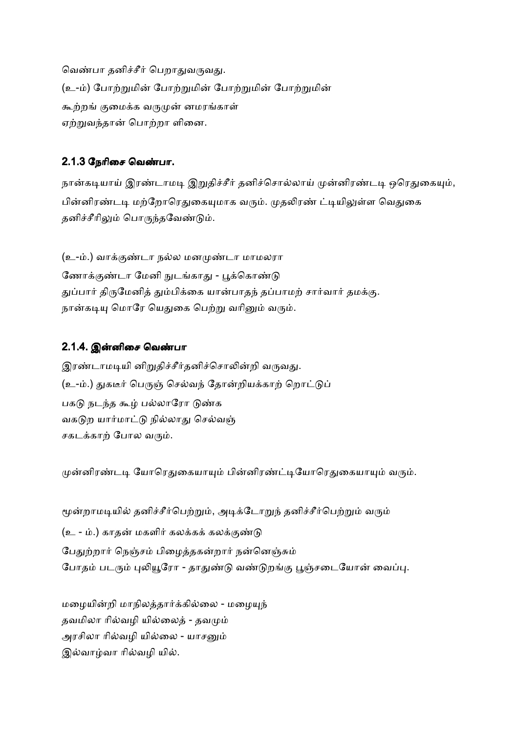வெண்பா தனிச்சீர் பெறாதுவருவது. (உ-ம்) போற்றுமின் போற்றுமின் போற்றுமின் போற்றுமின் கூற்றங் குமைக்க வருமுன் னமரங்காள் ஏற்றுவந்தான் பொற்றா ளினை.

### 2.1.3 நேரிசை வெண்பா.

நான்கடியாய் இரண்டாமடி இறுதிச்சீர் தனிச்சொல்லாய் முன்னிரண்டடி ஒரெதுகையும், பின்னிரண்டடி மற்றோரெதுகையுமாக வரும். முதலிரண் ட்டியிலுள்ள வெதுகை தனிச்சீரிலும் பொருந்தவேண்டும்.

(உ-ம்.) வாக்குண்டா நல்ல மனமுண்டா மாமலரா ணோக்கண்டா மேனி நுடங்காகு - பக்கொண்டு துப்பார் திருமேனித் தும்பிக்கை யான்பாதந் தப்பாமற் சார்வார் தமக்கு. நான்கடியு மொரே யெதுகை பெற்று வரினும் வரும்.

### 2.1.4. இன்னிசை வெண்பா

இரண்டாமடியி னிறுதிச்சீர்தனிச்சொலின்றி வருவது. (உ-ம்.) துகடீர் பெருஞ் செல்வந் தோன்றியக்காற் றொட்டுப் பகடு நடந்த கூழ் பல்லாரோ டுண்க வகடுற யார்மாட்டு நில்லாது செல்வஞ் சகடக்காற் போல வரும்.

முன்னிரண்டடி யோரெதுகையாயும் பின்னிரண்ட்டியோரெதுகையாயும் வரும்.

மூன்றாமடியில் தனிச்சீர்பெற்றும், அடிக்டோறுந் தனிச்சீர்பெற்றும் வரும் (உ - ம்.) காதன் மகளிர் கலக்கக் கலக்குண்டு பேதுற்றார் நெஞ்சம் பிழைத்தகன்றார் நன்னெஞ்சும் போதம் படரும் புலியூரோ - தாதுண்டு வண்டுறங்கு பூஞ்சடையோன் வைப்பு.

மழையின்றி மாநிலத்தார்க்கில்லை - மழையுந் தவமிலா ரில்வழி யில்லைத் - தவமும் அரசிலா ரில்வழி யில்லை - யாசனும் இல்வாழ்வா ரில்வழி யில்.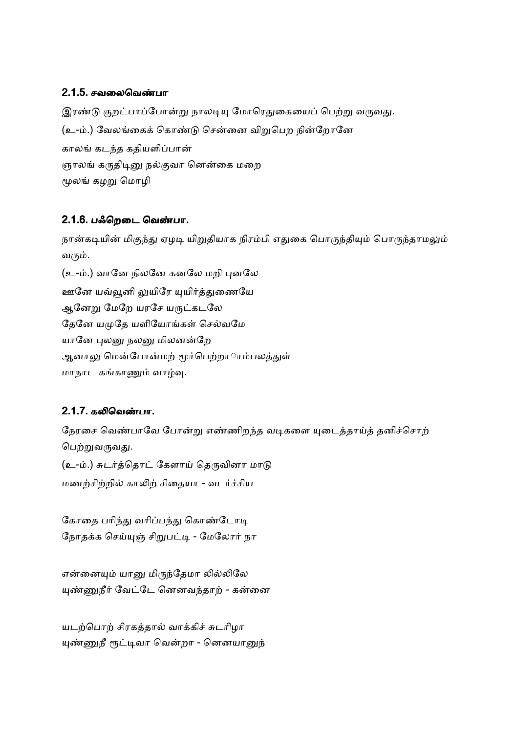## 2.1.5. சவலைவெண்பா

இரண்டு குறட்பாப்போன்று நாலடியு மோரெதுகையைப் பெற்று வருவது. (உ-ம்.) வேலங்கைக் கொண்டு சென்னை விறுபெற நின்றோனே காலங் கடந்த கதியளிப்பான் ஞாலங் கருதிடினு நல்குவா னென்கை மறை மூலங் கழறு மொழி

## 2.1.6. பஃறெடை வெண்பா.

நான்கடியின் மிகுந்து ஏழடி யிறுதியாக நிரம்பி எதுகை பொருந்தியும் பொருந்தாமலும் வரும்.

(உ-ம்.) வானே நிலனே கனலே மறி புனலே ஊனே யவ்வூனி லுயிரே யுயிர்த்துணையே ஆனேறு மேறே யரசே யருட்கடலே தேனே யமுதே யளியோங்கள் செல்வமே யானே புலனு நலனு மிலனன்றே ஆனாலு மென்போன்மற் மூர்பெற்றாரம்பலத்துள் மாநாட கங்காணும் வாழ்வு.

## 2.1.7. கலிவெண்பா.

நேரசை வெண்பாவே போன்று எண்ணிறந்த வடிகளை யுடைத்தாய்த் தனிச்சொற் பெற்றுவருவது. (உ-ம்.) சுடர்த்தொட் கேளாய் தெருவினா மாடு மணற்சிற்றில் காலிற் சிதையா - வடர்ச்சிய

கோதை பரிந்து வரிப்பந்து கொண்டோடி நோதக்க செய்யுஞ் சிறுபட்டி - மேலோர் நா

என்னையும் யானு மிருந்தேமா லில்லிலே யுண்ணுநீர் வேட்டே னெனவந்தாற் - கன்னை

யடற்பொற் சிரகத்தால் வாக்கிச் சுடரிழா யுண்ணுநீ ரூட்டிவா வென்றா - னெனயானுந்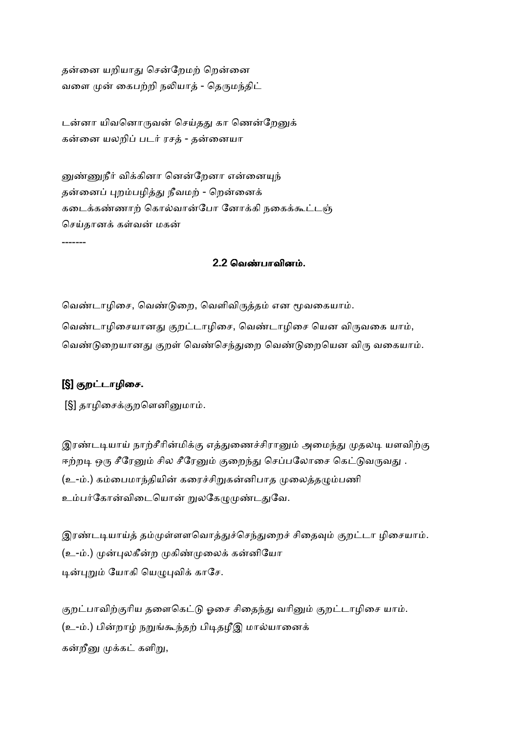தன்னை யறியாது சென்றேமற் றென்னை வளை முன் கைபற்றி நலியாத் - தெருமந்திட்

டன்னா யிவனொருவன் செய்தது கா ணென்றேனுக் கன்னை யலறிப் படர் ரசத் - தன்னையா

னுண்ணுநீர் விக்கினா னென்றேனா என்னையுந<mark>்</mark> தன்னைப் புறம்பழித்து நீவமற் - றென்னைக் கடைக்கண்ணாற் கொல்வான்போ னோக்கி நகைக்கூட்டஞ் செய்தானக் கள்வன் மகன்

### 2.2 வெண்பாவினம்.

வெண்டாழிசை, வெண்டுறை, வெளிவிருத்தம் என மூவகையாம். வெண்டாழிசையானது குறட்டாழிசை, வெண்டாழிசை யென விருவகை யாம், வெண்டுறையானது குறள் வெண்செந்துறை வெண்டுறையென விரு வகையாம்.

## [§] குறட்டாழிசை.

-------

[§] தாழிசைக்குறளெனினுமாம்.

இரண்டடியாய் நாற்சீரின்மிக்கு எத்துணைச்சிரானும் அமைந்து முதலடி யளவிற்கு ஈற்றடி ஒரு சீரேனும் சில சீரேனும் குறைந்து செப்பலோசை கெட்டுவருவது . (உ-ம்.) கம்பைமாந்தியின் கரைச்சிறுகன்னிபாத முலைத்தழும்பணி உம்பர்கோன்விடையொன் றுலகேழுமுண்டதுவே.

இரண்டடியாய்த் தம்முள்ளளவொத்துச்செந்துறைச் சிதைவும் குறட்டா ழிசையாம். (உ-ம்.) முன்புலகீன்ற முகிண்முலைக் கன்னியோ டின்புறும் யோகி யெழுபுவிக் காசே.

குறட்பாவிற்குரிய தளைகெட்டு ஓசை சிதைந்து வரினும் குறட்டாழிசை யாம். (உ-ம்.) பின்றாழ் நறுங்கூந்தற் பிடிதழீஇ மால்யானைக் கன்றீனு முக்கட் களிறு,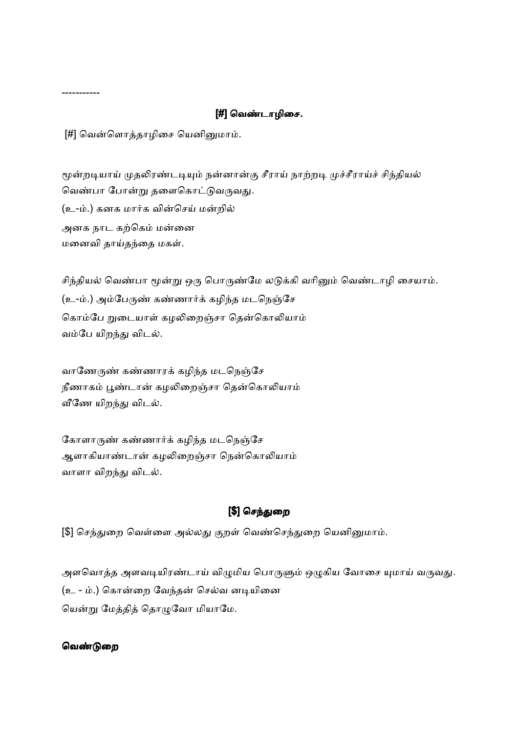### [#] ெவ&டாழிைச.

[#] வென்ளொத்தாழிசை யெனினுமாம்.

-----------

மூன்றடியாய் முதலிரண்டடியும் நன்னான்கு சீராய் நாற்றடி முச்சீராய்ச் சிந்தியல் வெண்பா போன்று தளைகொட்டுவருவது. (உ-ம்.) கனக மார்க வின்செய் மன்றில் அனக நாட கற்கெம் மன்னை மனைவி தாய்தந்தை மகள்.

சிந்தியல் வெண்பா மூன்று ஒரு பொருண்மே லடுக்கி வரினும் வெண்டாழி சையாம். (உ-ம்.) அம்பேருண் கண்ணார்க் கழிந்த மடநெஞ்சே கொம்பே றுடையாள் கழலிறைஞ்சா தென்கொலியாம் வம்பே யிறந்து விடல்.

வாணேருண் கண்ணாரக் கழிந்த மடநெஞ்சே நீணாகம் பூண்டான் கழலிறைஞ்சா தென்கொலியாம் வீணே யிறந்து விடல்.

கோளாருண் கண்ணார்க் கழிந்த மடநெஞ்சே ஆளாகியாண்டான் கழலிறைஞ்சா நென்கொலியாம் வாளா விறந்து விடல்.

## [\$] செந்துறை

[\$] செந்துறை வெள்ளை அல்லது குறள் வெண்செந்துறை யெனினுமாம்.

அளவொத்த அளவடியிரண்டாய் விழுமிய பொருளும் ஒழுகிய வோசை யுமாய் வருவது. (உ - ம்.) கொன்றை வேந்தன் செல்வ னடியினை யென்று மேத்தித் தொழுவோ மியாமே.

#### வெண்டுறை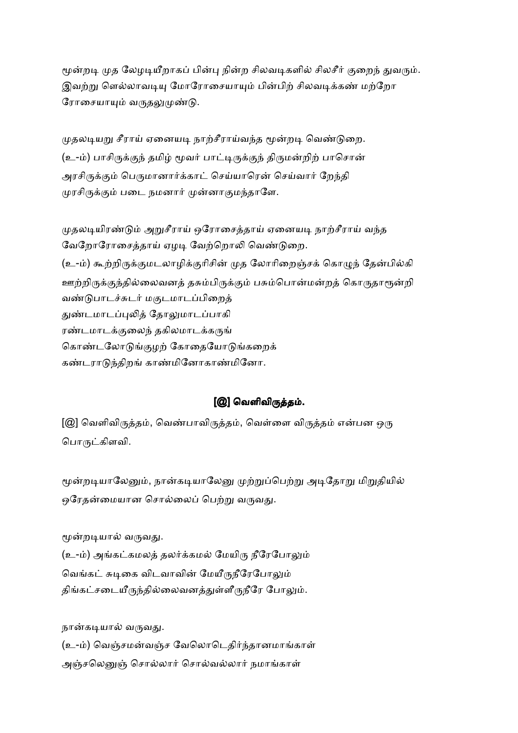மூன்றடி முத லேழடியீறாகப் பின்பு நின்ற சிலவடிகளில் சிலசீர் குறைந் துவரும். இவற்று ளெல்லாவடியு மோரோசையாயும் பின்பிற் சிலவடிக்கண் மற்றோ ரோசையாயும் வருதலுமுண்டு.

முதலடியறு சீராய் ஏனையடி நாற்சீராய்வந்த மூன்றடி வெண்டுறை. (உ-ம்) பாசிருக்குந் தமிழ் மூவர் பாட்டிருக்குந் திருமன்றிற் பாசொன் அரசிருக்கும் பெருமானார்க்காட் செய்யாரென் செய்வார் றேந்தி முரசிருக்கும் படை நமனார் முன்னாகுமந்தாளே.

முதலடியிரண்டும் அறுசீராய் ஒரோசைத்தாய் ஏனையடி நாற்சீராய் வந்த வேறோரோசைக்காய் ஏழடி வேற்றொலி வெண்டுறை. (உ-ம்) கூற்றிருக்குமடலாழிக்குரிசின் முத லோரிறைஞ்சக் கொமுந் தேன்பில்கி ஊற்றிருக்குந்தில்லைவனத் தசும்பிருக்கும் பசும்பொன்மன்றத் கொருதாரூன்றி வண்டுபாடச்சுடர் மகுடமாடப்பிறைத் துண்டமாடப்புலித் தோலுமாடப்பாகி ரண்டமாடக்குலைந் தகிலமாடக்கருங் கொண்டலோடுங்குழற் கோதையோடுங்கறைக் கண்டராடுந்திறங் காண்மினோகாண்மினோ.

## [@] வெளிவிருத்தம்.

[@] வெளிவிருத்தம், வெண்பாவிருத்தம், வெள்ளை விருத்தம் என்பன ஒரு பொருட்கிளவி.

மூன்றடியாலேனும், நான்கடியாலேனு முற்றுப்பெற்று அடிதோறு மிறுதியில் ஒரேதன்மையான சொல்லைப் பெற்று வருவது.

மூன்றடியால் வருவது.

(உ-ம்) அங்கட்கமலத் தலர்க்கமல் மேயிரு நீரேபோலும் வெங்கட் சுடிகை விடவாவின் மேயீருநீரேபோலும் திங்கட்சடையீருந்தில்லைவனத்துள்ளீருநீரே போலும்.

நான்கடியால் வருவது.

(உ-ம்) வெஞ்சமன்வஞ்ச வேலொடெதிர்ந்தானமாங்காள் அஞ்சலெனுஞ் சொல்லார் சொல்வல்லார் நமாங்காள்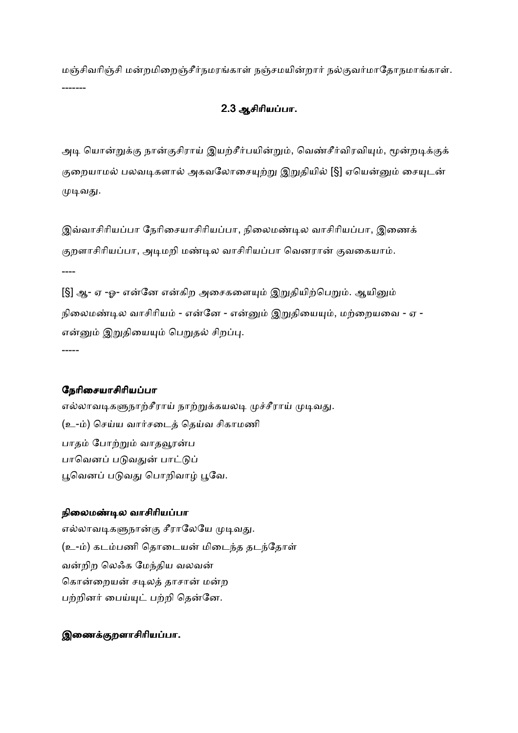மஞ்சிவரிஞ்சி மன்றமிறைஞ்சீர்நமரங்காள் நஞ்சமயின்றார் நல்குவர்மாதோநமாங்காள். -------

## 2.3 ஆசிாியபா.

அடி யொன்றுக்கு நான்குசிராய் இயற்சீர்பயின்றும், வெண்சீர்விரவியும், மூன்றடிக்குக் குறையாமல் பலவடிகளால் அகவலோசையுற்று இறுதியில் [§] ஏயென்னும் சையுடன் முடிவது.

இவ்வாசிரியப்பா நேரிசையாசிரியப்பா, நிலைமண்டில வாசிரியப்பா, இணைக் குறளாசிரியப்பா, அடிமறி மண்டில வாசிரியப்பா வெனரான் குவகையாம்.

----

[§] ஆ- ஏ -ஓ- என்னே என்கிற அசைகளையும் இறுதியிற்பெறும். ஆயினும் நிலைமண்டில வாசிரியம் - என்னே - என்னும் இறுதியையும், மற்றையவை - ஏ -என்னும் இறுதியையும் பெறுதல் சிறப்பு. -----

#### நேரிசையாசிரியப்பா

எல்லாவடிகளுநாற்சீராய் நாற்றுக்கயலடி முச்சீராய் முடிவது. (உ-ம்) செய்ய வார்சடைத் தெய்வ சிகாமணி பாதம் ப<u>ோற்று</u>ம் வாதவூரன்ப பாவெனப் படுவதுன் பாட்டுப் பூவெனப் படுவது பொறிவாழ் பூவே.

#### நிலைமண்டில வாசிரியப்பா

எல்லாவடிகளுநான்கு சீராலேயே முடிவது. (உ-ம்) கடம்பணி தொடையன் மிடைந்த தடந்தோள் வன்றிற லெஃக மேந்திய வலவன் கொன்றையன் சடிலத் தாசான் மன்ற பற்றினர் பைய்யுட் பற்றி தென்னே.

### இணைக்குறளாசிரியப்பா.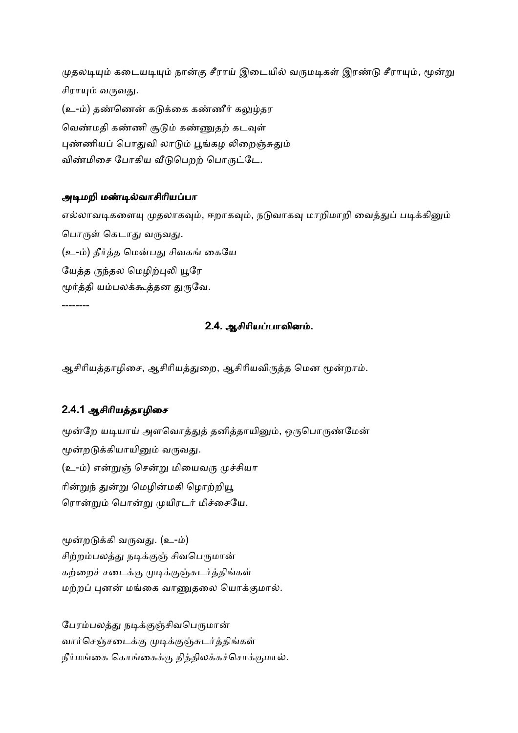முதலடியும் கடையடியும் நான்கு சீராய் இடையில் வருமடிகள் இரண்டு சீராயும், மூன்று சிராயும் வருவது. (உ-ம்) தண்ணென் கடுக்கை கண்ணீர் கலுழ்தர வெண்மதி கண்ணி சூடும் கண்ணுதற் கடவுள் புண்ணியப் பொதுவி லாடும் பூங்கழ லிறைஞ்சுதும் விண்மிசை போகிய வீடுபெறற் பொருட்டே.

#### அடிமறி மண்டில்வாசிரியப்பா

எல்லாவடிகளையு முதலாகவும், ஈறாகவும், நடுவாகவு மாறிமாறி வைத்துப் படிக்கினும் பொருள் கெடாகு வருவகு. (உ-ம்) தீர்த்த மென்பது சிவகங் கையே யேத்த ருந்தல மெழிற்புலி யூரே மூர்த்தி யம்பலக்கூத்தன துருவே. --------

#### 2.4. ஆசிாியபாவின .

ஆசிரியத்தாழிசை, ஆசிரியத்துறை, ஆசிரியவிருத்த மென மூன்றாம்.

## 2.4.1 ஆசிரியத்தாழிசை

மூன்றே யடியாய் அளவொத்துத் தனித்தாயினும், ஒருபொருண்மேன் மூன்றடுக்கியாயினும் வருவது. (உ-ம்) என்றுஞ் சென்று மியைவரு முச்சியா ரின்றுந் துன்று மெழின்மகி மொற்றியூ ரொன்றும் பொன்று முயிரடர் மிச்சையே.

மூன்றடுக்கி வருவது. (உ-ம்) சிற்றம்பலத்து நடிக்குஞ் சிவபெருமான் கற்றைச் சடைக்கு முடிக்குஞ்சுடர்த்திங்கள் மற்றப் புனன் மங்கை வாணுதலை யொக்குமால்.

பேரம்பலத்து நடிக்குஞ்சிவபெருமான் வார்செஞ்சடைக்கு முடிக்குஞ்சுடர்த்திங்கள் நீர்மங்கை கொங்கைக்கு நித்திலக்கச்சொக்குமால்.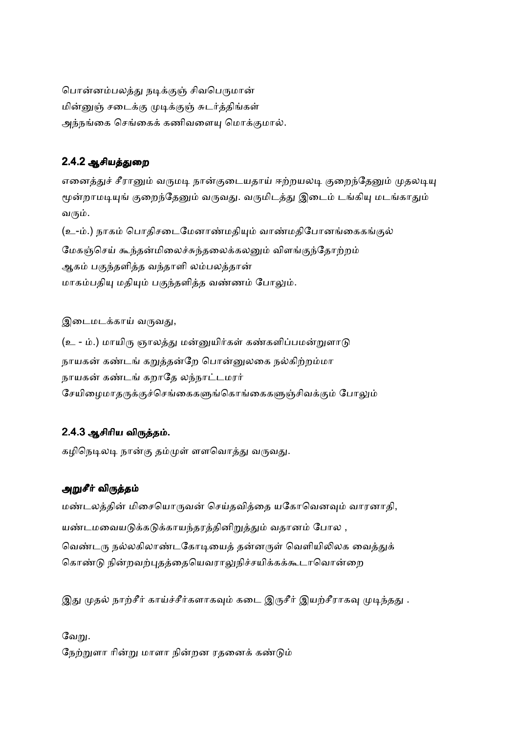பொன்னம்பலத்து நடிக்குஞ் சிவபெருமான் மின்னுஞ் சடைக்கு முடிக்குஞ் சுடர்த்திங்கள் அந்நங்கை செங்கைக் கணிவளையு மொக்குமால்.

## 2.4.2 ஆசியத்துறை

எனைத்துச் சீரானும் வருமடி நான்குடையதாய் ஈற்றயலடி குறைந்தேனும் முதலடியு மூன்றாமடியுங் குறைந்தேனும் வருவது. வருமிடத்து இடைம் டங்கியு மடங்காதும் வரும்.

(உ-ம்.) நாகம் பொதிசடைமேனாண்மதியும் வாண்மதிபோனங்கைகங்குல் மேகஞ்செய் கூந்தன்மிலைச்சுந்தலைக்கலனும் விளங்குந்தோற்றம் ஆகம் பகுந்தளித்த வந்தாளி லம்பலத்தான் மாகம்பதியு மதியும் பகுந்தளித்த வண்ணம் போலும்.

இடைமடக்காய் வருவது,

(உ - ம்.) மாயிரு ஞாலத்து மன்னுயிர்கள் கண்களிப்பமன்றுளாடு நாயகன் கண்டங் கறுத்தன்றே பொன்னுலகை நல்கிற்றம்மா நாயகன் கண்டங் கறாதே லந்நாட்டமரர் சேயிமைமாதருக்குச்செங்கைகளுங்கொங்கைகளுஞ்சிவக்கும் போலும்

## 2.4.3 ஆசிரிய விருத்தம்.

கழிநெடிலடி நான்கு தம்முள் ளளவொத்து வருவது.

## அறுசீர் விருத்தம்

மண்டலத்தின் மிசையொருவன் செய்தவித்தை யகோவெனவும் வாரனாதி, யண்டமவையடுக்கடுக்காயந்தரத்தினிறுத்தும் வதானம் போல , வெண்டரு நல்லகிலாண்டகோடியைத் தன்னருள் வெளியிலிலக வைத்துக் கொண்டு நின்றவற்புதத்தையெவராலுநிச்சயிக்கக்கூடாவொன்றை

இது முதல் நாற்சீர் காய்ச்சீர்களாகவும் கடை இருசீர் இயற்சீராகவு முடிந்தது .

வேறு. நேற்றுளா ரின்று மாளா நின்றன ரதனைக் கண்டும்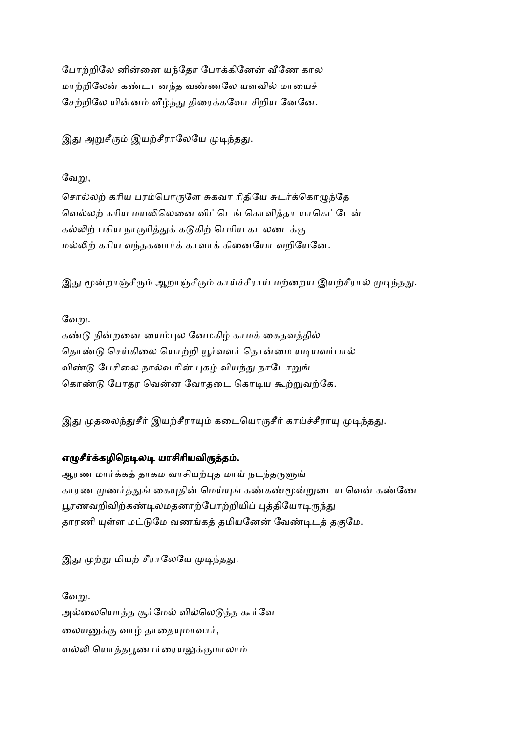போற்றிலே னின்னை யந்தோ போக்கினேன் வீணே கால மாற்றிலேன் கண்டா னந்த வண்ணலே யளவில் மாயைச் சேற்றிலே யின்னம் வீழ்ந்து திரைக்கவோ சிறிய னேனே.

இது அறுசீரும் இயற்சீராலேயே முடிந்தது.

### வேறு,

சொல்லற் கரிய பரம்பொருளே சுகவா ரிதியே சுடர்க்கொமுந்தே வெல்லற் கரிய மயலிலெனை விட்டெங் கொளித்தா யாகெட்டேன் கல்லிற் பசிய நாருரித்துக் கடுகிற் பெரிய கடலடைக்கு மல்லிற் கரிய வந்தகனார்க் காளாக் கினையோ வறியேனே.

இது மூன்றாஞ்சீரும் ஆறாஞ்சீரும் காய்ச்சீராய் மற்றைய இயற்சீரால் முடிந்தது.

## வேறு.

கண்டு நின்றனை யைம்புல னேமகிழ் காமக் கைதவத்தில் தொண்டு செய்கிலை யொற்றி யூர்வளர் தொன்மை யடியவர்பால் விண்டு பேசிலை நால்வ ரின் புகழ் வியந்து நாடோறுங் கொண்டு போதர வென்ன வோதடை கொடிய கூற்றுவற்கே.

இது முதலைந்துசீர் இயற்சீராயும் கடையொருசீர் காய்ச்சீராயு முடிந்தது.

## எழுசீர்க்கழிநெடிலடி யாசிரியவிருத்தம்.

ஆரண மார்க்கத் தாகம வாசியற்புத மாய் நடந்தருளுங் காரண முணர்த்துங் கையுதின் மெய்யுங் கண்கண்மூன்றுடைய வென் கண்ணே பூரணவறிவிற்கண்டிலமதனாற்போற்றியிப் புத்தியோடிருந்து தாரணி யுள்ள மட்டுமே வணங்கத் தமியனேன் வேண்டிடத் தகுமே.

இது முற்று மியற் சீராலேயே முடிந்தது.

வேறு. அல்லையொத்த சூர்மேல் வில்லெடுத்த கூர்வே லையனுக்கு வாழ் தாதையுமாவார், வல்லி யொக்கபூணார்ரையலுக்குமாலாம்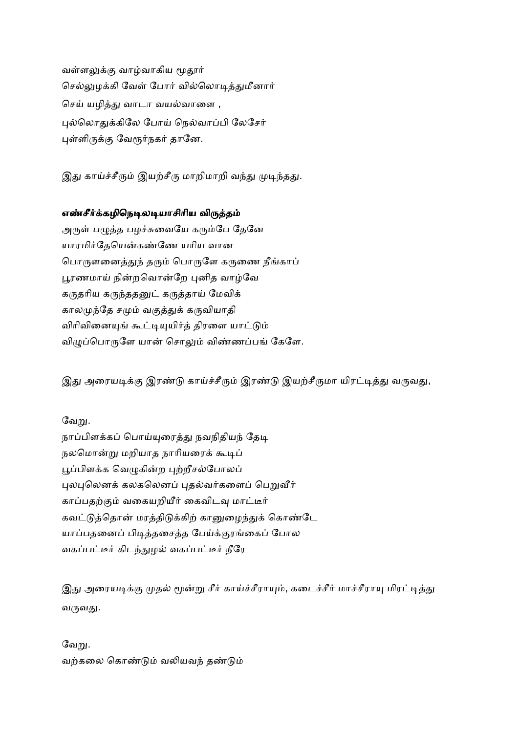வள்ளலுக்கு வாழ்வாகிய மூதூர் செல்லுமக்கி வேள் போர் வில்லொடித்துமீனார் செய் யழித்து வாடா வயல்வாளை , புல்லொதுக்கிலே போய் நெல்வாப்பி லேசேர் புள்ளிருக்கு வேரூர்நகர் தானே.

இது காய்ச்சீரும் இயற்சீரு மாறிமாறி வந்து முடிந்தது.

### எண்சீர்க்கழிநெடிலடியாசிரிய விருத்தம்

அருள் பழுத்த பழச்சுவையே கரும்பே தேனே யாரமிர்தேயென்கண்ணே யரிய வான பொருளனைத்துந் தரும் பொருளே கருணை நீங்காப் பூரணமாய் நின்றவொன்றே புனித வாழ்வே கருதரிய கருந்ததனுட் கருத்தாய் மேவிக் காலமுந்தே சமும் வகுத்துக் கருவியாதி விரிவினையுங் கூட்டியுயிர்த் திரளை யாட்டும் விழுப்பொருளே யான் சொலும் விண்ணப்பங் கேளே.

இது அரையடிக்கு இரண்டு காய்ச்சீரும் இரண்டு இயற்சீருமா யிரட்டித்து வருவது,

## வேறு.

நாப்பிளக்கப் பொய்யுரைத்து நவநிதியந் தேடி நலமொன்று மறியாத நாரியரைக் கூடிப் பூப்பிளக்க வெழுகின்ற புற்றீசல்போலப் புலபுலெனக் கலகலெனப் புதல்வர்களைப் பெறுவீர் காப்பதற்கும் வகையறியீர் கைவிடவு மாட்டீர் கவட்டுத்தொன் மரத்திடுக்கிற் கானுழைந்துக் கொண்டே யாப்பதனைப் பிடித்தசைத்த பேய்க்குரங்கைப் போல வகப்பட்டீர் கிடந்துழல் வகப்பட்டீர் நீரே

இது அரையடிக்கு முதல் மூன்று சீர் காய்ச்சீராயும், கடைச்சீர் மாச்சீராயு மிரட்டித்து வருவது.

## வேறு. வற்கலை கொண்டும் வலியவந் தண்டும்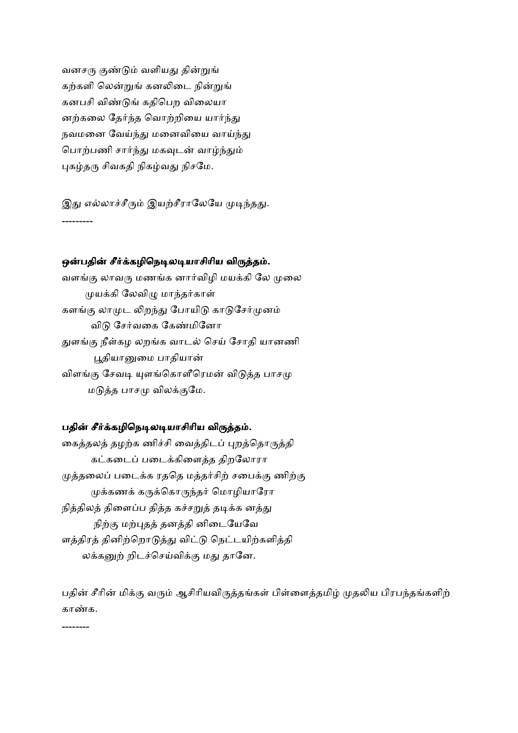வனசரு குண்டும் வளியது தின்றுங் கற்களி லென்றுங் கனலிடை நின்றுங் கனபசி விண்டுங் கதிபெற விலையா னற்கலை தேர்ந்த வொற்றியை யார்ந்து நவமனை வேய்ந்து மனைவியை வாய்ந்து பொற்பணி சார்ந்து மகவுடன் வாழ்ந்தும் புகழ்தரு சிவகதி நிகழ்வது நிசமே.

இது எல்லாச்சீரும் இயற்சீராலேயே முடிந்தது. ---------

#### ஒன்பதின் சீர்க்கழிநெடிலடியாசிரிய விருத்தம்.

வளங்கு லாவரு மணங்க னார்விழி மயக்கி லே முலை முயக்கி லேவிழு மாந்தர்காள் களங்கு லாமுட லிறந்து போயிடு காடுசேர்முனம் விடு சேர்வகை கேண்மினோ துளங்கு நீள்கழ லறங்க வாடல் செய் சோதி யானணி பூதியானுமை பாதியான் விளங்கு சேவடி யுளங்கொளீரெமன் விடுத்த பாசமு மடுத்த பாசமு விலக்குமே.

#### பதின் சீர்க்கழிநெடிலடியாசிரிய விருத்தம்.

கைத்தலத் தழற்க ணிச்சி வைத்திடப் புறத்தொருத்தி கட்கடைப் படைக்கிளைத்த திறலோரா முத்தலைப் படைக்க ரததெ மத்தர்சிற் சபைக்கு ணிற்கு முக்கணக் கருக்கொருந்தர் மொழியாரோ நித்திலத் திளைப்ப தித்த கச்சறுத் தடிக்க னத்து நிற்கு மற்புதத் தனத்தி னிடையேவே ளத்திரத் தினிற்றொடுத்து விட்டு நெட்டயிற்களித்தி லக்கனுற் றிடச்செய்விக்கு மது தானே.

பதின் சீரின் மிக்கு வரும் ஆசிரியவிருத்தங்கள் பிள்ளைத்தமிழ் முதலிய பிரபந்தங்களிற் காண்க.

--------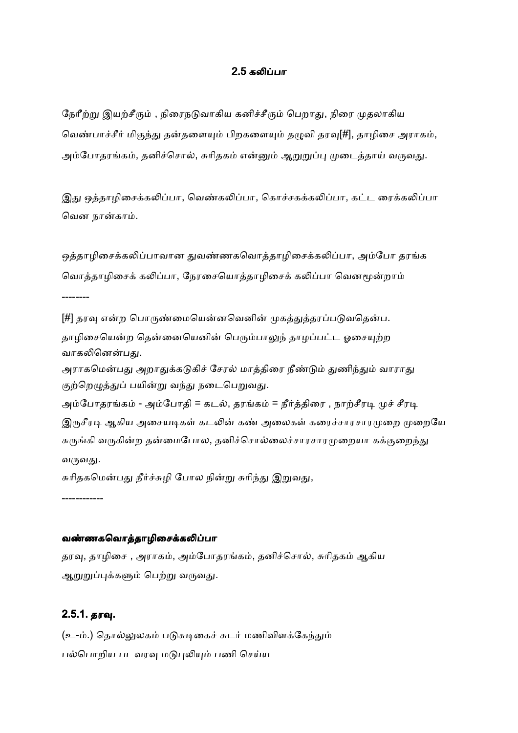#### 2.5 கலிப்பா

நேரீற்று இயற்சீரும் , நிரைநடுவாகிய கனிச்சீரும் பெறாது, நிரை முதலாகிய வெண்பாச்சீர் மிகுந்து தன்தளையும் பிறகளையும் தழுவி தரவு[#], தாழிசை அராகம், அம்போதரங்கம், தனிச்சொல், சுரிதகம் என்னும் ஆறுறுப்பு முடைத்தாய் வருவது.

இது ஒத்தாழிசைக்கலிப்பா, வெண்கலிப்பா, கொச்சகக்கலிப்பா, கட்ட ரைக்கலிப்பா வென நான்காம்.

ஒத்தாழிசைக்கலிப்பாவான துவண்ணகவொத்தாழிசைக்கலிப்பா, அம்போ தரங்க வொத்தாழிசைக் கலிப்பா, நேரசையொத்தாழிசைக் கலிப்பா வெனமூன்றாம் --------

[#] தரவு என்ற பொருண்மையென்னவெனின் முகத்துத்தரப்படுவதென்ப. தாழிசையென்ற தென்னையெனின் பெரும்பாலுந் தாழப்பட்ட ஓசையுற்ற வாகலினென்பது.

அராகமென்பது அறாதுக்கடுகிச் சேரல் மாத்திரை நீண்டும் துணிந்தும் வாராது குற்றெழுத்துப் பயின்று வந்து நடைபெறுவது.

அம்போதரங்கம் - அம்போதி = கடல், தரங்கம் = நீர்த்திரை , நாற்சீரடி முச் சீரடி இருசீரடி ஆகிய அசையடிகள் கடலின் கண் அலைகள் கரைச்சாரசாரமுறை முறையே சுருங்கி வருகின்ற தன்மைபோல, தனிச்சொல்லைச்சாரசாரமுறையா கக்குறைந்து வருவது.

சுரிதகமென்பது நீர்ச்சுழி போல நின்று சுரிந்து இறுவது,

------------

#### வண்ணகவொத்தாழிசைக்கலிப்பா

தரவு, தாழிசை , அராகம், அம்போதரங்கம், தனிச்சொல், சுரிதகம் ஆகிய ஆறுறுப்புக்களும் பெற்று வருவது.

## 2.5.1. தரவு.

(உ-ம்.) தொல்லுலகம் படுசுடிகைச் சுடர் மணிவிளக்கேந்தும் பல்பொறிய படவரவு மடுபுலியும் பணி செய்ய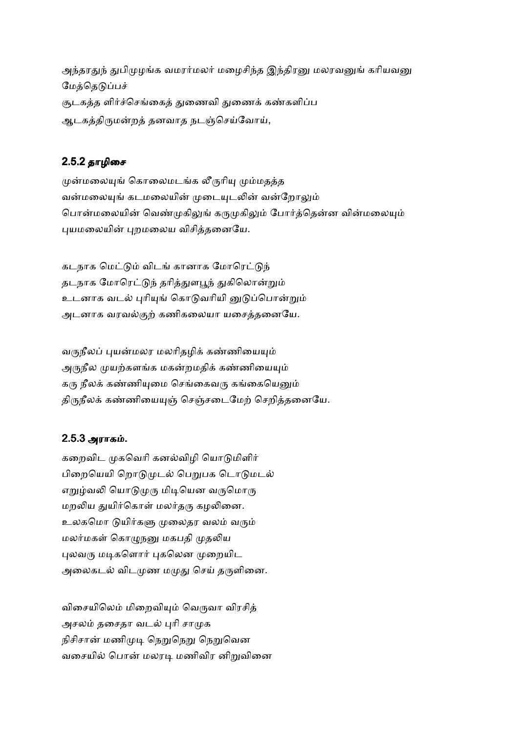அந்தரதுந் துபிமுழங்க வமரர்மலர் மழைசிந்த இந்திரனு மலரவனுங் கரியவனு மேத்தெடுப்பச் சூடகத்த ளிர்ச்செங்கைத் துணைவி துணைக் கண்களிப்ப ஆடகத்திருமன்றத் தனவாத நடஞ்செய்வோய்,

### 2.5.2தாழிைச

முன்மலையுங் கொலைமடங்க லீருரியு மும்மதத்த வன்மலையுங் கடமலையின் முடையுடலின் வன்றோலும் பொன்மலையின் வெண்முகிலுங் கருமுகிலும் போர்த்தென்ன வின்மலையும் புயமலையின் புறமலைய விசித்தனையே.

கடநாக மெட்டும் விடங் கானாக மோரெட்டுந் தடநாக மோரெட்டுந் தரித்துளபூந் துகிலொன்றும் உடனாக வடல் புரியுங் கொடுவரியி னுடுப்பொன்றும் அடனாக வரவல்குற் கணிகலையா யசைத்தனையே.

வருநீலப் புயன்மலர மலரிதழிக் கண்ணியையும் அருநீல முயற்களங்க மகன்றமதிக் கண்ணியையும் கரு நீலக் கண்ணியுமை செங்கைவரு கங்கையெனும் திருநீலக் கண்ணியையுஞ் செஞ்சடைமேற் செறித்தனையே.

#### 2.5.3 அராக .

கறைவிட முகவெரி கனல்விழி யொடுமிளிர் பிறையெயி றொடுமுடல் பெறுபக டொடுமடல் எறுழ்வலி யொடுமுரு மிடியென வருமொரு மறலிய துயிர்கொள் மலர்தரு கழலினை. உலகமொ டுயிர்களு முலைதர வலம் வரும் மலர்மகள் கொமுநனு மகபதி முதலிய புலவரு மடிகளொர் புகலென முறையிட அலைகடல் விடமுண மமுது செய் தருளினை.

விசையிலெம் மிறைவியும் வெருவா விரசித் அசலம் தசைதா வடல் புரி சாமுக நிசிசான் மணிமுடி நெறுநெறு நெறுவென வசையில் பொன் மலரடி மணிவிர னிறுவினை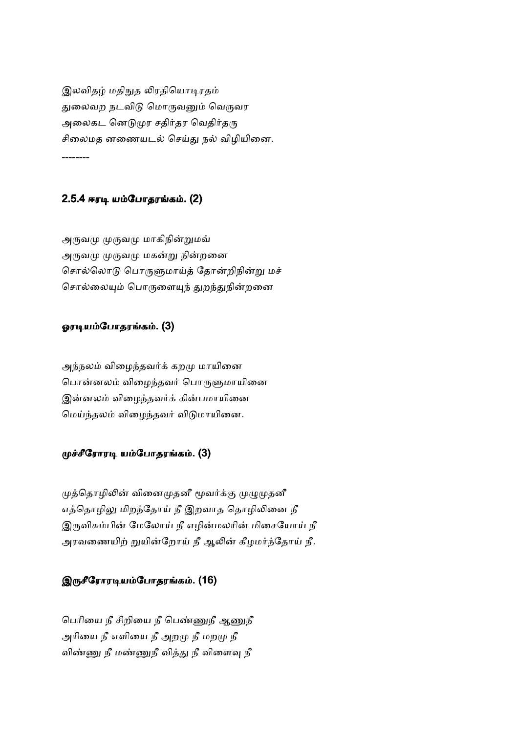இலவிதழ் மதிநுத லிரதியொடிரதம் துலைவற நடவிடு மொருவனும் வெருவர அலைகட னெடுமுர சதிர்தர வெதிர்தரு சிலைமத னணையடல் செய்து நல் விழியினை. --------

## 2.5.4 ஈரடி யம்போதரங்கம். (2)

அருவமு முருவமு மாகிநின்றுமவ் அருவமு முருவமு மகன்று நின்றனை சொல்லொடு பொருளுமாய்த் தோன்றிநின்று மச் சொல்லையும் பொருளையுந் துறந்துநின்றனை

#### ஓரடியம்போதரங்கம். (3)

அந்நலம் விழைந்தவர்க் கறமு மாயினை பொன்னலம் விழைந்தவர் பொருளுமாயினை இன்னலம் விழைந்தவர்க் கின்பமாயினை மெய்ந்தலம் விழைந்தவர் விடுமாயினை.

### முச்சீரோரடி யம்போதரங்கம். (3)

முத்தொழிலின் வினைமுதனீ மூவர்க்கு முழுமுதனீ எத்தொழிலு மிறந்தோய் நீ இறவாத தொழிலினை நீ இருவிசும்பின் மேலோய் நீ எழின்மலரின் மிசையோய் நீ அரவணையிற் றுயின்றோய் நீ ஆலின் கீழமர்ந்தோய் நீ.

## இருசீரோரடியம்போதரங்கம். (16)

பெரியை நீ சிறியை நீ பெண்ணுநீ ஆணுநீ அரியை நீ எளியை நீ அறமு நீ மறமு நீ விண்ணு நீ மண்ணுநீ வித்து நீ விளைவு நீ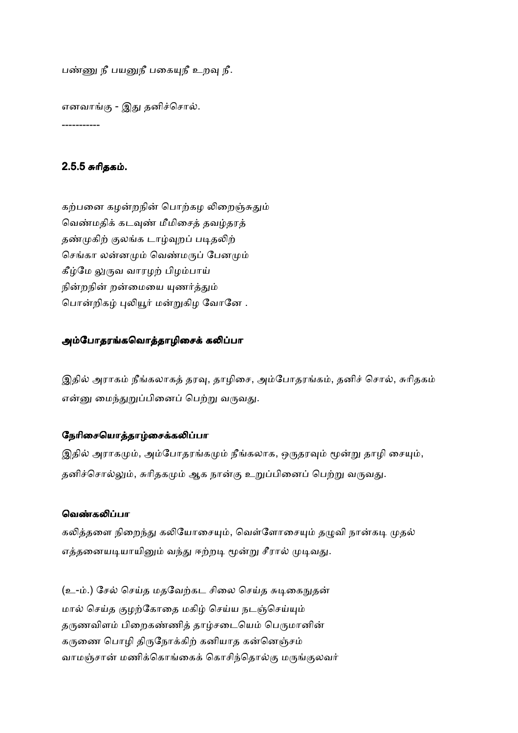பண்ணு நீ பயனுநீ பகையுநீ உறவு நீ.

எனவாங்கு - இது தனிச்சொல். -----------

### 2.5.5 சுரிதகம்.

கற்பனை கமன்றநின் பொற்கம லிறைஞ்சுதும் வெண்மதிக் கடவுண் மீமிசைத் தவழ்தரத் தண்முகிற் குலங்க டாழ்வுறப் படிதலிற் செங்கா லன்னமும் வெண்மருப் பேனமும் கீழ்மே லுருவ வாரழற் பிழம்பாய் நின்றநின் றன்மையை யுணர்த்தும் பொன்றிகழ் புலியூர் மன்றுகிழ வோனே .

#### அம்போதரங்கவொத்தாழிசைக் கலிப்பா

இதில் அராகம் நீங்கலாகத் தரவு, தாழிசை, அம்போதரங்கம், தனிச் சொல், சுரிதகம் என்னு மைந்துறுப்பினைப் பெற்று வருவது.

#### நேரிசையொத்தாழ்சைக்கலிப்பா

இதில் அராகமும், அம்போதரங்கமும் நீங்கலாக, ஒருதரவும் மூன்று தாழி சையும், தனிச்சொல்லும், சுரிதகமும் ஆக நான்கு உறுப்பினைப் பெற்று வருவது.

#### வெண்கலிப்பா

கலித்தளை நிறைந்து கலியோசையும், வெள்ளோசையும் தழுவி நான்கடி முதல் எத்தனையடியாயினும் வந்து ஈற்றடி மூன்று சீரால் முடிவது.

(உ-ம்.) சேல் செய்த மதவேற்கட சிலை செய்த சுடிகைநுதன் மால் செய்த குழற்கோதை மகிழ் செய்ய நடஞ்செய்யும் தருணவிளம் பிறைகண்ணித் தாழ்சடையெம் பெருமானின் கருணை பொழி திருநோக்கிற் கனியாத கன்னெஞ்சம் வாமஞ்சான் மணிக்கொங்கைக் கொசிந்தொல்கு மருங்குலவர்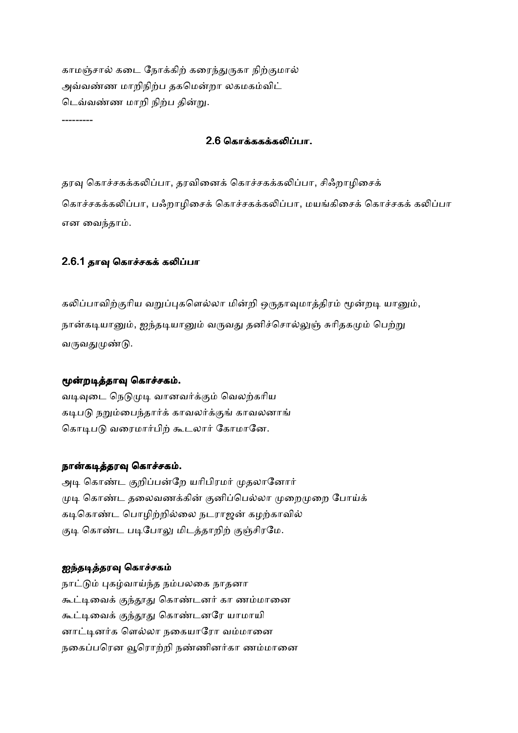காமஞ்சால் கடை நோக்கிற் கரைந்துருகா நிற்குமால் அவ்வண்ண மாறிநிற்ப தகமென்றா லகமகம்விட் டெவ்வண்ண மாறி நிற்ப தின்று.

#### 2.6 கொக்ககக்கலிப்பா.

தரவு கொச்சகக்கலிப்பா, தரவினைக் கொச்சகக்கலிப்பா, சிஃறாழிசைக் கொச்சகக்கலிப்பா, பஃறாழிசைக் கொச்சகக்கலிப்பா, மயங்கிசைக் கொச்சகக் கலிப்பா என வைந்தாம்.

## 2.6.1 தாவு கொச்சகக் கலிப்பா

---------

கலிப்பாவிற்குரிய வறுப்புகளெல்லா மின்றி ஒருதாவுமாத்திரம் மூன்றடி யானும், நான்கடியானும், ஐந்தடியானும் வருவது தனிச்சொல்லுஞ் சுரிதகமும் பெற்று வருவதுமுண்டு.

## மூன்றடித்தாவு கொச்சகம்.

வடிவுடை நெடுமுடி வானவர்க்கும் வெலற்கரிய கடிபடு நறும்பைந்தார்க் காவலர்க்குங் காவலனாங் கொடிபடு வரைமார்பிற் கூடலார் கோமானே.

#### நான்கடித்தரவு கொச்சகம்.

அடி கொண்ட குறிப்பன்றே யரிபிரமர் முதலானோர் முடி கொண்ட தலைவணக்கின் குனிப்பெல்லா முறைமுறை போய்க் கடிகொண்ட பொழிற்றில்லை நடராஜன் கழற்காவில் குடி கொண்ட படிபோலு மிடத்தாறிற் குஞ்சிரமே.

#### ஐந்தடித்தரவு கொச்சகம்

நாட்டும் புகழ்வாய்ந்த நம்பலகை நாதனா கூட்டிவைக் குந்தூது கொண்டனர் கா ணம்மானை கூட்டிவைக் குந்தூது கொண்டனரே யாமாயி னாட்டினர்க ளெல்லா நகையாரோ வம்மானை நகைப்பரென வூரொற்றி நண்ணினர்கா ணம்மானை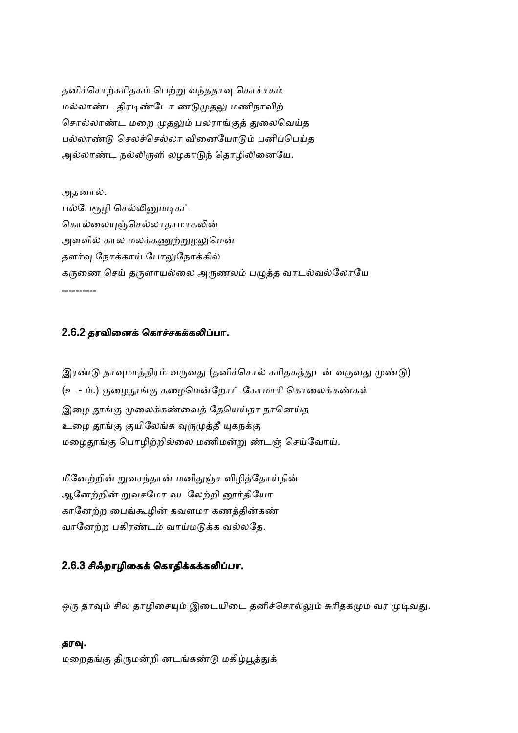தனிச்சொற்சுரிதகம் பெற்று வந்ததாவு கொச்சகம் மல்லாண்ட திரடிண்டோ ணடுமுதலு மணிநாவிற் சொல்லாண்ட மறை முதலும் பலராங்குத் துலைவெய்த பல்லாண்டு செலச்செல்லா வினையோடும் பனிப்பெய்த அல்லாண்ட நல்லிருளி லழகாடுந் தொழிலினையே.

அதனால். பல்பேரூழி செல்லினுமடிகட் கொல்லையுஞ்செல்லாதாமாகலின் அளவில் கால மலக்கணுற்றுழலுமென் தளர்வு நோக்காய் போலுநோக்கில் கருணை செய் தருளாயல்லை அருணலம் பமுத்த வாடல்வல்லோயே ----------

# 2.6.2 தரவினைக் கொச்சகக்கலிப்பா.

இரண்டு தாவுமாத்திரம் வருவது (தனிச்சொல் சுரிதகத்துடன் வருவது முண்டு) (உ - ம்.) குழைதூங்கு கழைமென்றோட் கோமாரி கொலைக்கண்கள் இழை தூங்கு முலைக்கண்வைத் தேயெய்தா நானெய்த உழை தூங்கு குயிலேங்க வுருமுத்தீ யுகநக்கு மழைதூங்கு பொழிற்றில்லை மணிமன்று ண்டஞ் செய்வோய்.

மீனேற்றின் றுவசந்தான் மனிதுஞ்ச விழித்தோய்நின் ஆனேற்றின் றுவசமோ வடலேற்றி னூர்தியோ கானேற்ற பைங்கூழின் கவளமா கணத்தின்கண் வானேற்ற பகிரண்டம் வாய்மடுக்க வல்லதே.

# 2.6.3 சிஃறாழிகைக் கொதிக்கக்கலிப்பா.

ஒரு தாவும் சில தாழிசையும் இடையிடை தனிச்சொல்லும் சுரிதகமும் வர முடிவது.

#### தரவு.

மறைதங்கு திருமன்றி னடங்கண்டு மகிழ்பூத்துக்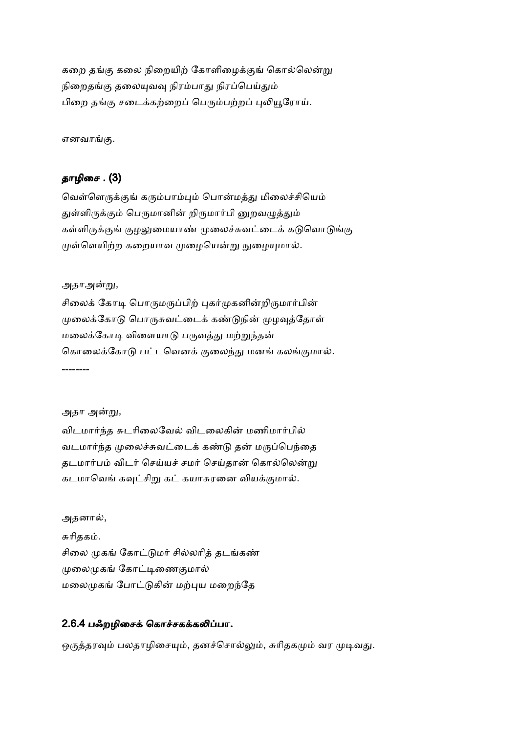கறை தங்கு கலை நிறையிற் கோளிழைக்குங் கொல்லென்று நிறைதங்கு தலையுவவு நிரம்பாது நிரப்பெய்தும் பிறை தங்கு சடைக்கற்றைப் பெரும்பற்றப் புலியூரோய்.

எனவாங்கு.

# தாழிசை . (3)

வெள்ளெருக்குங் கரும்பாம்பும் பொன்மத்து மிலைச்சியெம் துள்ளிருக்கும் பெருமானின் றிருமார்பி னுறவழுத்தும் கள்ளிருக்குங் குழலுமையாண் முலைச்சுவட்டைக் கடுவொடுங்கு முள்ளெயிற்ற கறையாவ முழையென்று நுழையுமால்.

அதாஅன்று,

சிலைக் கோடி பொருமருப்பிற் புகர்முகனின்றிருமார்பின் முலைக்கோடு பொருசுவட்டைக் கண்டுநின் முழவுத்தோள் மலைக்கோடி விளையாடு பருவத்து மற்றுந்தன் கொலைக்கோடு பட்டவெனக் குலைந்து மனங் கலங்குமால். --------

அதா அன்று,

விடமார்ந்த சுடரிலைவேல் விடலைகின் மணிமார்பில் வடமார்ந்த முலைச்சுவட்டைக் கண்டு தன் மருப்பெந்தை தடமார்பம் விடர் செய்யச் சமர் செய்தான் கொல்லென்று கடமாவெங் கவுட்சிறு கட் கயாசுரனை வியக்குமால்.

அதனால், சுரிதகம். சிலை முகங் கோட்டுமர் சில்லரித் தடங்கண் முலைமுகங் கோட்டிணைகுமால் மலைமுகங் போட்டுகின் மற்புய மறைந்தே

# 2.6.4 பஃறழிசைக் கொச்சகக்கலிப்பா.

ஒருத்தரவும் பலதாழிசையும், தனச்சொல்லும், சுரிதகமும் வர முடிவது.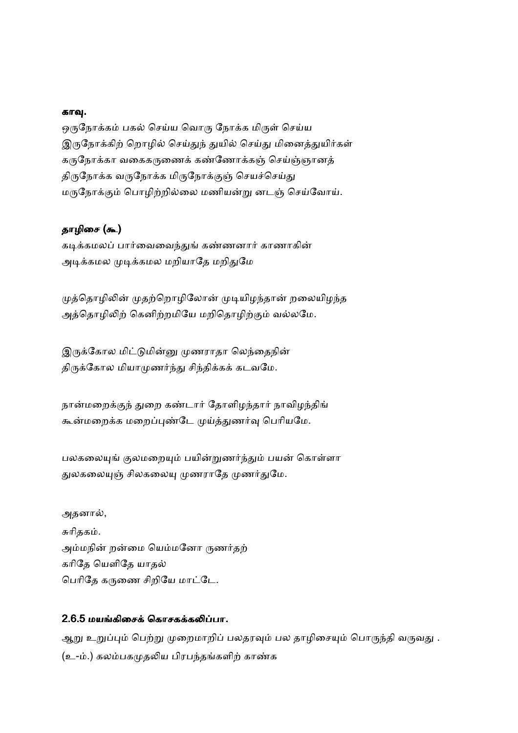#### காவு.

ஒருநோக்கம் பகல் செய்ய வொரு நோக்க மிருள் செய்ய இருநோக்கிற் றொழில் செய்துந் துயில் செய்து மினைத்துயிர்கள் கருநோக்கா வகைகருணைக் கண்ணோக்கஞ் செய்ஞ்ஞானத் திருநோக்க வருநோக்க மிருநோக்குஞ் செயச்செய்து மருநோக்கும் பொழிற்றில்லை மணியன்று னடஞ் செய்வோய்.

# தாழிசை (கூ)

கடிக்கமலப் பார்வைவைந்துங் கண்ணனார் காணாகின் அடிக்கமல முடிக்கமல மறியாதே மறிதுமே

முத்தொழிலின் முதற்றொழிலோன் முடியிழந்தான் றலையிழந்த அத்தொழிலிற் கெனிற்றமியே மறிதொழிற்கும் வல்லமே.

இருக்கோல மிட்டுமின்னு முணராதா லெந்தைநின் திருக்கோல மியாமுணர்ந்து சிந்திக்கக் கடவமே.

நான்மறைக்குந் துறை கண்டார் தோளிழந்தார் நாவிழந்திங் கூன்மறைக்க மறைப்புண்டே முய்த்துணர்வு பெரியமே.

பலகலையுங் குலமறையும் பயின்றுணர்ந்தும் பயன் கொள்ளா துலகலையுஞ் சிலகலையு முணராதே முணர்துமே.

அதனால், சுரிதகம். அம்மநின் றன்மை யெம்மனோ ருணர்தற் கரிதே யெளிதே யாதல் பெரிதே கருணை சிறியே மாட்டே.

## 2.6.5 மயங்கிசைக் கொசகக்கலிப்பா.

ஆறு உறுப்பும் பெற்று முறைமாறிப் பலதரவும் பல தாழிசையும் பொருந்தி வருவது . (உ-ம்.) கலம்பகமுதலிய பிரபந்தங்களிற் காண்க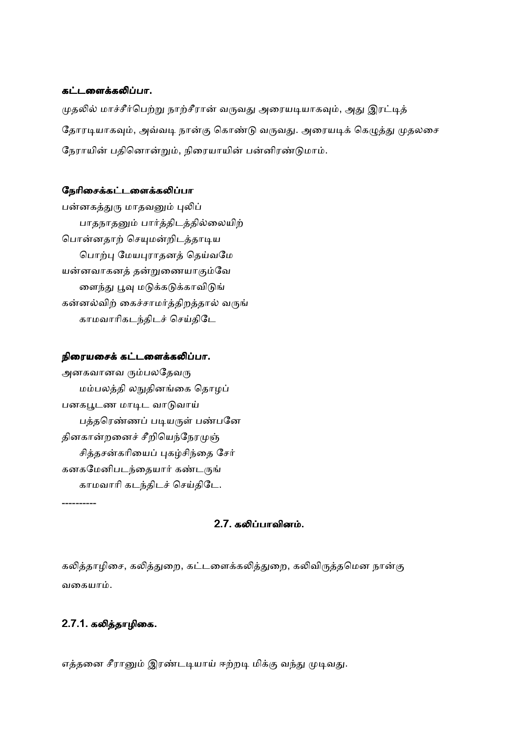#### கட்டளைக்கலிப்பா.

முதலில் மாச்சீர்பெற்று நாற்சீரான் வருவது அரையடியாகவும், அது இரட்டித் தோரடியாகவும், அவ்வடி நான்கு கொண்டு வருவது. அரையடிக் கெழுத்து முதலசை நேராயின் பதினொன்றும், நிரையாயின் பன்னிரண்டுமாம்.

#### நேரிசைக்கட்டளைக்கலிப்பா

பன்னகத்துரு மாதவனும் புலிப் பாதநாதனும் பார்த்திடத்தில்லையிற் பொன்னதாற் செயுமன்றிடத்தாடிய பொற்பு மேயபுராதனத் தெய்வமே யன்னவாகனத் தன்றுணையாகும்வே னைந்து பூவு மடுக்கடுக்காவிடுங் கன்னல்விற் கைச்சாமர்த்திறத்தால் வருங் காமவாரிகடந்திடச் செய்திடே

#### நிரையசைக் கட்டளைக்கலிப்பா.

அனகவானவ ரும்பலதேவரு மம்பலத்தி லநுதினங்கை தொழப் பனகபூடண மாடிட வாடுவாய் பத்தரெண்ணப் படியருள் பண்பனே தினகான்றனைச் சீறியெந்நேரமுஞ் சித்தசன்கரியைப் புகழ்சிந்தை சேர் கனகமேனிபடந்தையார் கண்டருங் காமவாரி கடந்திடச் செய்திடே. ----------

2.7. கலிப்பாவினம்.

கலித்தாழிசை, கலித்துறை, கட்டளைக்கலித்துறை, கலிவிருத்தமென நான்கு வகையாம்.

## 2.7.1. கலித்தாழிகை.

எத்தனை சீரானும் இரண்டடியாய் ஈற்றடி மிக்கு வந்து முடிவது.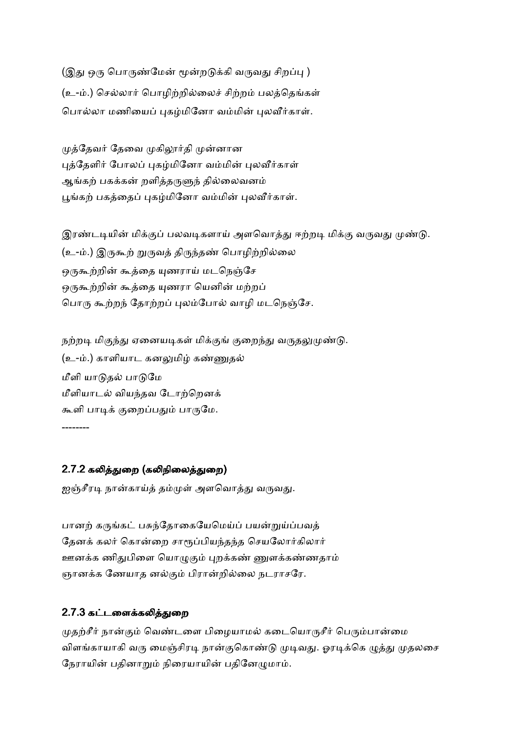(இது ஒரு பொருண்மேன் மூன்றடுக்கி வருவது சிறப்பு ) (உ-ம்.) செல்லார் பொழிற்றில்லைச் சிற்றம் பலத்தெங்கள் பொல்லா மணியைப் புகழ்மினோ வம்மின் புலவீர்காள்.

முத்தேவர் தேவை முகிலூர்தி முன்னான புத்தேளிர் போலப் புகழ்மினோ வம்மின் புலவீர்காள் ஆங்கற் பகக்கன் றளித்தருளுந் தில்லைவனம் பூங்கற் பகத்தைப் புகழ்மினோ வம்மின் புலவீர்காள்.

இரண்டடியின் மிக்குப் பலவடிகளாய் அளவொத்து ஈற்றடி மிக்கு வருவது முண்டு. (உ-ம்.) இருகூற் றுருவத் திருந்தண் பொழிற்றில்லை ஒருகூற்றின் கூத்தை யுணராய் மடநெஞ்சே ஒருகூற்றின் கூத்தை யுணரா யெனின் மற்றப் பொரு கூற்றந் தோற்றப் புலம்போல் வாழி மடநெஞ்சே.

நற்றடி மிகுந்து ஏனையடிகள் மிக்குங் குறைந்து வருதலுமுண்டு. (உ-ம்.) காளியாட கனலுமிழ் கண்ணுதல் மீளி யாடுதல் பாடுமே மீளியாடல் வியந்தவ டோற்றெனக் கூளி பாடிக் குறைப்பதும் பாருமே. --------

# 2.7.2 கலித்துறை (கலிநிலைத்துறை)

ஐஞ்சீரடி நான்காய்த் தம்முள் அளவொத்து வருவது.

பானற் கருங்கட் பசுந்தோகையேமெய்ப் பயன்றுய்ப்பவத் தேனக் கலர் கொன்றை சாரூப்பியந்தந்த செயலோர்கிலார் ஊனக்க ணிதுபிளை யொழுகும் புறக்கண் ணுளக்கண்ணதாம் ஞானக்க ணேயாத னல்கும் பிரான்றில்லை நடராசரே.

# 2.7.3 கட்டளைக்கலித்துறை

முதற்சீர் நான்கும் வெண்டளை பிழையாமல் கடையொருசீர் பெரும்பான்மை விளங்காயாகி வரு மைஞ்சிரடி நான்குகொண்டு முடிவது. ஓரடிக்கெ ழுத்து முதலசை நேராயின் பதினாறும் நிரையாயின் பதினேழுமாம்.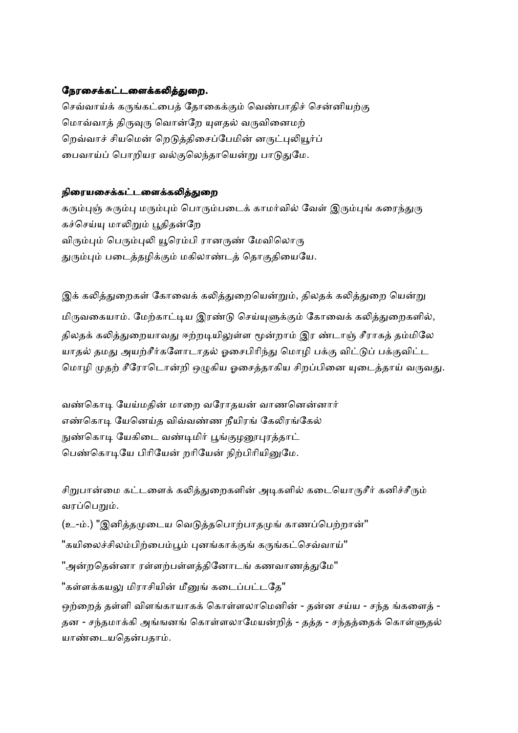## நேரசைக்கட்டளைக்கலித்துறை.

செவ்வாய்க் கருங்கட்பைக் கோகைக்கும் வெண்பாகிச் சென்னியற்கு மொவ்வாத் திருவுரு வொன்றே யுளதல் வருவினைமற் றெவ்வாச் சியமென் றெடுத்திசைப்பேமின் னருட்புலியூர்ப் பைவாய்ப் பொறியர வல்குலெந்தாயென்று பாடுதுமே.

## நிரையசைக்கட்டளைக்கலித்துறை

கரும்புஞ் சுரும்பு மரும்பும் பொரும்படைக் காமர்வில் வேள் இரும்புங் கரைந்துரு கச்செய்யு மாலிறும் பூதிதன்றே விரும்பும் பெரும்புலி யூரெம்பி ரானருண் மேவிலொரு துரும்பும் படைத்தழிக்கும் மகிலாண்டத் தொகுதியையே.

இக் கலித்துறைகள் கோவைக் கலித்துறையென்றும், திலதக் கலித்துறை யென்று மிருவகையாம். மேற்காட்டிய இரண்டு செய்யுளுக்கும் கோவைக் கலித்துறைகளில், திலதக் கலித்துறையாவது ஈற்றடியிலுள்ள மூன்றாம் இர ண்டாஞ் சீராகத் தம்மிலே யாதல் தமது அயற்சீர்களோடாதல் ஓசைபிரிந்து மொழி பக்கு விட்டுப் பக்குவிட்ட மொழி முதற் சீரோடொன்றி ஒழுகிய ஓசைத்தாகிய சிறப்பினை யுடைத்தாய் வருவது.

வண்கொடி யேய்மதின் மாறை வரோதயன் வாணனென்னார் எண்கொடி யேனெய்த விவ்வண்ண நீயிரங் கேலிரங்கேல் நுண்கொடி யேகிடை வண்டிமிர் பூங்குழனூபுரத்தாட் பெண்கொடியே பிரியேன் றரியேன் நிற்பிரியினுமே.

சிறுபான்மை கட்டளைக் கலித்துறைகளின் அடிகளில் கடையொருசீர் கனிச்சீரும் வரப்பெறும்.

(உ-ம்.) "இனித்தமுடைய வெடுத்தபொற்பாதமுங் காணப்பெற்றான்"

"கயிலைச்சிலம்பிற்பைம்பூம் புனங்காக்குங் கருங்கட்செவ்வாய்"

"அன்றதென்னா ரள்ளற்பள்ளத்தினோடங் கணவாணத்துமே"

"கள்ளக்கயலு மிராசியின் மீனுங் கடைப்பட்டதே"

ஒற்றைத் தள்ளி விளங்காயாகக் கொள்ளலாமெனின் - தன்ன சய்ய - சந்த ங்களைத் -தன - சந்தமாக்கி அங்ஙனங் கொள்ளலாமேயன்றித் - தத்த - சந்தத்தைக் கொள்ளுதல் யாண்டையதென்பதாம்.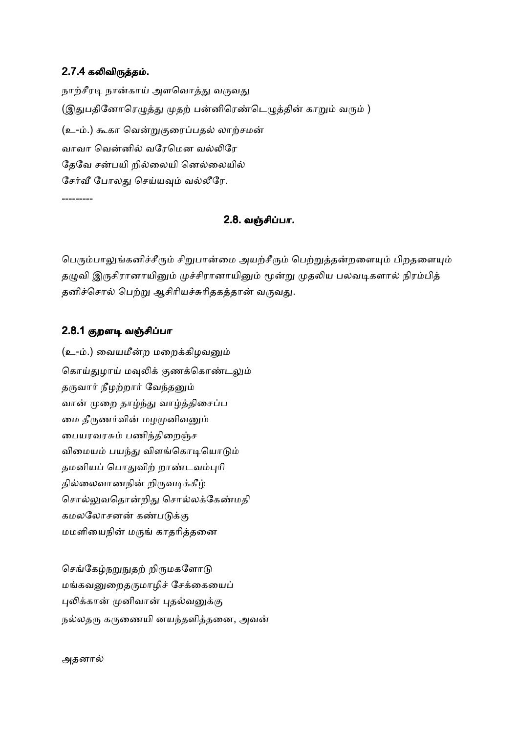# 2.7.4 கலிவிருத்தம்.

நாற்சீரடி நான்காய் அளவொத்து வருவது (இதுபதினோரெழுத்து முதற் பன்னிரெண்டெழுத்தின் காறும் வரும் ) (உ-ம்.) கூகா வென்றுகுரைப்பதல் லாற்சமன் வாவா வென்னில் வரேமென வல்லிரே தேவே சன்பயி றில்லையி னெல்லையில் சேர்வீ போலது செய்யவும் வல்லீரே. ---------

# 2.8. வஞ்சிப்பா.

பெரும்பாலுங்கனிச்சீரும் சிறுபான்மை அயற்சீரும் பெற்றுத்தன்றளையும் பிறதளையும் தழுவி இருசிரானாயினும் முச்சிரானாயினும் மூன்று முதலிய பலவடிகளால் நிரம்பித் தனிச்சொல் பெற்று ஆசிரியச்சுரிதகத்தான் வருவது.

## 2.8.1 குறளடி வஞ்சிப்பா

(உ-ம்.) வையமீன்ற மறைக்கிழவனும் கொய்துழாய் மவுலிக் குணக்கொண்டலும் தருவார் நீழற்றார் வேந்தனும் வான் முறை தாழ்ந்து வாழ்த்திசைப்ப மை தீருணர்வின் மழமுனிவனும் பையரவரசும் பணிந்திறைஞ்ச விமையம் பயந்து விளங்கொடியொடும் தமனியப் பொதுவிற் றாண்டவம்புரி தில்லைவாணநின் றிருவடிக்கீழ் சொல்லுவதொன்றிது சொல்லக்கேண்மதி கமலலோசனன் கண்படுக்கு மமளியைநின் மருங் காதரித்தனை

செங்கேம்நறுநுதற் றிருமகளோடு மங்கவனுறைதருமாழிச் சேக்கையைப் புலிக்கான் முனிவான் புதல்வனுக்கு நல்லதரு கருணையி னயந்தளித்தனை, அவன்

அதனால்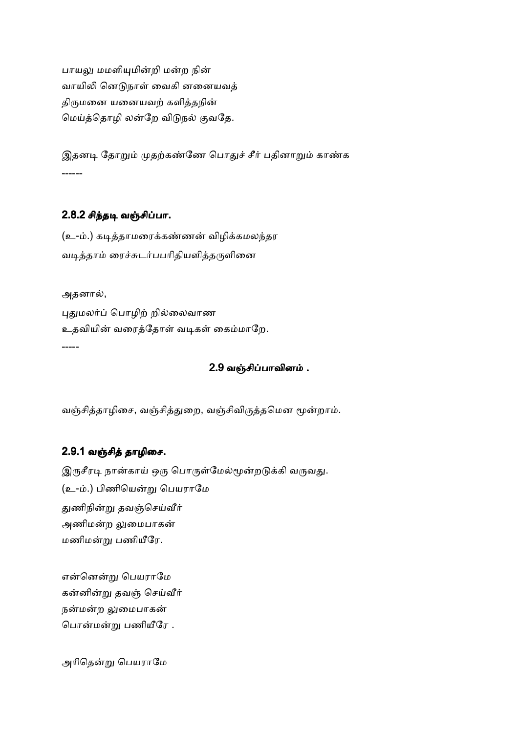பாயலு மமளியுமின்றி மன்ற நின் வாயிலி னெடுநாள் வைகி னனையவத் திருமனை யனையவற் களித்தநின் மெய்த்தொழி லன்றே விடுநல் குவதே.

இதனடி தோறும் முதற்கண்ணே பொதுச் சீர் பதினாறும் காண்க ------

# 2.8.2 சிந்தடி வஞ்சிப்பா.

(உ-ம்.) கடித்தாமரைக்கண்ணன் விழிக்கமலந்தர வடித்தாம் ரைச்சுடர்பபரிதியளித்தருளினை

அதனால்,

புதுமலர்ப் பொழிற் றில்லைவாண உதவியின் வரைத்தோள் வடிகள் கைம்மாறே. -----

# 2.9 வஞ்சிப்பாவினம் .

வஞ்சித்தாழிசை, வஞ்சித்துறை, வஞ்சிவிருத்தமென மூன்றாம்.

# 2.9.1 வஞ்சித் தாழிசை.

இருசீரடி நான்காய் ஒரு பொருள்மேல்மூன்றடுக்கி வருவது. (உ-ம்.) பிணியென்று பெயராமே துணிநின்று தவஞ்செய்வீர் அணிமன்ற லுமைபாகன் மணிமன்று பணியீரே.

என்னென்று பெயராமே கன்னின்று தவஞ் செய்வீர் நன்மன்ற லுமைபாகன் பொன்மன்று பணியீரே .

அரிதென்று பெயராமே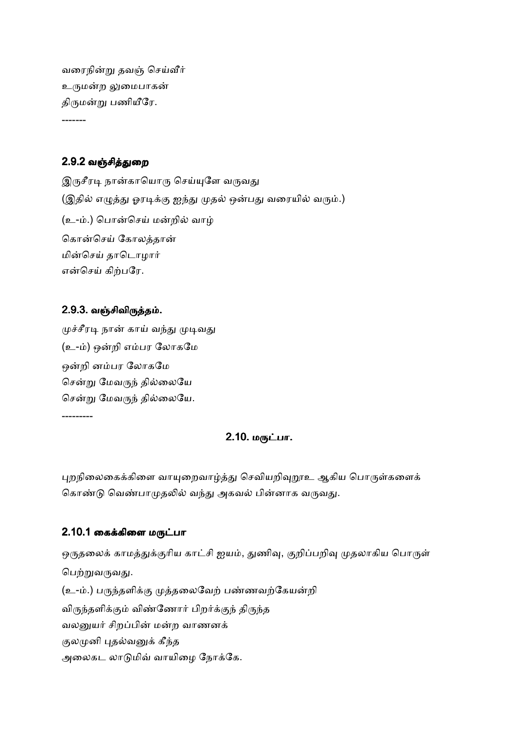வரைநின்று தவஞ் செய்வீர் உருமன்ற லுமைபாகன் திருமன்று பணியீரே.

# 2.9.2 வஞ்சித்துறை

-------

இருசீரடி நான்காயொரு செய்யுளே வருவது (இதில் எழுத்து ஓரடிக்கு ஐந்து முதல் ஒன்பது வரையில் வரும்.) (உ-ம்.) பொன்செய் மன்றில் வாழ் கொன்செய் கோலத்தான் மின்செய் தாடொமார் என்செய் கிற்பரே.

# 2.9.3. வஞ்சிவிருத்தம்.

---------

முச்சீரடி நான் காய் வந்து முடிவது (உ-ம்) ஒன்றி எம்பர லோகமே ஒன்றி னம்பர லோகமே சென்று மேவருந் தில்லையே சென்று மேவருந் தில்லையே.

2.10. மருட்பா.

புறநிலைகைக்கிளை வாயுறைவாழ்த்து செவியறிவுறூஉ ஆகிய பொருள்களைக் கொண்டு வெண்பாமுதலில் வந்து அகவல் பின்னாக வருவது.

# 2.10.1 கைக்கிளை மருட்பா

ஒருதலைக் காமத்துக்குரிய காட்சி ஐயம், துணிவு, குறிப்பறிவு முதலாகிய பொருள் பெற்றுவருவது. (உ-ம்.) பருந்தளிக்கு முத்தலைவேற் பண்ணவற்கேயன்றி விருந்தளிக்கும் விண்ணோர் பிறர்க்குந் திருந்த வலனுயர் சிறப்பின் மன்ற வாணனக் குலமுனி புதல்வனுக் கீந்த அலைகட லாடுமிவ் வாயிழை நோக்கே.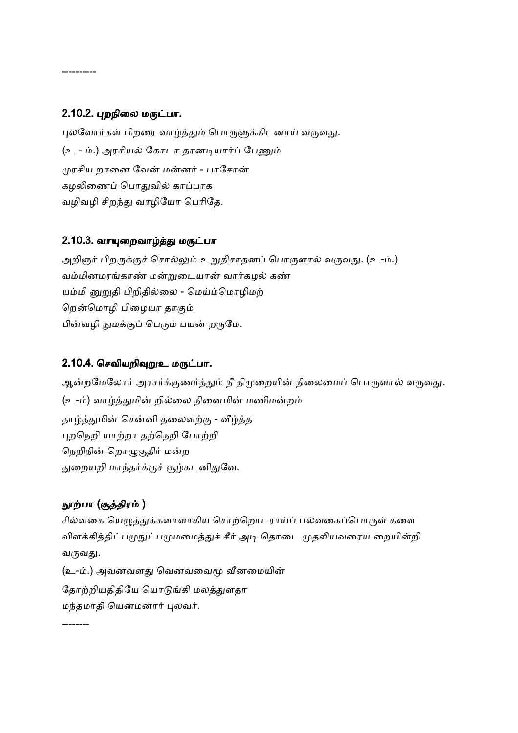# 2.10.2. புறநிலை மருட்பா.

----------

புலவோர்கள் பிறரை வாழ்த்தும் பொருளுக்கிடனாய் வருவது. (உ - ம்.) அரசியல் கோடா தரனடியார்ப் பேணும் முரசிய றானை வேன் மன்னர் - பாசோன் கழலிணைப் பொதுவில் காப்பாக வழிவழி சிறந்து வாழியோ பெரிதே.

# 2.10.3. வாயுறைவாழ்த்து மருட்பா

அறிஞர் பிறருக்குச் சொல்லும் உறுதிசாதனப் பொருளால் வருவது. (உ-ம்.) வம்மினமரங்காண் மன்றுடையான் வார்கமல் கண் யம்மி னுறுதி பிறிதில்லை - மெய்ம்மொழிமற் றென்மொழி பிழையா தாகும் பின்வழி நுமக்குப் பெரும் பயன் றருமே.

# 2.10.4. செவியறிவுறுஉ மருட்பா.

ஆன்றமேலோர் அரசர்க்குணர்த்தும் நீ திமுறையின் நிலைமைப் பொருளால் வருவது. (உ-ம்) வாழ்த்துமின் றில்லை நினைமின் மணிமன்றம் தாழ்த்துமின் சென்னி தலைவற்கு - வீழ்த்த புறநெறி யாற்றா தற்நெறி போற்றி நெறிநின் றொழுகுதிர் மன்ற துறையறி மாந்தர்க்குச் சூழ்கடனிதுவே.

# நூற்பா (சூத்திரம் )

--------

சில்வகை யெமுத்துக்களாளாகிய சொற்றொடராய்ப் பல்வகைப்பொருள் களை விளக்கித்திட்பமுநுட்பமுமமைத்துச் சீர் அடி தொடை முதலியவரைய றையின்றி வருவது.

(உ-ம்.) அவனவளது வெனவவைமூ வீனமையின் தோற்றியதிதியே யொடுங்கி மலத்துளதா மந்தமாதி யென்மனார் புலவர்.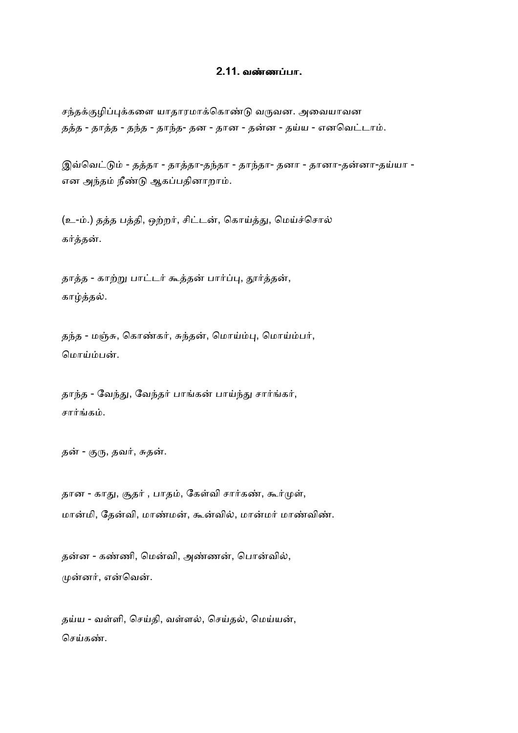#### 2.11. வண்ணப்பா.

சந்தக்குழிப்புக்களை யாதாரமாக்கொண்டு வருவன. அவையாவன தத்த - தாத்த - தந்த - தாந்த- தன - தான - தன்ன - தய்ய - எனவெட்டாம்.

இவ்வெட்டும் - தத்தா - தாத்தா-தந்தா - தாந்தா- தனா - தானா-தன்னா-தய்யா -என அந்தம் நீண்டு ஆகப்பதினாறாம்.

(உ-ம்.) தத்த பத்தி, ஒற்றர், சிட்டன், கொய்த்து, மெய்ச்சொல் கர்த்தன்.

தாத்த - காற்று பாட்டர் கூத்தன் பார்ப்பு, தூர்த்தன், காழ்த்தல்.

தந்த - மஞ்சு, கொண்கர், சுந்தன், மொய்ம்பு, மொய்ம்பர், மொய்ம்பன்.

தாந்த - வேந்து, வேந்தர் பாங்கன் பாய்ந்து சார்ங்கர், சார்ங்கம்.

தன் - குரு, தவர், சுதன்.

தான - காது, சூதர் , பாதம், கேள்வி சார்கண், கூர்முள், மான்மி, தேன்வி, மாண்மன், கூன்வில், மான்மர் மாண்விண்.

தன்ன - கண்ணி, மென்வி, அண்ணன், பொன்வில், முன்னர், என்வென்.

தய்ய - வள்ளி, செய்தி, வள்ளல், செய்தல், மெய்யன், செய்கண்.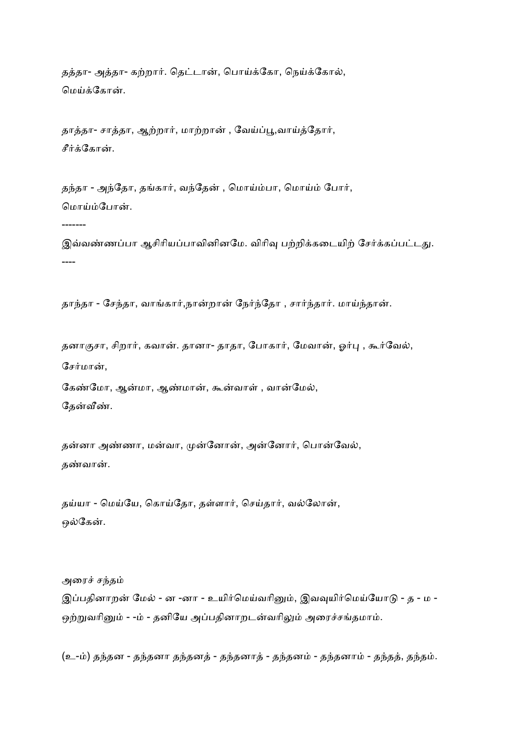தத்தா- அத்தா- கற்றார். தெட்டான், பொய்க்கோ, நெய்க்கோல், மெய்க்கோன்.

தாத்தா- சாத்தா, ஆற்றார், மாற்றான் , வேய்ப்பூ,வாய்த்தோர், சீர்க்கோன்.

தந்தா - அந்தோ, தங்கார், வந்தேன் , மொய்ம்பா, மொய்ம் போர், மொய்ம்போன்.

-------

இவ்வண்ணப்பா ஆசிரியப்பாவினினமே. விரிவு பற்றிக்கடையிற் சேர்க்கப்பட்டது. ----

தாந்தா - சேந்தா, வாங்கார்,நான்றான் நேர்ந்தோ , சார்ந்தார். மாய்ந்தான்.

தனாகுசா, சிறார், கவான். தானா- தாதா, போகார், மேவான், ஓர்பு , கூர்வேல், சேர்மான்,

கேண்மோ, ஆன்மா, ஆண்மான், கூன்வாள் , வான்மேல், தேன்வீண்.

தன்னா அண்ணா, மன்வா, முன்னோன், அன்னோர், பொன்வேல், தண்வான்.

தய்யா - மெய்யே, கொய்தோ, தள்ளார், செய்தார், வல்லோன், ஒல்கேன்.

அரைச் சந்தம் இப்பதினாறன் மேல் - ன -னா - உயிர்மெய்வரினும், இவவுயிர்மெய்யோடு - த - ம -ஒற்றுவரினும் - -ம் - தனியே அப்பதினாறடன்வரிலும் அரைச்சங்தமாம்.

(உ-ம்) தந்தன - தந்தனா தந்தனத் - தந்தனாத் - தந்தனம் - தந்தனாம் - தந்தத், தந்தம்.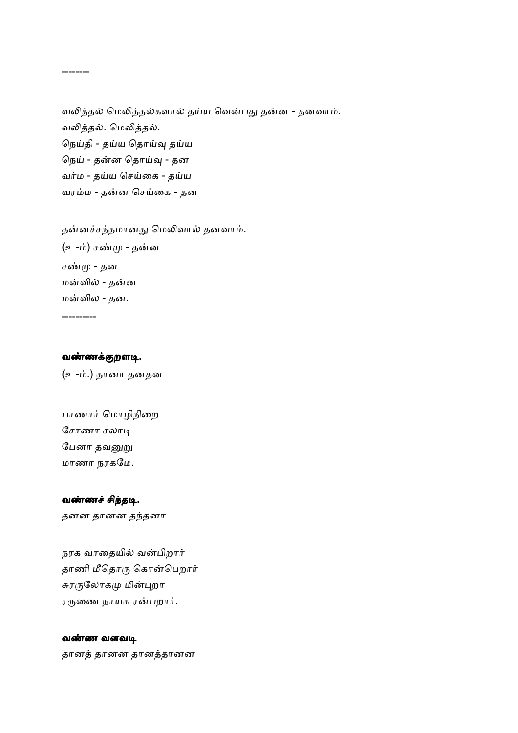வலித்தல் மெலித்தல்களால் தய்ய வென்பது தன்ன - தனவாம். வலித்தல். மெலித்தல். நெய்தி - தய்ய தொய்வு தய்ய நெய் - தன்ன தொய்வு - தன வர்ம - தய்ய செய்கை - தய்ய வரம்ம - தன்ன செய்கை - தன

தன்னச்சந்தமானது மெலிவால் தனவாம். (உ-ம்) சண்மு - தன்ன சண்மு - தன மன்வில் - தன்ன மன்வில - தன.

----------

--------

#### வண்ணக்குறளடி.

(உ-ம்.) தானா தனதன

பாணார் மொழிநிறை சோணா சலாடி பேனா தவனுறு மாணா நரகேம.

# வண்ணச் சிந்தடி.

தனன தானன ததனா

நரக வாதையில் வன்பிறார் தாணி மீதொரு கொன்பெறார் சுரருலோகமு மின்புறா ரருணை நாயக ரன்பறார்.

#### வண்ண வளவடி

தான
 தானன தான
தானன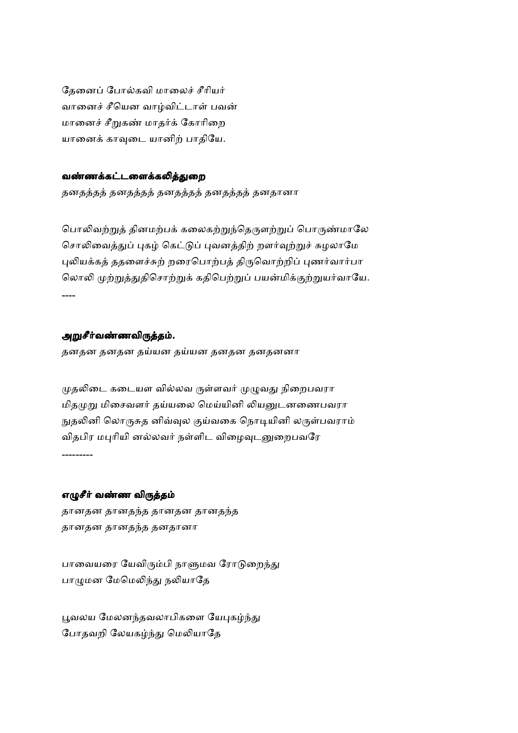தேனைப் போல்கவி மாலைச் சீரியர் வானைச் சீயென வாழ்விட்டாள் பவன் மானைச் சீறுகண் மாதர்க் கோரிறை யானைக் காவுடை யானிற் பாதியே.

## வண்ணக்கட்டளைக்கலித்துறை

தனதத்தத் தனதத்தத் தனதத்தத் தனதானா

பொலிவற்றுத் தினமற்பக் கலைகற்றுந்தெருளற்றுப் பொருண்மாலே சொலிவைத்துப் புகழ் கெட்டுப் புவனத்திற் றளர்வுற்றுச் சுழலாமே புலியக்கத் ததளைச்சுற் றரைபொற்பத் திருவொற்றிப் புணர்வார்பா லொலி முற்றுத்துதிசொற்றுக் கதிபெற்றுப் பயன்மிக்குற்றுயர்வாயே. ----

## அறுசீர்வண்ணவிருத்தம்.

தனதன தனதன தய்யன தனதன தனதனனா

முதலிடை கடையள வில்லவ ருள்ளவர் முழுவது நிறைபவரா மிதமுறு மிசைவளர் தய்யலை மெய்யினி லியனுடனணைபவரா நுதலினி லொருசுத னிவ்வுல குய்வகை நொடியினி லருள்பவராம் விதபிர மபுரியி னல்லவர் நள்ளிட விழைவுடனுறைபவரே

---------

#### எழுசீர் வண்ண விருத்தம்

தானதன தானதந்த தானதன தானதந்த தானதன தானதந்த தனதானா

பாவையரை யேவிரும்பி நாளுமவ ரோடுறைந்து பாழுமன மேமெலிந்து நலியாதே

பூவலய மேலனந்தவலாபிகளை யேபுகழ்ந்து போதவறி லேயகழ்ந்து மெலியாதே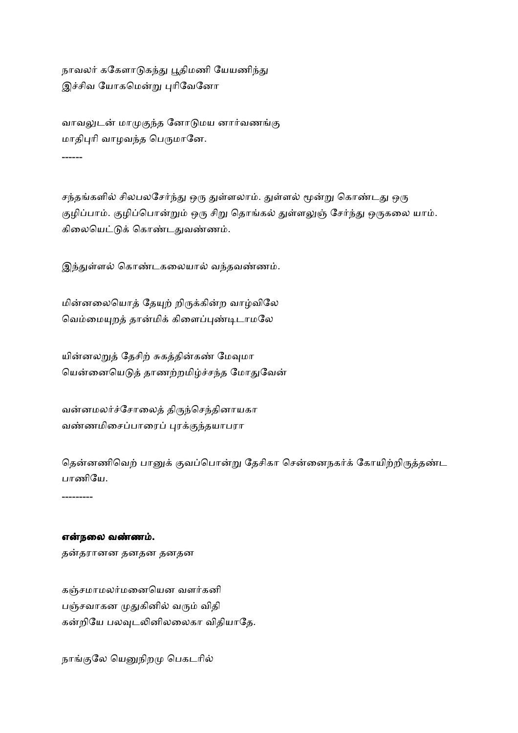நாவலர் ககேளாடுகந்து பூதிமணி யேயணிந்து இச்சிவ யோகமென்று புரிவேனோ

வாவலுடன் மாமுகுந்த னோடுமய னார்வணங்கு மாதிபுரி வாழவந்த பெருமானே. ------

சந்தங்களில் சிலபலசேர்ந்து ஒரு துள்ளலாம். துள்ளல் மூன்று கொண்டது ஒரு குழிப்பாம். குழிப்பொன்றும் ஒரு சிறு தொங்கல் துள்ளலுஞ் சேர்ந்து ஒருகலை யாம். கிலையெட்டுக் கொண்டதுவண்ணம்.

இந்துள்ளல் கொண்டகலையால் வந்தவண்ணம்.

மின்னலையொத் தேயுற் றிருக்கின்ற வாழ்விலே வெம்மையுறத் தான்மிக் கிளைப்புண்டிடாமலே

யின்னலறுத் தேசிற் சுகத்தின்கண் மேவுமா யென்னையெடுத் தாணற்றமிழ்ச்சந்த மோதுவேன்

வன்னமலர்ச்சோலைத் திருந்செந்தினாயகா வண்ணமிசைப்பாரைப் புரக்குந்தயாபரா

தென்னணிவெற் பானுக் குவப்பொன்று தேசிகா சென்னைநகர்க் கோயிற்றிருத்தண்ட பாணியே.

---------

#### என்நலை வண்ணம்.

தன்தரானன தனதன தனதன

கஞ்சமாமலர்மனையென வளர்கனி பஞ்சவாகன முதுகினில் வரும் விதி கன்றியே பலவுடலினிலலைகா விதியாதே.

நாங்குலே யெனுநிறமு பெகடரில்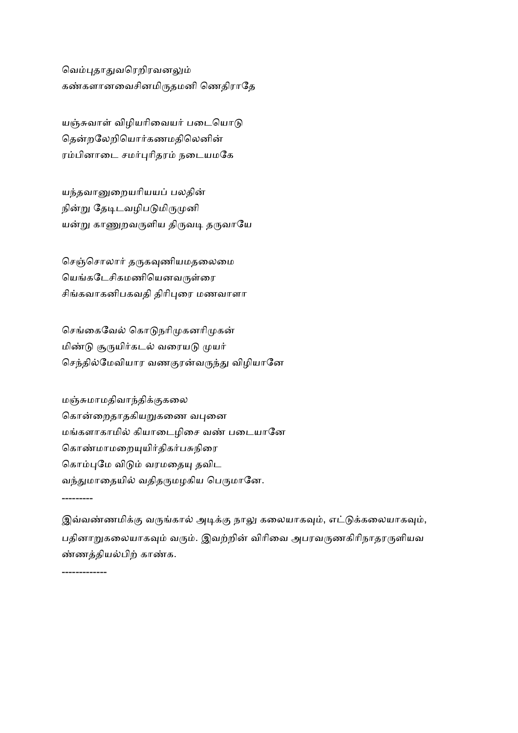வெம்புதாதுவரெறிரவனலும் கண்களானவைசினமிருதமனி ணெதிராதே

யஞ்சுவாள் விழியரிவையர் படையொடு தென்றலேறியொர்கணமதிலெனின் ரம்பினாடை சமர்புரிதரம் நடையமகே

யந்தவானுறையரியயப் பலதின் நின்று தேடிடவழிபடுமிருமுனி யன்று காணுறவருளிய திருவடி தருவாயே

செஞ்சொலார் தருகவுணியமதலைமை யெங்கடேசிகமணியெனவருள்ரை சிங்கவாகனிபகவதி திரிபுரை மணவாளா

செங்கைவேல் கொடுநரிமுகனரிமுகன் மிண்டு சூருயிர்கடல் வரையடு முயர் செந்தில்மேவியார வணகுரன்வருந்து விழியானே

மஞ்சுமாமதிவாந்திக்குகலை கொன்றைதாதகியறுகணை வபுனை மங்களாகாமில் கியாடைழிசை வண் படையானே கொண்மாமறையுயிர்திகர்பசுநிரை கொம்புமே விடும் வரமதையு தவிட வந்துமாதையில் வதிதருமழகிய பெருமானே.

---------

-------------

இவ்வண்ணமிக்கு வருங்கால் அடிக்கு நாலு கலையாகவும், எட்டுக்கலையாகவும், பதினாறுகலையாகவும் வரும். இவற்றின் விரிவை அபரவருணகிரிநாதரருளியவ ண்ணத்தியல்பிற் காண்க.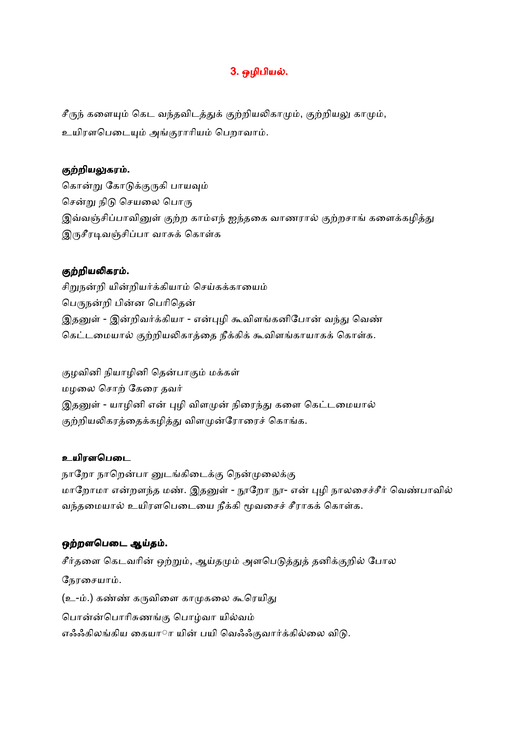# 3. ஒழிபியல்.

 $\mathcal{F}$ ருந் களையும் கெட வந்தவிடத்துக் குற்றியலிகாமும், குற்றியலு காமும், உயிரளபெடையும் அங்குராரியம் பெறாவாம்.

## குற்றியலுகரம்.

கொன்று கோடுக்குருகி பாயவும் சென்று நிடு செயலை பொரு இவ்வஞ்சிப்பாவினுள் குற்ற காம்எந் ஐந்தகை வாணரால் குற்றசாங் களைக்கழித்து இருசீரடிவஞ்சிப்பா வாசுக் கொள்க

## குற்றியலிகரம்.

சிறுநன்றி யின்றியர்க்கியாம் செய்கக்காயைம் பெருநன்றி பின்ன பெரிதென் இதனுள் - இன்றிவர்க்கியா - என்புழி கூவிளங்கனிபோன் வந்து வெண் கெட்டமையால் குற்றியலிகாத்தை நீக்கிக் கூவிளங்காயாகக் கொள்க.

குழவினி நியாழினி தென்பாகும் மக்கள் மழலை சொற் கேரை தவர் இதனுள் - யாழினி என் புழி விளமுன் நிரைந்து களை கெட்டமையால் குற்றியலிகரத்தைக்கழித்து விளமுன்ரோரைச் கொங்க.

# உயிரளபெடை

நாறோ நாறென்பா னுடங்கிடைக்கு நென்முலைக்கு மாறோமா என்றளந்த மண். இதனுள் - நூறோ நூ- என் புழி நாலசைச்சீர் வெண்பாவில் வந்தமையால் உயிரளபெடையை நீக்கி மூவசைச் சீராகக் கொள்க.

# ஒற்றளபெடை ஆய்தம்.

சீர்தளை கெடவரின் ஒற்றும், ஆய்தமும் அளபெடுத்துத் தனிக்குறில் போல நேரசையாம். (உ-ம்.) கண்ண் கருவிளை காமுகலை கூரெயிது பொன்ன்பொரிசுணங்கு பொழ்வா யில்வம் எஃஃகிலங்கிய கையாரா யின் பயி வெஃஃகுவார்க்கில்லை விடு.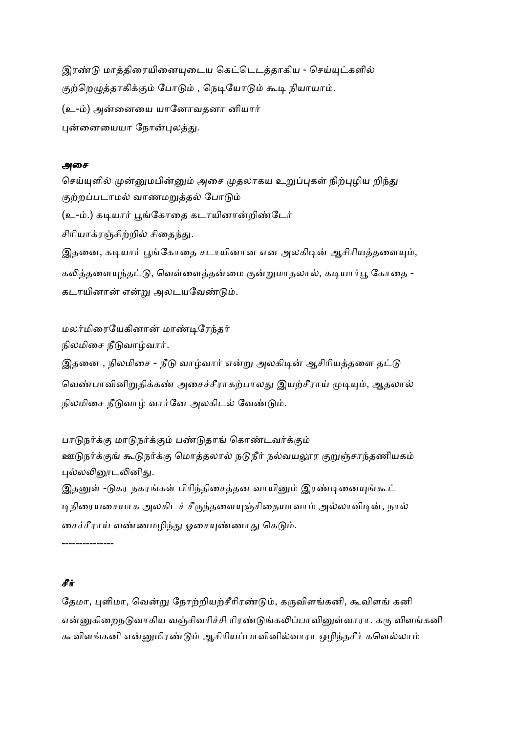இரண்டு மாத்திரையினையுடைய கெட்டெடத்தாகிய - செய்யுட்களில் குற்றெழுத்தாகிக்கும் போடும் , நெடியோடும் கூடி நியாயாம். (உ-ம்) அன்னையை யானோவதனா னியார் புன்னையையா நோன்புலத்து.

## அைச

செய்யுளில் முன்னுமபின்னும் அசை முதலாகய உறுப்புகள் நிற்புழிய றிந்து குற்றப்படாமல் வாணமறுத்தல் போடும் (உ-ம்.) கடியார் பூங்கோதை கடாயினான்றிண்டேர் சிரியாகாள்சிற்றில் சிகைந்து. இதனை, கடியார் பூங்கோதை சடாயினான என அலகிடின் ஆசிரியத்தளையும், கலித்தளையுந்தட்டு, வெள்ளைத்தன்மை குன்றுமாதலால், கடியார்பூ கோதை -கடாயினான் என்று அலடயவேண்டும்.

மலர்மிரையேகினான் மாண்டிரேந்தர்

நிலமிசை நீடுவாழ்வார்.

இதனை , நிலமிசை - நீடு வாழ்வார் என்று அலகிடின் ஆசிரியத்தளை தட்டு வெண்பாவினிறுதிக்கண் அசைச்சீராகற்பாலது இயற்சீராய் முடியும், ஆதலால் நிலமிசை நீடுவாழ் வார்னே அலகிடல் வேண்டும்.

பாடுநர்க்கு மாடுநர்க்கும் பண்டுதாங் கொண்டவர்க்கும் ஊடுநர்க்குங் கூடுநர்க்கு மொத்தலால் நடுநீர் நல்வயலூர குறுஞ்சாந்தணியகம் புல்லலினூடலினிது. இதனுள் -டுகர நகரங்கள் பிரிந்திசைத்தன வாயினும் இரண்டினையுங்கூட் டிநிரையசையாக அலகிடச் சீருந்தளையுஞ்சிதையாவாம் அல்லாவிடின், நால்

சைச்சீராய் வண்ணமழிந்து ஓசையுண்ணாது கெடும்.

---------------

# சீ#

தேமா, புளிமா, வென்று நோற்றியற்சீரிரண்டும், கருவிளங்கனி, கூவிளங் கனி என்னுகிறைநடுவாகிய வஞ்சிவரிச்சி ரிரண்டுங்கலிப்பாவினுள்வாரா. கரு விளங்கனி கூவிளங்கனி என்னுமிரண்டும் ஆசிரியப்பாவினில்வாரா ஒழிந்தசீர் களெல்லாம்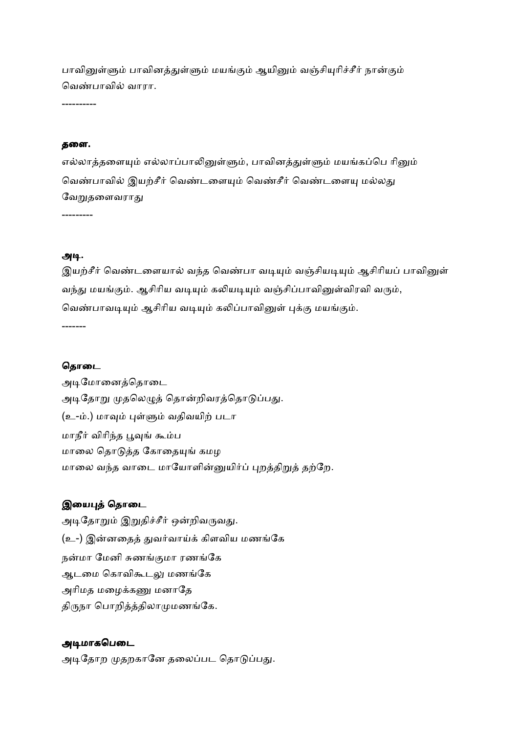பாவினுள்ளும் பாவினத்துள்ளும் மயங்கும் ஆயினும் வஞ்சியுரிச்சீர் நான்கும் வெண்பாவில் வாரா.

----------

#### தைள.

எல்லாத்தளையும் எல்லாப்பாலினுள்ளும், பாவினத்துள்ளும் மயங்கப்பெ ரினும் வெண்பாவில் இயற்சீர் வெண்டளையும் வெண்சீர் வெண்டளையு மல்லது வேறுகளைவராகு

---------

## அடி.

இயற்சீர் வெண்டளையால் வந்த வெண்பா வடியும் வஞ்சியடியும் ஆசிரியப் பாவினுள் வந்து மயங்கும். ஆசிரிய வடியும் கலியடியும் வஞ்சிப்பாவினுள்விரவி வரும், வெண்பாவடியும் ஆசிரிய வடியும் கலிப்பாவினுள் புக்கு மயங்கும். -------

#### தொடை

அடிமோனைத்தொடை அடிதோறு முதலெழுத் தொன்றிவரத்தொடுப்பது. (உ-ம்.) மாவும் புள்ளும் வதிவயிற் படா மாநீர் விரிந்த பூவுங் கூம்ப மாலை தொடுத்த கோதையுங் கமழ மாலை வந்த வாடை மாயோளின்னுயிர்ப் புறத்திறுத் தற்றே.

## இயைபுத் தொடை

அடிதோறும் இறுதிச்சீர் ஒன்றிவருவது. (உ-) இன்னதைத் துவர்வாய்க் கிளவிய மணங்கே நன்மா மேனி சுணங்குமா ரணங்கே ஆடமை கொவிகூடலு மணங்கே அரிமத மழைக்கணு மனாதே திருநா பொறித்த்திலாமுமணங்கே.

## அடிமாகபெடை

அடிதோற முதறகானே தலைப்பட தொடுப்பது.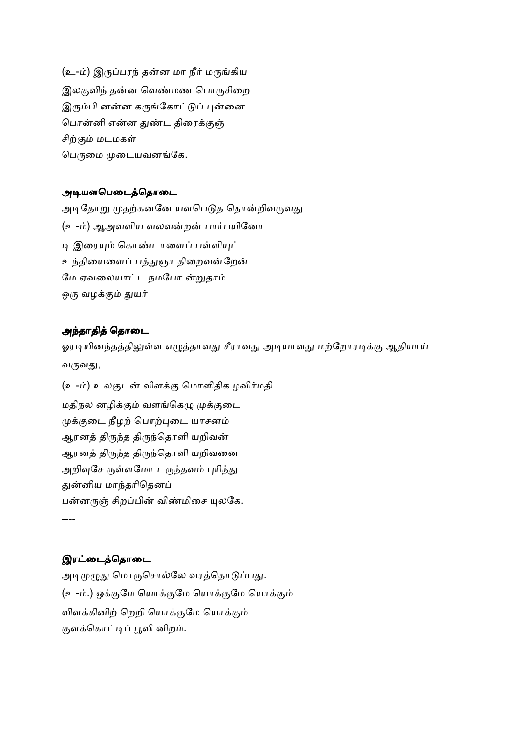(உ-ம்) இருப்பரந் தன்ன மா நீர் மருங்கிய இலகுவிந் தன்ன வெண்மண பொருசிறை இரும்பி னன்ன கருங்கோட்டுப் புன்னை பொன்னி என்ன துண்ட திரைக்குஞ் சிற்கும் மடமகள் பெருமை முடையவனங்கே.

# அடியளபெடைத்தொடை

அடிதோறு முதற்கனனே யளபெடுத தொன்றிவருவது (உ-ம்) ஆஅவளிய வலவன்றன் பார்பயினோ டி இரையம் கொண்டாளைப் பள்ளியட் உந்தியைளைப் பத்துஞா திறைவன்றேன் மே ஏவலையாட்ட நமபோ ன்றுதாம் ஒரு வழக்கும் துயர்

# அந்தாதித் தொடை

ஓரடியினந்தத்திலுள்ள எழுத்தாவது சீராவது அடியாவது மற்றோரடிக்கு ஆதியாய் வருவது,

(உ-ம்) உலகுடன் விளக்கு மொளிதிக ழவிர்மதி மதிநல னழிக்கும் வளங்கெழு முக்குடை முக்குடை நீழற் பொற்புடை யாசனம் ஆரனத் திருந்த திருந்தொளி யறிவன் ஆரனத் திருந்த திருந்தொளி யறிவனை அறிவுசே ருள்ளமோ டருந்தவம் புரிந்து துன்னிய மாந்தரிதெனப் பன்னருஞ் சிறப்பின் விண்மிசை யுலகே. ----

# இரட்டைத்தொடை

அடிமுழுது மொருசொல்லே வரத்தொடுப்பது. (உ-ம்.) ஒக்குமே யொக்குமே யொக்குமே யொக்கும் விளக்கினிற் றெறி யொக்குமே யொக்கும் குளக்கொட்டிப் பூவி னிறம்.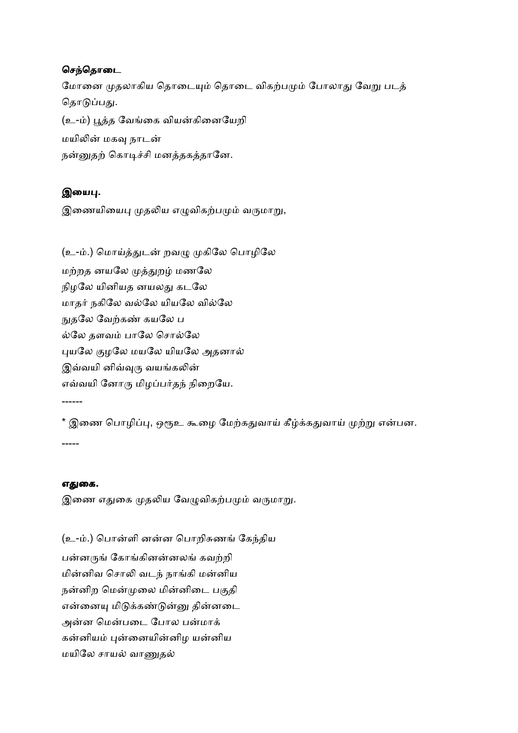# செந்தொடை

மோனை முதலாகிய தொடையும் தொடை விகற்பமும் போலாது வேறு படத் தொடுப்பது. (உ-ம்) பூத்த வேங்கை வியன்கினையேறி மயிலின் மகவு நாடன் நன்னுதற் கொடிச்சி மனத்தகத்தானே.

# இயைபு.

இணையியைபு முதலிய எழுவிகற்பமும் வருமாறு,

(உ-ம்.) மொய்த்துடன் றவழு முகிலே பொழிலே மற்றத னயலே முத்துறழ் மணலே நிழலே யினியத னயலது கடலே மாதர் நகிலே வல்லே யியலே வில்லே நுதலே வேற்கண் கயலே ப ல்லே தளவம் பாலே சொல்லே புயலே குழலே மயலே யியலே அதனால் இவ்வயி னிவ்வுரு வயங்கலின் எவ்வயி னோரு மிழப்பர்தந் நிறையே.

\* இணை பொழிப்பு, ஒரூஉ கூழை மேற்கதுவாய் கீழ்க்கதுவாய் முற்று என்பன. -----

## எதுகை.

------

இணை எதுகை முதலிய வேழுவிகற்பமும் வருமாறு.

(உ-ம்.) பொன்ளி னன்ன பொறிசுணங் கேந்திய பன்னருங் கோங்கினன்னலங் கவற்றி மின்னிவ சொலி வடந் நாங்கி மன்னிய நன்னிற மென்முலை மின்னிடை பகுதி என்னையு மிடுக்கண்டுன்னு தின்னடை அன்ன மென்படை போல பன்மாக் கன்னியம் புன்னையின்னிழ யன்னிய மயிலே சாயல் வாணுதல்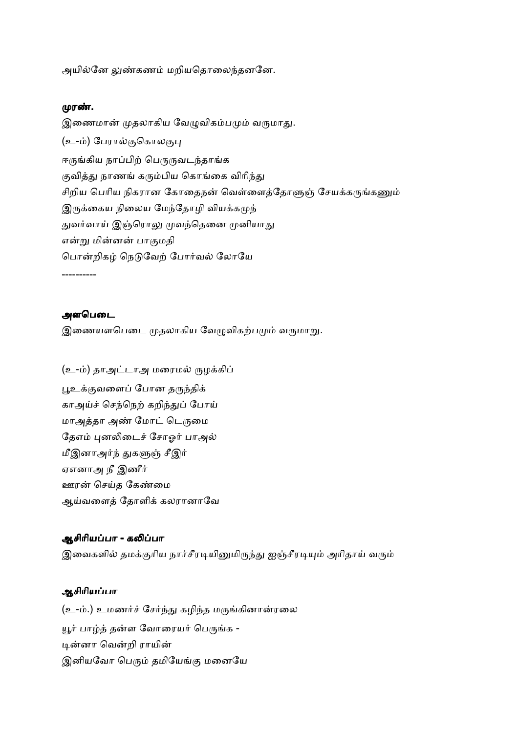அயில்னே லுண்கணம் மறியதொலைந்தனனே.

#### முரண்.

இணைமான் முதலாகிய வேழுவிகம்பமும் வருமாது. (உ-ம்) பேரால்குகொலகுபு ஈருங்கிய நாப்பிற் பெருருவடந்தாங்க குவித்து நாணங் கரும்பிய கொங்கை விரிந்து சிறிய பெரிய நிகரான கோதைநன் வெள்ளைத்தோளுஞ் சேயக்கருங்கணும் இருக்கைய நிலைய மேந்தோழி வியக்கமுந் துவர்வாய் இஞ்ரொலு முவந்தெனை முனியாது என்று மின்னன் பாகுமதி பொன்றிகழ் நெடுவேற் போர்வல் லோயே

----------

#### அளபெடை

இணையளபெடை முதலாகிய வேழுவிகற்பமும் வருமாறு.

(உ-ம்) தாஅட்டாஅ மரைமல் ருழக்கிப் பூஉக்குவளைப் போன தருந்திக் காஅய்ச் செந்நெற் கறிந்துப் போய் மாஅத்தா அண் மோட் டெருமை தேஎம் புனலிடைச் சோஓர் பாஅல் மீஇனாஅர்ந் துகளுஞ் சீஇர் ஏஎனாஅ நீ இணீர் ஊரன் செய்த கேண்மை ஆய்வளைத் தோளிக் கலரானாவே

# ஆசிரியப்பா - கலிப்பா இவைகளில் தமக்குரிய நார்சீரடியினுமிருந்து ஐஞ்சீரடியும் அரிதாய் வரும்

## ஆசிாியபா

(உ-ம்.) உமணர்ச் சேர்ந்து கழிந்த மருங்கினான்ரலை யூர் பாழ்த் தன்ள வோரையர் பெருங்க -டின்னா வென்றி ராயின் இனியவோ பெரும் தமியேங்கு மனையே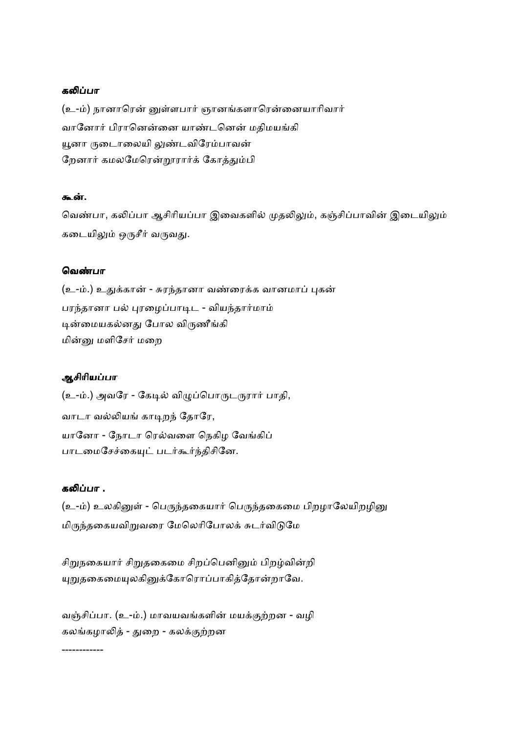## கலிப்பா

(உ-ம்) நானாரென் னுள்ளபார் ஞானங்களாரென்னையாரிவார் வானோர் பிரானென்னை யாண்டனென் மதிமயங்கி யூனா ருடைாலையி லுண்டவிரேம்பாவன் றேனார் கமலமேரென்றூரார்க் கோத்தும்பி

#### கூன்.

வெண்பா, கலிப்பா ஆசிரியப்பா இவைகளில் முதலிலும், கஞ்சிப்பாவின் இடையிலும் கடையிலும் ஒருசீர் வருவது.

#### ெவ&பா

(உ-ம்.) உதுக்கான் - சுரந்தானா வண்ரைக்க வானமாப் புகன் பரந்தானா பல் புரழைப்பாடிட - வியந்தார்மாம் டின்மையகல்னது போல விருணீங்கி மின்னு மளிசேர் மறை

## ஆசிாியபா

(உ-ம்.) அவரே - கேடில் விழுப்பொருடருரார் பாதி, வாடா வல்லியங் காடிறந் தோரே, யானோ - நோடா ரெல்வளை நெகிழ வேங்கிப் பாடமைசேச்கையுட் படர்கூர்ந்திசினே.

#### கலிப்பா .

(உ-ம்) உலகினுள் - பெருந்தகையார் பெருந்தகைமை பிறழாலேயிறழினு மிருந்தகையவிறுவரை மேலெரிபோலக் சுடர்விடுமே

சிறுநகையார் சிறுதகைமை சிறப்பெனினும் பிறழ்வின்றி யுறுதகைமையுலகினுக்கோரொப்பாகித்தோன்றாவே.

வஞ்சிப்பா. (உ-ம்.) மாவயவங்களின் மயக்குற்றன - வழி கலங்கழாலித் - துறை - கலக்குற்றன

------------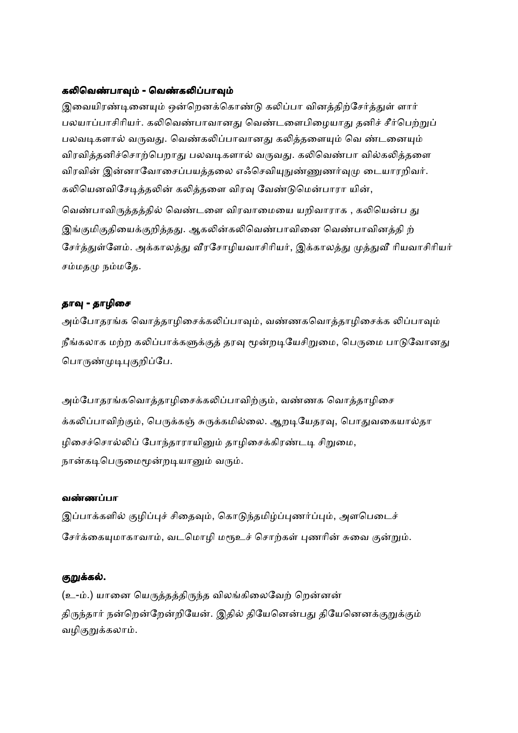#### கலிவெண்பாவும் - வெண்கலிப்பாவும்

இவையிரண்டினையும் ஒன்றெனக்கொண்டு கலிப்பா வினக்கிற்சேர்க்குள் ளார் பலயாப்பாசிரியர். கலிவெண்பாவானது வெண்டளைபிழையாது தனிச் சீர்பெற்றுப் பலவடிகளால் வருவது. வெண்கலிப்பாவானது கலித்தளையும் வெ ண்டனையும் விரவித்தனிச்சொற்பெறாது பலவடிகளால் வருவது. கலிவெண்பா வில்கலித்தளை விரவின் இன்னாவோசைப்பயத்தலை எஃசெவியுநுண்ணுணர்வுமு டையாரறிவர். கலியெனவிசேடித்தலின் கலித்தளை விரவு வேண்டுமென்பாரா யின், வெண்பாவிருத்தத்தில் வெண்டளை விரவாமையை யறிவாராக , கலியென்ப து இங்குமிகுதியைக்குறித்தது. ஆகலின்கலிவெண்பாவினை வெண்பாவினத்தி ற் சேர்த்துள்ளேம். அக்காலத்து வீரசோழியவாசிரியர், இக்காலத்து முத்துவீ ரியவாசிரியர்

சம்மதமு நம்மதே.

## தாவு - தாழிசை

அம்போதரங்க வொத்தாழிசைக்கலிப்பாவும், வண்ணகவொத்தாழிசைக்க லிப்பாவும் நீங்கலாக மற்ற கலிப்பாக்களுக்குத் தரவு மூன்றடியேசிறுமை, பெருமை பாடுவோனது பொருண்முடிபுகுறிப்பே.

அம்போதரங்கவொத்தாழிசைக்கலிப்பாவிற்கும், வண்ணக வொத்தாழிசை க்கலிப்பாவிற்கும், பெருக்கஞ் சுருக்கமில்லை. ஆறடியேதரவு, பொதுவகையால்தா ழிசைச்சொல்லிப் போந்தாராயினும் தாழிசைக்கிரண்டடி சிறுமை, நான்கடிபெருமைமூன்றடியானும் வரும்.

#### வண்ணப்பா

இப்பாக்களில் குழிப்புச் சிதைவும், கொடுந்தமிழ்ப்புணர்ப்பும், அளபெடைச் சேர்க்கையுமாகாவாம், வடமொழி மரூஉச் சொற்கள் புணரின் சுவை குன்றும்.

#### குறுக்கல்.

(உ-ம்.) யானை யெருத்தத்திருந்த விலங்கிலைவேற் றென்னன் திருந்தார் நன்றென்றேன்றியேன். இதில் தியேனென்பது தியேனெனக்குறுக்கும் வழிகுறுக்கலாம்.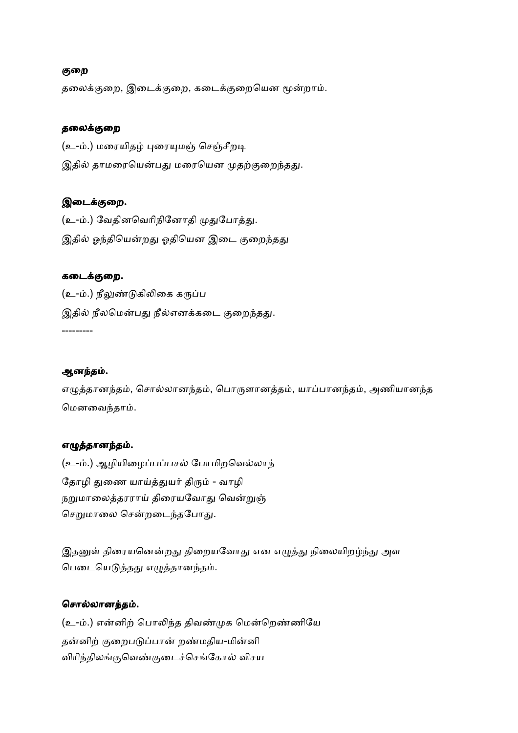## குறை

தலைக்குறை, இடைக்குறை, கடைக்குறையென மூன்றாம்.

#### தலைக்குறை

(உ-ம்.) மரையிதழ் புரையுமஞ் செஞ்சீறடி இதில் தாமரையென்பது மரையென முதற்குறைந்தது.

## இடைக்குறை.

(உ-ம்.) வேதினவெரிநினோதி முதுபோத்து. இதில் ஓந்தியென்றது ஓதியென இடை குறைந்தது

## கடைக்குறை.

(உ-ம்.) நீலுண்டுகிலிகை கருப்ப இதில் நீலமென்பது நீல்எனக்கடை குறைந்தது.

#### ஆனந்தம்.

---------

எழுத்தானந்தம், சொல்லானந்தம், பொருளானத்தம், யாப்பானந்தம், அணியானந்த மெனவைந்தாம்.

#### எழுத்தானந்தம்.

(உ-ம்.) ஆழியிழைப்பப்பசல் போமிறவெல்லாந் தோழி துணை யாய்த்துயர் திரும் - வாழி நறுமாலைத்தரராய் திரையவோது வென்றுஞ் செறுமாலை சென்றடைந்தபோது.

இதனுள் திரையனென்றது திறையவோது என எழுத்து நிலையிறழ்ந்து அள பெடையெடுத்தது எழுத்தானந்தம்.

#### சொல்லானந்தம்.

(உ-ம்.) என்னிற் பொலிந்த திவண்முக மென்றெண்ணியே தன்னிற் குறைபடுப்பான் றண்மதிய-மின்னி விரிந்திலங்குவெண்குடைச்செங்கோல் விசய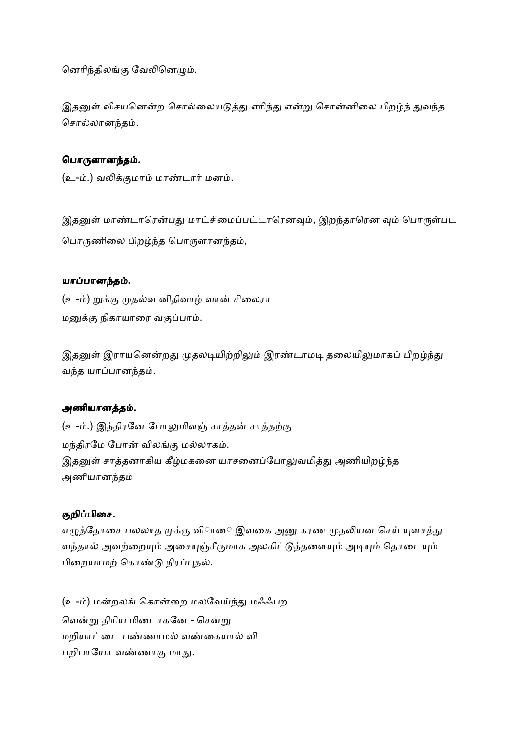னெரிந்திலங்கு வேலினெழும்.

இதனுள் விசயனென்ற சொல்லையடுத்து எரிந்து என்று சொன்னிலை பிறழ்ந் துவந்த சொல்லானந்தம்.

# பொருளானந்தம்.

(உ-ம்.) வலிக்குமாம் மாண்டார் மனம்.

இதனுள் மாண்டாரென்பது மாட்சிமைப்பட்டாரெனவும், இறந்தாரென வும் பொருள்பட பொருணிலை பிறழ்ந்த பொருளானந்தம்,

## யாப்பானந்தம்.

(உ-ம்) றுக்கு முதல்வ னிதிவாழ் வான் சிலைரா மனுக்கு நிகாயாரை வகுப்பாம்.

இதனுள் இராயனென்றது முதலடியிற்றிலும் இரண்டாமடி தலையிலுமாகப் பிறழ்ந்து வந்த யாப்பானந்தம்.

## அணியானத்தம்.

(உ-ம்.) இந்திரனே போலுமிளஞ் சாத்தன் சாத்தற்கு மந்திரமே போன் விலங்கு மல்லாகம். இதனுள் சாத்தனாகிய கீழ்மகனை யாசனைப்போலுவமித்து அணியிறழ்ந்த அணியானத

## குறிப்பிசை.

எழுத்தோசை பலலாத முக்கு விாை இவகை அனு கரண முதலியன செய் யுளசத்து வந்தால் அவற்றையும் அசையுஞ்சீருமாக அலகிட்டுத்தளையும் அடியும் தொடையும் பிறையாமற் கொண்டு நிரப்புதல்.

(உ-ம்) மன்றலங் கொன்றை மலவேய்ந்து மஃஃபற வென்று திரிய மிடைாகனே - சென்று மறியாட்டை பண்ணாமல் வண்கையால் வி பறிபாயோ வண்ணாகு மாது.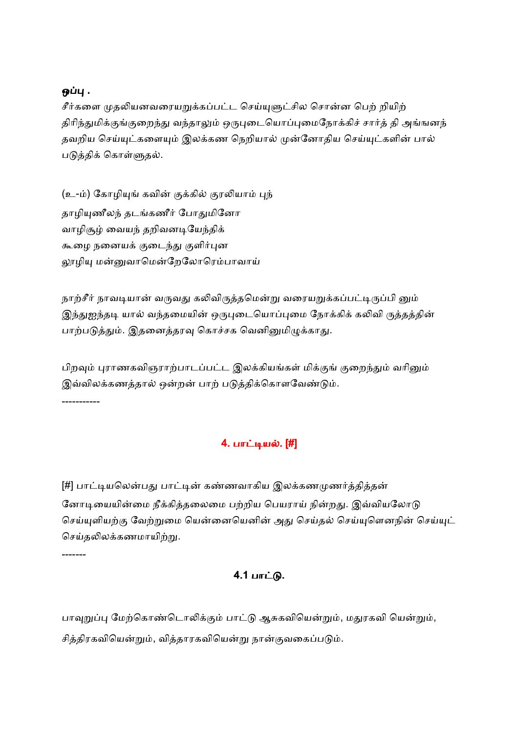# ஒப்பு .

சீர்களை முதலியனவரையறுக்கப்பட்ட செய்யுளுட்சில சொன்ன பெற் றியிற் திரிந்துமிக்குங்குறைந்து வந்தாலும் ஒருபுடையொப்புமைநோக்கிச் சார்த் தி அங்ஙனந் தவறிய செய்யுட்களையும் இலக்கண நெறியால் முன்னோதிய செய்யுட்களின் பால் படுத்திக் கொள்ளுதல்.

(உ-ம்) கோழியுங் கவின் குக்கில் குரலியாம் புந் தாழியுணீலந் தடங்கணீர் போதுமினோ வாழிசூழ் வையந் தறிவனடியேந்திக் கூழை நனையக் குடைந்து குளிர்புன லூழியு மன்னுவாமென்றேலோரெம்பாவாய்

நாற்சீர் நாவடியான் வருவது கலிவிருத்தமென்று வரையறுக்கப்பட்டிருப்பி னும் இந்துஐந்தடி யால் வந்தமையின் ஒருபுடையொப்புமை நோக்கிக் கலிவி ருத்தத்தின் பாற்படுத்தும். இதனைத்தரவு கொச்சக வெனினுமிழுக்காது.

பிறவும் புராணகவிஞராற்பாடப்பட்ட இலக்கியங்கள் மிக்குங் குறைந்தும் வரினும் இவ்விலக்கணத்தால் ஒன்றன் பாற் படுத்திக்கொளவேண்டும். -----------

# 4. பாட்டியல். [#]

[#] பாட்டியலென்பது பாட்டின் கண்ணவாகிய இலக்கணமுணர்த்தித்தன் னோடியையின்மை நீக்கித்தலைமை பற்றிய பெயராய் நின்றது. இவ்வியலோடு செய்யுளியற்கு வேற்றுமை யென்னையெனின் அது செய்தல் செய்யுகொனநின் செய்யுட் செய்தலிலக்கணமாயிற்று.

-------

# 4.1 பாட்டு.

பாவுறுப்பு மேற்கொண்டொலிக்கும் பாட்டு ஆசுகவியென்றும், மதுரகவி யென்றும், சித்திரகவியென்றும், வித்தாரகவியென்று நான்குவகைப்படும்.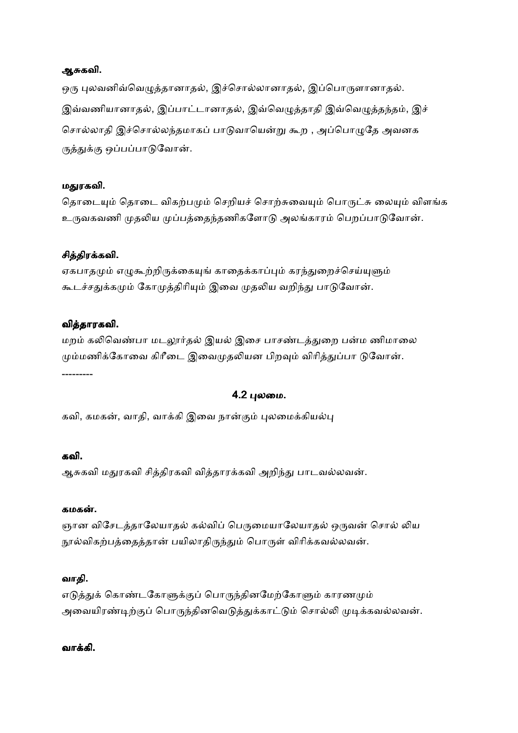## ஆசுகவி.

ஒரு புலவனிவ்வெழுத்தானாதல், இச்சொல்லானாதல், இப்பொருளானாதல். இவ்வணியானாதல், இப்பாட்டானாதல், இவ்வெழுத்தாதி இவ்வெழுத்தந்தம், இச் சொல்லாதி இச்சொல்லந்தமாகப் பாடுவாயென்று கூற , அப்பொழுதே அவனக ருத்துக்கு ஒப்பப்பாடுவோன்.

#### மதுரகவி.

தொடையும் தொடை விகற்பமும் செறியச் சொற்சுவையும் பொருட்சு லையும் விளங்க உருவகவணி முதலிய முப்பத்தைந்தணிகளோடு அலங்காரம் பெறப்பாடுவோன்.

## சித்திரக்கவி.

ஏகபாதமும் எழுகூற்றிருக்கையுங் காதைக்காப்பும் கரந்துறைச்செய்யுளும் கூடச்சதுக்கமும் கோமுத்திரியும் இவை முதலிய வறிந்து பாடுவோன்.

## வித்தாரகவி.

மறம் கலிவெண்பா மடலூர்தல் இயல் இசை பாசண்டத்துறை பன்ம ணிமாலை மும்மணிக்கோவை கிரீடை இவைமுதலியன பிறவும் விரித்துப்பா டுவோன். ---------

## 4.2 லைம.

கவி, கமகன், வாதி, வாக்கி இவை நான்கும் புலமைக்கியல்பு

## கவி.

ஆசுகவி மதுரகவி சித்திரகவி வித்தாரக்கவி அறிந்து பாடவல்லவன்.

#### கமகன்.

ஞான விசேடத்தாலேயாதல் கல்விப் பெருமையாலேயாதல் ஒருவன் சொல் லிய நூல்விகற்பத்தைத்தான் பயிலாதிருந்தும் பொருள் விரிக்கவல்லவன்.

## வாதி.

எடுத்துக் கொண்டகோளுக்குப் பொருந்தினமேற்கோளும் காரணமும் அவையிரண்டிற்குப் பொருந்தினவெடுத்துக்காட்டும் சொல்லி முடிக்கவல்லவன்.

#### வாகி.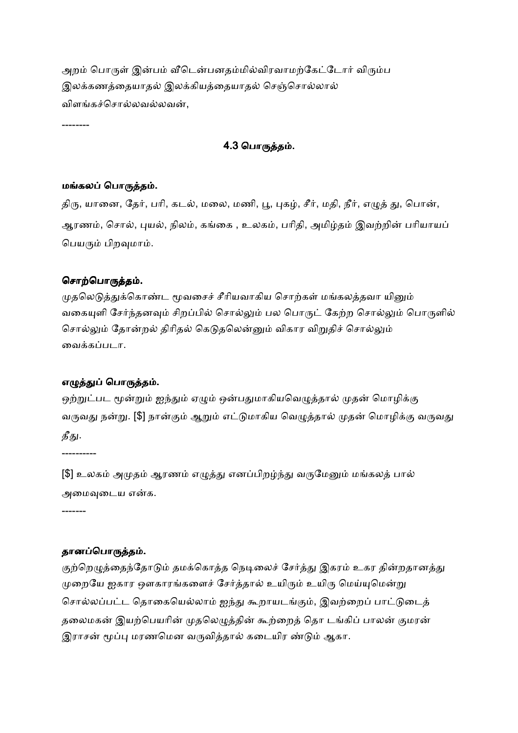அறம் பொருள் இன்பம் வீடென்பனதம்மில்விரவாமற்கேட்டோர் விரும்ப இலக்கணத்தையாதல் இலக்கியத்தையாதல் செஞ்சொல்லால் விளங்கச்சொல்லவல்லவன்,

--------

## 4.3 பொருத்தம்.

#### மங்கலப் பொருத்தம்.

திரு, யானை, தேர், பரி, கடல், மலை, மணி, பூ, புகழ், சீர், மதி, நீர், எழுத் து, பொன், ஆரணம், சொல், புயல், நிலம், கங்கை , உலகம், பரிதி, அமிழ்தம் இவற்றின் பரியாயப் பெயரும் பிறவுமாம்.

## சொற்பொருத்தம்.

முதலெடுத்துக்கொண்ட மூவசைச் சீரியவாகிய சொற்கள் மங்கலத்தவா யினும் வகையுளி சேர்ந்தனவும் சிறப்பில் சொல்லும் பல பொருட் கேற்ற சொல்லும் பொருளில் சொல்லும் தோன்றல் திரிதல் கெடுதலென்னும் விகார விறுதிச் சொல்லும் வைக்கப்படா.

## எழுத்துப் பொருத்தம்.

ஒற்றுட்பட மூன்றும் ஐந்தும் ஏழும் ஒன்பதுமாகியவெழுத்தால் முதன் மொழிக்கு வருவது நன்று. [\$] நான்கும் ஆறும் எட்டுமாகிய வெழுத்தால் முதன் மொழிக்கு வருவது தீது.

----------

[\$] உலகம் அமுதம் ஆரணம் எழுத்து எனப்பிறழ்ந்து வருமேனும் மங்கலத் பால் அமைவடைய என்க.

-------

#### தானப்பொருத்தம்.

குற்றெழுத்தைந்தோடும் தமக்கொத்த நெடிலைச் சேர்த்து இகரம் உகர தின்றதானத்து முறையே ஐகார ஔகாரங்களைச் சேர்த்தால் உயிரும் உயிரு மெய்யுமென்று சொல்லப்பட்ட தொகையெல்லாம் ஐந்து கூறாயடங்கும், இவற்றைப் பாட்டுடைத் தலைமகன் இயற்பெயரின் முதலெழுத்தின் கூற்றைத் தொ டங்கிப் பாலன் குமரன் இராசன் மூப்பு மரணமென வருவித்தால் கடையிர ண்டும் ஆகா.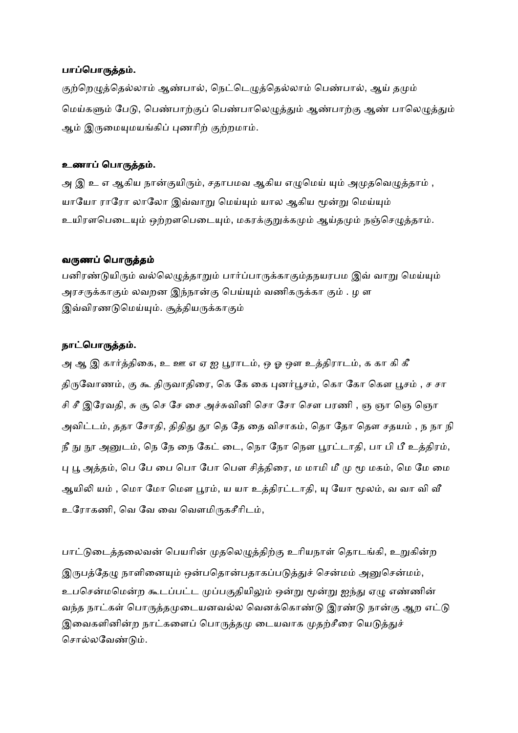#### பாப்பொருத்தம்.

குற்றெழுத்தெல்லாம் ஆண்பால், நெட்டெழுத்தெல்லாம் பெண்பால், ஆய் தமும் மெய்களும் பேடு, பெண்பாற்குப் பெண்பாலெழுத்தும் ஆண்பாற்கு ஆண் பாலெழுத்தும் ஆம் இருமையுமயங்கிப் புணரிற் குற்றமாம்.

#### உணாப் பொருத்தம்.

அ இ உ எ ஆகிய நான்குயிரும், சதாபமவ ஆகிய எழுமெய் யும் அமுதவெழுத்தாம் , யாயோ ராரோ லாலோ இவ்வாறு மெய்யும் யால ஆகிய மூன்று மெய்யும் உயிரளபெடையும் ஒற்றளபெடையும், மகரக்குறுக்கமும் ஆய்தமும் நஞ்செழுத்தாம்.

#### வருணப் பொருத்தம்

பனிரண்டுயிரும் வல்லெமுக்காறும் பார்ப்பாருக்காகும்கநயரபம இவ் வாறு மெய்யும் அரசருக்காகும் லவறன இந்நான்கு பெய்யும் வணிகருக்கா கும் . ழ ள இவ்விரணடுமெய்யும். சூத்தியருக்காகும்

#### நாட்பொருத்தம்.

அ ஆ இ கார்த்திகை, உ ஊ எ ஏ ஐ பூராடம், ஒ ஓ ஔ உத்திராடம், க கா கி கீ திருவோணம், கு கூ திருவாதிரை, கெ கே கை புனர்பூசம், கொ கோ கௌ பூசம் , ச சா சி சீ இரேவதி, சு சூ செ சே சை அச்சுவினி சொ சோ சௌ பரணி , ஞ ஞா ஞெ ஞொ அவிட்டம், ததா சோதி, திதிது தூ தெ தே தை விசாகம், தொ தோ தௌ சதயம் , ந நா நி நீ நு நூ அனுடம், நெ நே நை கேட் டை, நொ நோ நௌ பூரட்டாதி, பா பி பீ உத்திரம், பு பூ அத்தம், பெ பே பை பொ போ பௌ சித்திரை, ம மாமி மீ மு மூ மகம், மெ மே மை ஆயிலி யம் , மொ மோ மௌ பூரம், ய யா உத்திரட்டாதி, யு யோ மூலம், வ வா வி வீ உரோகணி, வெ வே வை வெளமிருகசீரிடம்,

பாட்டுடைத்தலைவன் பெயரின் முதலெழுத்திற்கு உரியநாள் தொடங்கி, உறுகின்ற இருபத்தேழு நாளினையும் ஒன்பதொன்பதாகப்படுத்துச் சென்மம் அனுசென்மம், உபசென்மமென்ற கூடப்பட்ட முப்பகுதியிலும் ஒன்று மூன்று ஐந்து ஏழு எண்ணின் வந்த நாட்கள் பொருக்கமுடையனவல்ல வெனக்கொண்டு இரண்டு நான்கு ஆற எட்டு இவைகளினின்ற நாட்களைப் பொருத்தமு டையவாக முதற்சீரை யெடுத்துச் சொல்லவேண்டும்.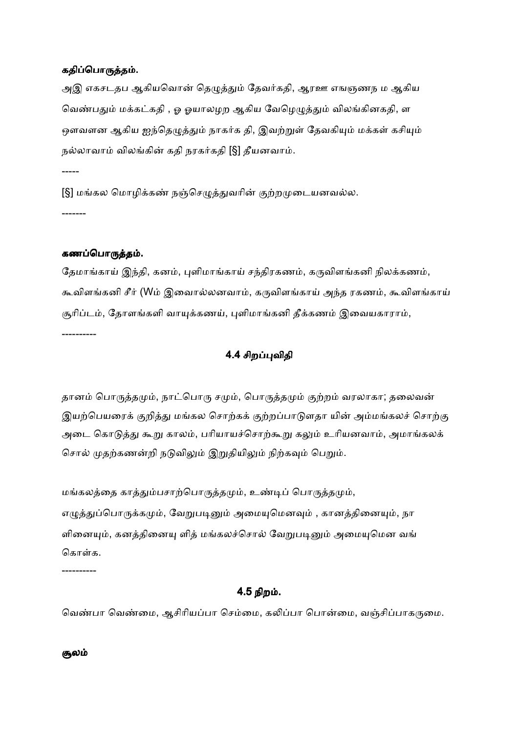#### கதிப்பொருத்தம்.

அஇ எகசடதப ஆகியவொன் தெழுத்தும் தேவர்கதி, ஆரஊ எஙஞணந ம ஆகிய வெண்பதும் மக்கட்கதி , ஓ ஓயாலழற ஆகிய வேழெழுத்தும் விலங்கினகதி, ள ஒளவளன ஆகிய ஐந்தெழுத்தும் நாகர்க தி, இவற்றுள் தேவகியும் மக்கள் கசியும் நல்லாவாம் விலங்கின் கதி நரகர்கதி [§] தீயனவாம்.

[§] மங்கல மொழிக்கண் நஞ்செழுத்துவரின் குற்றமுடையனவல்ல. -------

#### கணப்பொருத்தம்.

-----

தேமாங்காய் இந்தி, கனம், புளிமாங்காய் சந்திரகணம், கருவிளங்கனி நிலக்கணம், கூவிளங்கனி சீர் (Wம் இவைால்லனவாம், கருவிளங்காய் அந்த ரகணம், கூவிளங்காய் சூரிப்டம், தோளங்களி வாயுக்கணய், புளிமாங்கனி தீக்கணம் இவையகாராம், ----------

## 4.4 சிறவிதி

தானம் பொருத்தமும், நாட்பொரு சமும், பொருத்தமும் குற்றம் வரலாகா; தலைவன் இயற்பெயரைக் குறித்து மங்கல சொற்கக் குற்றப்பாடுளதா யின் அம்மங்கலச் சொற்கு அடை கொடுத்து கூறு காலம், பரியாயச்சொற்கூறு கலும் உரியனவாம், அமாங்கலக் சொல் முதற்கணன்றி நடுவிலும் இறுதியிலும் நிற்கவும் பெறும்.

மங்கலத்தை காத்தும்பசாற்பொருத்தமும், உண்டிப் பொருத்தமும், எழுத்துப்பொருக்கமும், வேறுபடினும் அமையுமெனவும் , கானத்தினையும், நா ளினையும், கனத்தினையு ளித் மங்கலச்சொல் வேறுபடினும் அமையுமென வங் கொள்க.

----------

## 4.5 நிற .

வெண்பா வெண்மை, ஆசிரியப்பா செம்மை, கலிப்பா பொன்மை, வஞ்சிப்பாகருமை.

சூலம்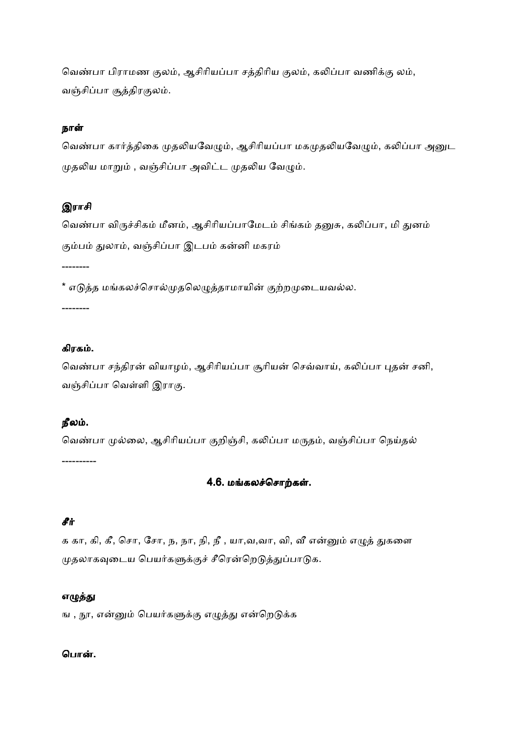வெண்பா பிராமண குலம், ஆசிரியப்பா சத்திரிய குலம், கலிப்பா வணிக்கு லம், வஞ்சிப்பா சூத்திரகுலம்.

## நாள்

வெண்பா கார்த்திகை முதலியவேழும், ஆசிரியப்பா மகமுதலியவேழும், கலிப்பா அனுட முதலிய மாறும் , வஞ்சிப்பா அவிட்ட முதலிய வேழும்.

# இராசி

வெண்பா விருச்சிகம் மீனம், ஆசிரியப்பாமேடம் சிங்கம் தனுசு, கலிப்பா, மி துனம் கும்பம் துலாம், வஞ்சிப்பா இடபம் கன்னி மகரம்

\* எடுத்த மங்கலச்சொல்முதலெழுத்தாமாயின் குற்றமுடையவல்ல.

--------

--------

#### கிரக .

வெண்பா சந்திரன் வியாழம், ஆசிரியப்பா சூரியன் செவ்வாய், கலிப்பா புதன் சனி, வஞ்சிப்பா வெள்ளி இராகு.

#### நீல .

வெண்பா முல்லை, ஆசிரியப்பா குறிஞ்சி, கலிப்பா மருதம், வஞ்சிப்பா நெய்தல் ----------

# 4.6. மங்கலச்சொற்கள்.

## சீ#

க கா, கி, கீ, சொ, சோ, ந, நா, நி, நீ , யா,வ,வா, வி, வீ என்னும் எழுத் துகளை முதலாகவுடைய பெயர்களுக்குச் சீரென்றெடுத்துப்பாடுக.

#### எழுத்து

ங , நூ, என்னும் பெயர்களுக்கு எழுத்து என்றெடுக்க

#### பொன்.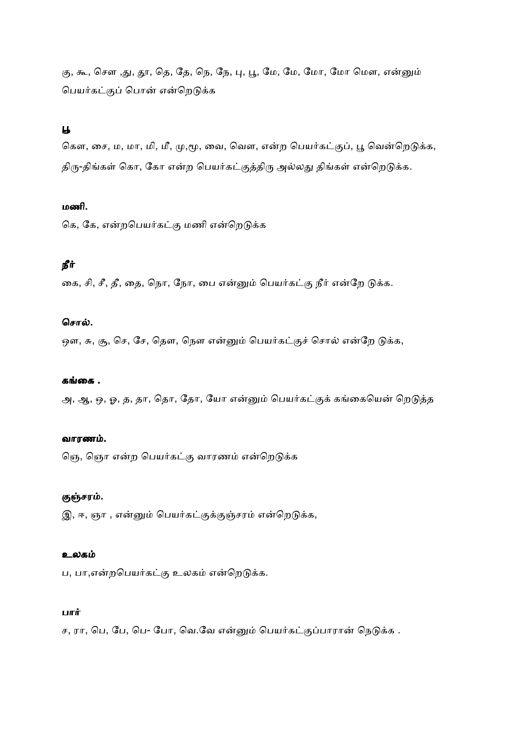கு, கூ, சௌ ,து, தூ, தெ, தே, நெ, நே, பு, பூ, மே, மே, மோ, மோ மௌ, என்னும் பெயர்கட்குப் பொன் என்றெடுக்க

# $\overline{a}$

கௌ, சை, ம, மா, மி, மீ, மு,மூ, வை, வௌ, என்ற பெயர்கட்குப், பூ வென்றெடுக்க, திரு-திங்கள் கொ, கோ என்ற பெயர்கட்குத்திரு அல்லது திங்கள் என்றெடுக்க.

## மணி.

கெ, கே, என்றபெயர்கட்கு மணி என்றெடுக்க

# நீர்

கை, சி, சீ, தீ, தை, நொ, நோ, பை என்னும் பெயர்கட்கு நீர் என்றே டுக்க.

## சொல்.

ஒள, சு, சூ, செ, சே, தௌ, நௌ என்னும் பெயர்கட்குச் சொல் என்றே டுக்க,

## கங்கை .

அ, ஆ, ஒ, ஓ, த, தா, தொ, தோ, யோ என்னும் பெயர்கட்குக் கங்கையென் றெடுத்த

## வாரண .

தெ, ஞொ என்ற பெயர்கட்கு வாரணம் என்றெடுக்க

# குஞ்சரம்.

இ, ஈ, ஞா , என்னும் பெயர்கட்குக்குஞ்சரம் என்றெடுக்க,

## உலகம்

ப, பா,என்றபெயர்கட்கு உலகம் என்றெடுக்க.

## பார்

ச, ரா, பெ, பே, பெ- போ, வெ.வே என்னும் பெயர்கட்குப்பாரான் நெடுக்க .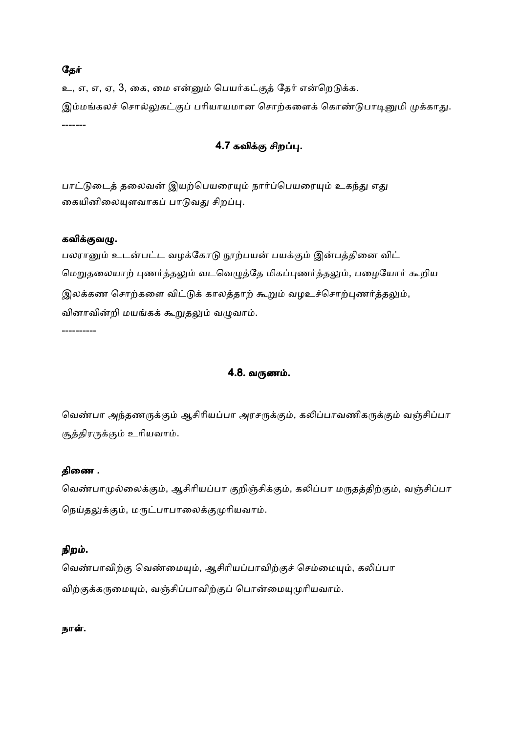## தேர்

உ, எ, எ, ஏ, 3, கை, மை என்னும் பெயர்கட்குத் தேர் என்றெடுக்க. இம்மங்கலச் சொல்லுகட்குப் பரியாயமான சொற்களைக் கொண்டுபாடினுமி முக்காது. -------

# 4.7 கவிக்கு சிறப்பு.

பாட்டுடைத் தலைவன் இயற்பெயரையும் நார்ப்பெயரையும் உகந்து எது கையினிலையுளவாகப் பாடுவது சிறப்பு.

## கவிக்குவழு.

----------

பலரானும் உடன்பட்ட வழக்கோடு நூற்பயன் பயக்கும் இன்பத்தினை விட் மெறுதலையாற் புணர்த்தலும் வடவெழுத்தே மிகப்புணர்த்தலும், பழையோர் கூறிய இலக்கண சொற்களை விட்டுக் காலத்தாற் கூறும் வழஉச்சொற்புணர்த்தலும், வினாவின்றி மயங்கக் கூறுதலும் வழுவாம்.

4.8. வருணம்.

வெண்பா அந்தணருக்கும் ஆசிரியப்பா அரசருக்கும், கலிப்பாவணிகருக்கும் வஞ்சிப்பா சூத்திரருக்கும் உரியவாம்.

## திணை .

வெண்பாமுல்லைக்கும், ஆசிரியப்பா குறிஞ்சிக்கும், கலிப்பா மருதத்திற்கும், வஞ்சிப்பா நெய்தலுக்கும், மருட்பாபாலைக்குமுரியவாம்.

# நிற .

வெண்பாவிற்கு வெண்மையும், ஆசிரியப்பாவிற்குச் செம்மையும், கலிப்பா விற்குக்கருமையும், வஞ்சிப்பாவிற்குப் பொன்மையுமுரியவாம்.

## நாள்.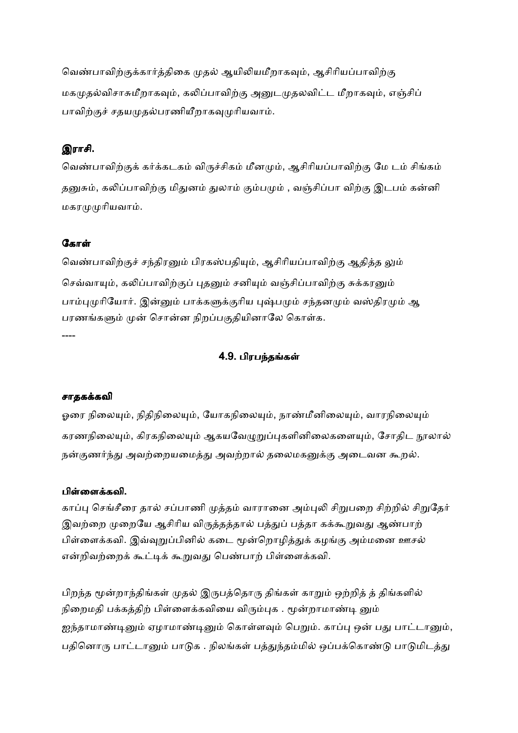வெண்பாவிற்குக்கார்த்திகை முதல் ஆயிலியமீறாகவும், ஆசிரியப்பாவிற்கு மகமுதல்விசாசுமீறாகவும், கலிப்பாவிற்கு அனுடமுதலவிட்ட மீறாகவும், எஞ்சிப் பாவிற்குச் சதயமுதல்பரணியீறாகவமுரியவாம்.

# இராசி.

வெண்பாவிற்குக் கர்க்கடகம் விருச்சிகம் மீனமும், ஆசிரியப்பாவிற்கு மே டம் சிங்கம் தனுசும், கலிப்பாவிற்கு மிதுனம் துலாம் கும்பமும் , வஞ்சிப்பா விற்கு இடபம் கன்னி மகாமமரியவாம்.

# கோள்

வெண்பாவிற்குச் சந்திரனும் பிரகஸ்பதியும், ஆசிரியப்பாவிற்கு ஆதித்த லும் செவ்வாயும், கலிப்பாவிற்குப் புதனும் சனியும் வஞ்சிப்பாவிற்கு சுக்கரனும் பாம்புமுரியோர். இன்னும் பாக்களுக்குரிய புஷ்பமும் சந்தனமும் வஸ்திரமும் ஆ பரணங்களும் முன் சொன்ன நிறப்பகுதியினாலே கொள்க. ----

# 4.9. பிரபந்தங்கள்

## சாதககவி

ஓரை நிலையும், நிதிநிலையும், யோகநிலையும், நாண்மீனிலையும், வாரநிலையும் கரணநிலையும், கிரகநிலையும் ஆகயவேழுறுப்புகளினிலைகளையும், சோதிட நூலால் நன்குணர்ந்து அவற்றையமைத்து அவற்றால் தலைமகனுக்கு அடைவன கூறல்.

## பிள்ளைக்கவி.

காப்பு செங்சீரை தால் சப்பாணி முத்தம் வாரானை அம்புலி சிறுபறை சிற்றில் சிறுதேர் இவற்றை முறையே ஆசிரிய விருத்தத்தால் பத்துப் பத்தா கக்கூறுவது ஆண்பாற் பிள்ளைக்கவி. இவ்வுறுப்பினில் கடை மூன்றொழித்துக் கழங்கு அம்மனை ஊசல் என்றிவற்றைக் கூட்டிக் கூறுவது பெண்பாற் பிள்ளைக்கவி.

பிறந்த மூன்றாந்திங்கள் முதல் இருபத்தொரு திங்கள் காறும் ஒற்றித் த் திங்களில் நிறைமதி பக்கத்திற் பிள்ளைக்கவியை விரும்புக . மூன்றாமாண்டி னும் ஐந்தாமாண்டினும் ஏழாமாண்டினும் கொள்ளவும் பெறும். காப்பு ஒன் பது பாட்டானும், பதினொரு பாட்டானும் பாடுக . நிலங்கள் பத்துந்தம்மில் ஒப்பக்கொண்டு பாடுமிடத்து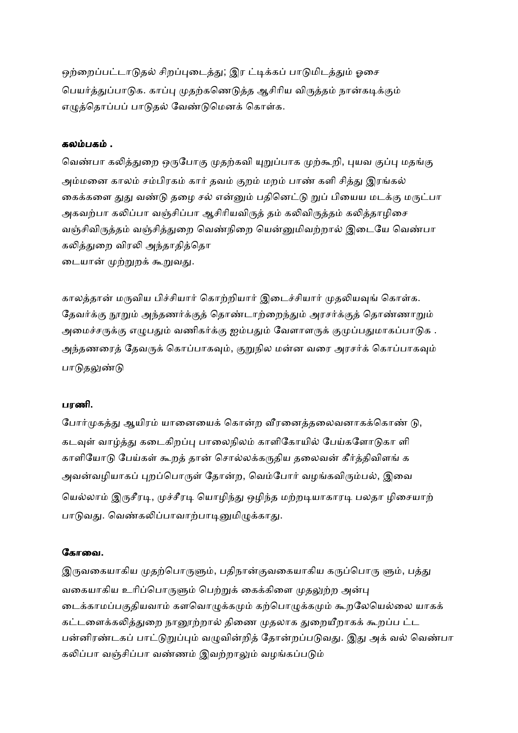ஒற்றைப்பட்டாடுதல் சிறப்புடைத்து; இர ட்டிக்கப் பாடுமிடத்தும் ஓசை பெயர்த்துப்பாடுக. காப்பு முதற்கணெடுத்த ஆசிரிய விருத்தம் நான்கடிக்கும் எமுத்தொப்பப் பாடுதல் வேண்டுமெனக் கொள்க.

#### கல பக .

வெண்பா கலித்துறை ஒருபோகு முதற்கவி யுறுப்பாக முற்கூறி, புயவ குப்பு மதங்கு அம்மனை காலம் சம்பிரகம் கார் தவம் குறம் மறம் பாண் களி சித்து இரங்கல் கைக்களை துது வண்டு தழை சல் என்னும் பதினெட்டு றுப் பியைய மடக்கு மருட்பா அகவற்பா கலிப்பா வஞ்சிப்பா ஆசிரியவிருத் தம் கலிவிருத்தம் கலித்தாழிசை வஞ்சிவிருத்தம் வஞ்சித்துறை வெண்நிறை யென்னுமிவற்றால் இடையே வெண்பா கலித்துறை விரலி அந்தாதித்தொ டையான் முற்றுறக் கூறுவது.

காலத்தான் மருவிய பிச்சியார் கொற்றியார் இடைச்சியார் முதலியவுங் கொள்க. தேவர்க்கு நூறும் அந்தணர்க்குத் தொண்டாற்றைந்தும் அரசர்க்குத் தொண்ணாறும் அமைச்சருக்கு எழுபதும் வணிகர்க்கு ஐம்பதும் வேளாளருக் குமுப்பதுமாகப்பாடுக . அந்தணரைத் தேவருக் கொப்பாகவும், குறுநில மன்ன வரை அரசர்க் கொப்பாகவும் பாடுதலுண்டு

#### பரணி.

போர்முகத்து ஆயிரம் யானையைக் கொன்ற வீரனைத்தலைவனாகக்கொண் டு, கடவுள் வாழ்த்து கடைகிறப்பு பாலைநிலம் காளிகோயில் பேய்களோடுகா ளி காளியோடு பேய்கள் கூறத் தான் சொல்லக்கருதிய தலைவன் கீர்த்திவிளங் க அவன்வழியாகப் புறப்பொருள் தோன்ற, வெம்போர் வழங்கவிரும்பல், இவை யெல்லாம் இருசீரடி, முச்சீரடி யொழிந்து ஒழிந்த மற்றடியாகாரடி பலதா ழிசையாற் பாடுவது. வெண்கலிப்பாவாற்பாடினுமிழுக்காது.

### கோவை.

இருவகையாகிய முதற்பொருளும், பதிநான்குவகையாகிய கருப்பொரு ளும், பத்து வகையாகிய உரிப்பொருளும் பெற்றுக் கைக்கிளை முதலுற்ற அன்பு டைக்காமப்பகுதியவாம் களவொழுக்கமும் கற்பொழுக்கமும் கூறலேயெல்லை யாகக் கட்டளைக்கலித்துறை நானூற்றால் திணை முதலாக துறையீறாகக் கூறப்ப ட்ட பன்னிரண்டகப் பாட்டுறுப்பும் வழுவின்றித் தோன்றப்படுவது. இது அக் வல் வெண்பா கலிப்பா வஞ்சிப்பா வண்ணம் இவற்றாலும் வழங்கப்படும்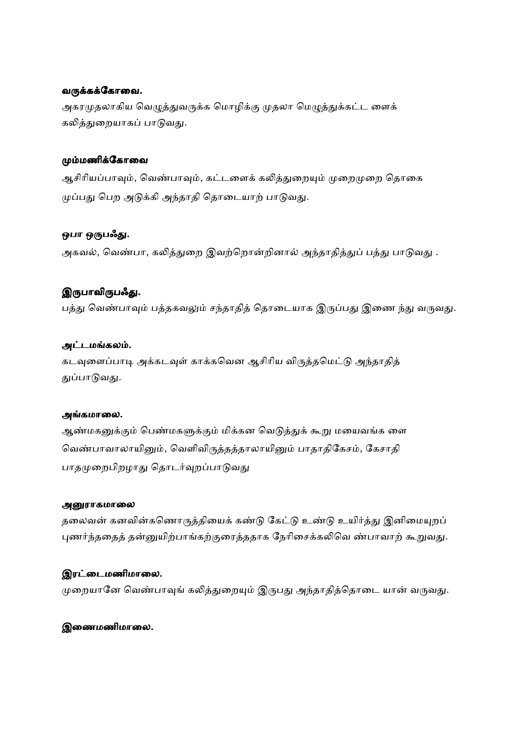#### வருக்கக்கோவை.

அகரமுதலாகிய வெழுத்துவருக்க மொழிக்கு முதலா மெழுத்துக்கட்ட ளைக் கலித்துறையாகப் பாடுவது.

#### மும்மணிக்கோவை

ஆசிரியப்பாவும், வெண்பாவும், கட்டளைக் கலித்துறையும் முறைமுறை தொகை முப்பது பெற அடுக்கி அந்தாதி தொடையாற் பாடுவது.

## ஒபா ஒருபஃது.

அகவல், வெண்பா, கலித்துறை இவற்றொன்றினால் அந்தாதித்துப் பத்து பாடுவது .

## இருபாவிருபஃது.

பத்து வெண்பாவும் பத்தகவலும் சந்தாதித் தொடையாக இருப்பது இணை ந்து வருவது.

## அட்டமங்கலம்.

கடவுளைப்பாடி அக்கடவுள் காக்கவென ஆசிரிய விருத்தமெட்டு அந்தாதித் துப்பாடுவது.

### அங்கமாலை.

ஆண்மகனுக்கும் பெண்மகளுக்கும் மிக்கன வெடுத்துக் கூறு மயைவங்க ளை வெண்பாவாலாயினும், வெளிவிருத்தத்தாலாயினும் பாதாதிகேசம், கேசாதி பாதமுறைபிறழாது தொடர்வுறப்பாடுவது

#### அனுராகமாலை

தலைவன் கனவின்கணொருத்தியைக் கண்டு கேட்டு உண்டு உயிர்த்து இனிமையுறப் புணர்ந்ததைத் தன்னுயிற்பாங்கற்குரைத்ததாக நேரிசைக்கலிவெ ண்பாவாற் கூறுவது.

## இரட்டைமணிமாலை.

முறையானே வெண்பாவுங் கலித்துறையும் இருபது அந்தாதித்தொடை யான் வருவது.

## இணைமணிமாலை.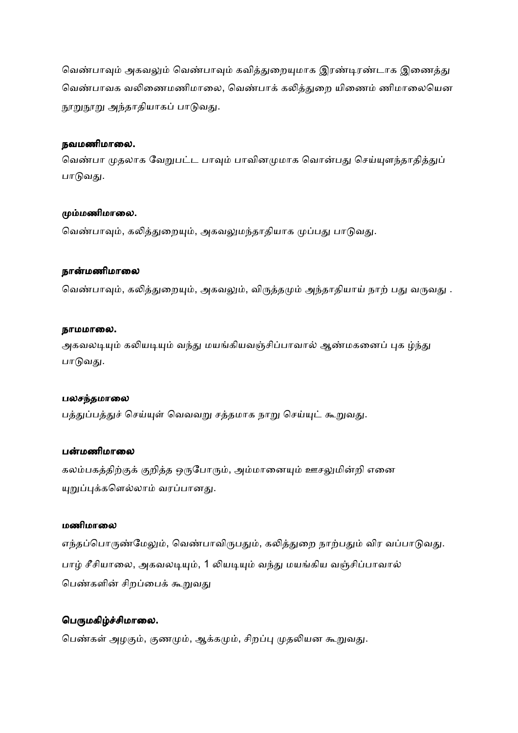வெண்பாவும் அகவலும் வெண்பாவும் கவித்துறையுமாக இரண்டிரண்டாக இணைத்து வெண்பாவக வலிணைமணிமாலை, வெண்பாக் கலித்துறை யிணைம் ணிமாலையென நூறுநூறு அந்தாதியாகப் பாடுவது.

#### நவமணிமாலை.

வெண்பா முதலாக வேறுபட்ட பாவும் பாவினமுமாக வொன்பது செய்யுளந்தாதித்துப் பாடுவது.

#### மும்மணிமாலை.

வெண்பாவும், கலித்துறையும், அகவலுமந்தாதியாக முப்பது பாடுவது.

#### நான்மணிமாலை

வெண்பாவும், கலித்துறையும், அகவலும், விருத்தமும் அந்தாதியாய் நாற் பது வருவது .

#### நாமமாலை.

அகவலடியும் கலியடியும் வந்து மயங்கியவஞ்சிப்பாவால் ஆண்மகனைப் புக ழ்ந்து பாடுவது.

#### பலசந்தமாலை

பத்துப்பத்துச் செய்யுள் வெவவறு சத்தமாக நாறு செய்யுட் கூறுவது.

#### பன்மணிமாலை

கலம்பகத்திற்குக் குறித்த ஒருபோரும், அம்மானையும் ஊசலுமின்றி எனை யுறுப்புக்களெல்லாம் வரப்பானது.

#### மணிமாலை

எந்தப்பொருண்மேலும், வெண்பாவிருபதும், கலித்துறை நாற்பதும் விர வப்பாடுவது. பாழ் சீசியாலை, அகவலடியும், 1 லியடியும் வந்து மயங்கிய வஞ்சிப்பாவால் பெண்களின் சிறப்பைக் கூறுவது

#### பெருமகிழ்ச்சிமாலை.

பெண்கள் அழகும், குணமும், ஆக்கமும், சிறப்பு முதலியன கூறுவது.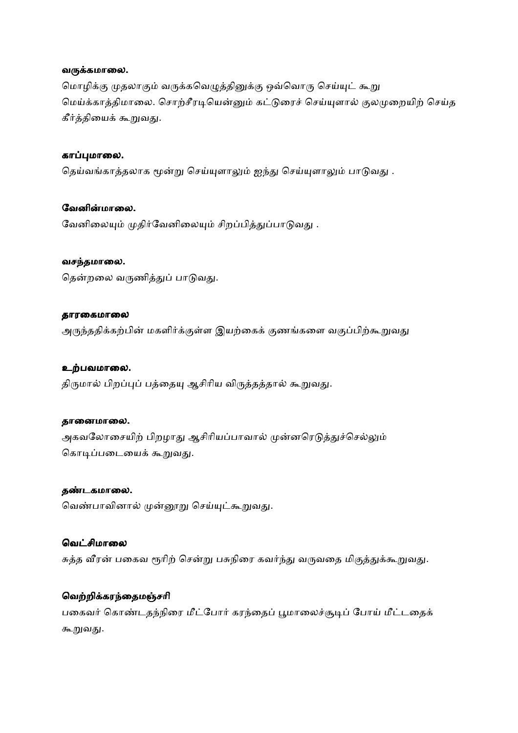#### வருக்கமாலை.

மொழிக்கு முதலாகும் வருக்கவெழுத்தினுக்கு ஒவ்வொரு செய்யுட் கூறு மெய்க்காத்திமாலை. சொற்சீரடியென்னும் கட்டுரைச் செய்யுளால் குலமுறையிற் செய்த கீர்த்தியைக் கூறுவது.

### காப்புமாலை.

தெய்வங்காத்தலாக மூன்று செய்யுளாலும் ஐந்து செய்யுளாலும் பாடுவது.

## வேனின்மாலை.

வேனிலையும் முதிர்வேனிலையும் சிறப்பித்துப்பாடுவது.

### வசந்தமாலை.

தென்றலை வருணித்துப் பாடுவது.

#### தாரகைமாலை

அருந்ததிக்கற்பின் மகளிர்க்குள்ள இயற்கைக் குணங்களை வகுப்பிற்கூறுவது

### உற்பவமாலை.

திருமால் பிறப்புப் பத்தையு ஆசிரிய விருத்தத்தால் கூறுவது.

#### தானைமாலை.

அகவலோசையிற் பிறழாது ஆசிரியப்பாவால் முன்னரெடுத்துச்செல்லும் கொடிப்படையைக் கூறுவது.

### தண்டகமாலை.

வெண்பாவினால் முன்னூறு செய்யுட்கூறுவது.

## வெட்சிமாலை

சுத்த வீரன் பகைவ ரூரிற் சென்று பசுநிரை கவர்ந்து வருவதை மிகுத்துக்கூறுவது.

## வெற்றிக்கரந்தைமஞ்சரி

பகைவர் கொண்டதந்நிரை மீட்போர் கரந்தைப் பூமாலைச்சூடிப் போய் மீட்டதைக் கூறுவது.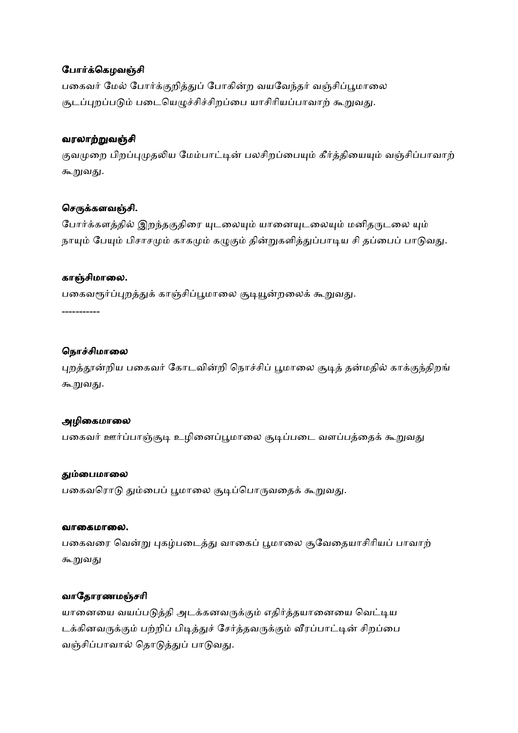## போர்க்கெழவஞ்சி

பகைவர் மேல் போர்க்குறித்துப் போகின்ற வயவேந்தர் வஞ்சிப்பூமாலை சூடப்புறப்படும் படையெழுச்சிச்சிறப்பை யாசிரியப்பாவாற் கூறுவது.

#### வரலாற்றுவஞ்சி

குவமுறை பிறப்புமுதலிய மேம்பாட்டின் பலசிறப்பையும் கீர்த்தியையும் வஞ்சிப்பாவாற் கூறுவது.

### செருக்களவஞ்சி.

போர்க்களத்தில் இறந்தகுதிரை யுடலையும் யானையுடலையும் மனிதருடலை யும் நாயும் பேயும் பிசாசமும் காகமும் கழுகும் தின்றுகளித்துப்பாடிய சி தப்பைப் பாடுவது.

#### காஞ்சிமாலை.

பகைவரூர்ப்புறத்துக் காஞ்சிப்பூமாலை சூடியூன்றலைக் கூறுவது.

-----------

### நொச்சிமாலை

புறத்தூன்றிய பகைவர் கோடவின்றி நொச்சிப் பூமாலை சூடித் தன்மதில் காக்குந்திறங் கூறுவது.

### அழிகைமாலை

பகைவர் ஊர்ப்பாஞ்சூடி உழினைப்பூமாலை சூடிப்படை வளப்பத்தைக் கூறுவது

#### தும்பைமாலை

பகைவரொடு தும்பைப் பூமாலை சூடிப்பொருவதைக் கூறுவது.

#### வாகையாலை.

பகைவரை வென்று புகழ்படைத்து வாகைப் பூமாலை சூவேதையாசிரியப் பாவாற் கூறுவது

## வாதோரணமஞ்சரி

யானையை வயப்படுத்தி அடக்கனவருக்கும் எதிர்த்தயானையை வெட்டிய டக்கினவருக்கும் பற்றிப் பிடித்துச் சேர்த்தவருக்கும் வீரப்பாட்டின் சிறப்பை வஞ்சிப்பாவால் தொடுத்துப் பாடுவது.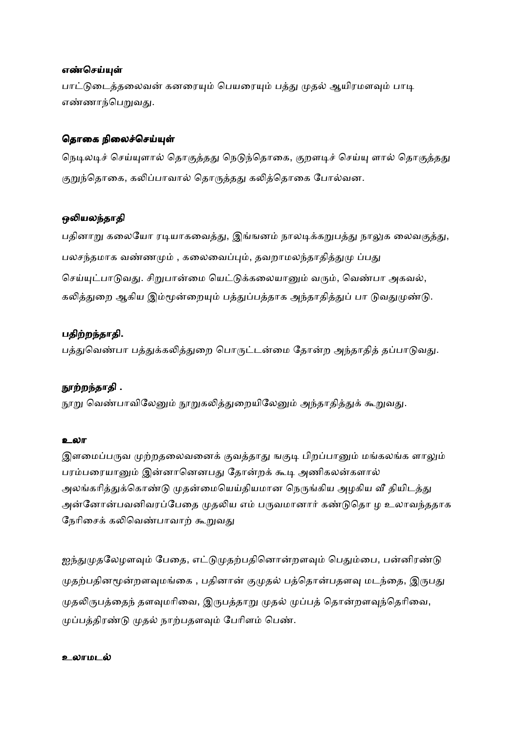#### எண்செய்யுள்

பாட்டுடைத்தலைவன் கனரையும் பெயரையும் பத்து முதல் ஆயிரமளவும் பாடி எண்ணாந்பெறுவது.

#### தொகை நிலைச்செய்யுள்

நெடிலடிச் செய்யுளால் தொகுத்தது நெடுந்தொகை, குறளடிச் செய்யு ளால் தொகுத்தது குறுந்தொகை, கலிப்பாவால் தொருத்தது கலித்தொகை போல்வன.

### ஒலியலந்தாதி

பதினாறு கலையோ ரடியாகவைத்து, இங்ஙனம் நாலடிக்கறுபத்து நாலுக லைவகுத்து, பலசந்தமாக வண்ணமும் , கலைவைப்பும், தவறாமலந்தாதித்துமு ப்பது செய்யுட்பாடுவது. சிறுபான்மை யெட்டுக்கலையானும் வரும், வெண்பா அகவல், கலித்துறை ஆகிய இம்மூன்றையும் பத்துப்பத்தாக அந்தாதித்துப் பா டுவதுமுண்டு.

## பதிற்றந்தாதி.

பத்துவெண்பா பத்துக்கலித்துறை பொருட்டன்மை தோன்ற அந்தாதித் தப்பாடுவது.

### நூற்றந்தாதி .

நூறு வெண்பாவிலேனும் நூறுகலித்துறையிலேனும் அந்தாதித்துக் கூறுவது.

#### உலா

இளமைப்பருவ முற்றதலைவனைக் குவத்தாது ஙகுடி பிறப்பானும் மங்கலங்க ளாலும் பரம்பரையானும் இன்னானெனபது தோன்றக் கூடி அணிகலன்களால் அலங்கரித்துக்கொண்டு முதன்மையெய்தியமான நெருங்கிய அழகிய வீ தியிடத்து அன்னோன்பவனிவரப்பேதை முதலிய எம் பருவமானார் கண்டுதொ ழ உலாவந்ததாக நேரிசைக் கலிவெண்பாவாற் கூறுவது

ஐந்துமுதலேழளவும் பேதை, எட்டுமுதற்பதினொன்றளவும் பெதும்பை, பன்னிரண்டு முதற்பதினமூன்றளவுமங்கை , பதினான் குமுதல் பத்தொன்பதளவு மடந்தை, இருபது முதலிருபத்தைந் தளவுமரிவை, இருபத்தாறு முதல் முப்பத் தொன்றளவுந்தெரிவை, முப்பத்திரண்டு முதல் நாற்பதளவும் பேரிளம் பெண்.

#### உலாமட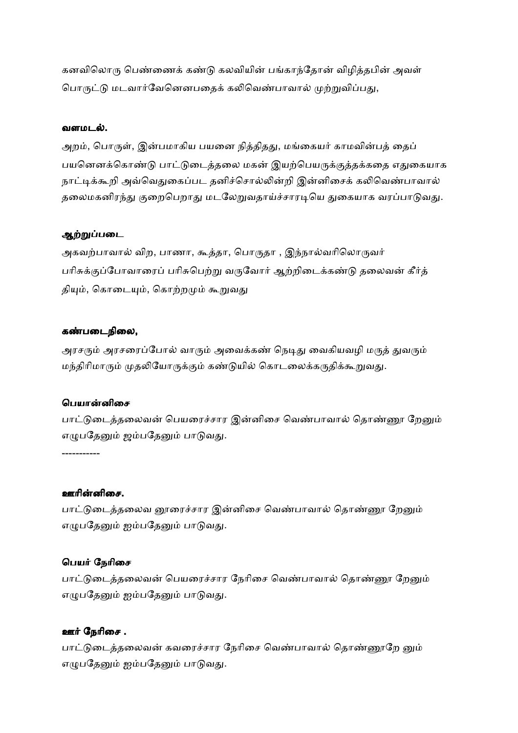கனவிலொரு பெண்ணைக் கண்டு கலவியின் பங்காந்தோன் விழித்தபின் அவள் பொருட்டு மடவார்வேனெனபதைக் கலிவெண்பாவால் முற்றுவிப்பது,

#### வளமடல்.

அறம், பொருள், இன்பமாகிய பயனை நித்திதது, மங்கையர் காமவின்பத் தைப் பயனெனக்கொண்டு பாட்டுடைத்தலை மகன் இயற்பெயருக்குத்தக்கதை எதுகையாக நாட்டிக்கூறி அவ்வெதுகைப்பட தனிச்சொல்லின்றி இன்னிசைக் கலிவெண்பாவால் தலைமகனிரந்து குறைபெறாது மடலேறுவதாய்ச்சாரடியெ துகையாக வரப்பாடுவது.

### ஆற்றுப்படை

அகவற்பாவால் விற, பாணா, கூத்தா, பொருதா , இந்நால்வரிலொருவர் பரிசுக்குப்போவாரைப் பரிசுபெற்று வருவோர் ஆற்றிடைக்கண்டு தலைவன் கீர்த் தியும், கொடையும், கொற்றமும் கூறுவது

#### கண்படைநிலை,

அரசரும் அரசரைப்போல் வாரும் அவைக்கண் நெடிது வைகியவழி மருத் துவரும் மந்திரிமாரும் முதலியோருக்கும் கண்டுயில் கொடலைக்கருதிக்கூறுவது.

### பெயான்னிசை

பாட்டுடைத்தலைவன் பெயரைச்சார இன்னிசை வெண்பாவால் தொண்ணூ றேனும் எழுபதேனும் ஜம்பதேனும் பாடுவது.

-----------

### ஊரின்னிசை.

பாட்டுடைத்தலைவ னூரைச்சார இன்னிசை வெண்பாவால் தொண்ணூ றேனும் எழுபதேனும் ஐம்பதேனும் பாடுவது.

### பெயர் நேரிசை

பாட்டுடைத்தலைவன் பெயரைச்சார நேரிசை வெண்பாவால் தொண்ணூ றேனும் எழுபதேனும் ஐம்பதேனும் பாடுவது.

### ஊர் நேரிசை .

பாட்டுடைத்தலைவன் கவரைச்சார நேரிசை வெண்பாவால் தொண்ணூறே னும் எழுபதேனும் ஐம்பதேனும் பாடுவது.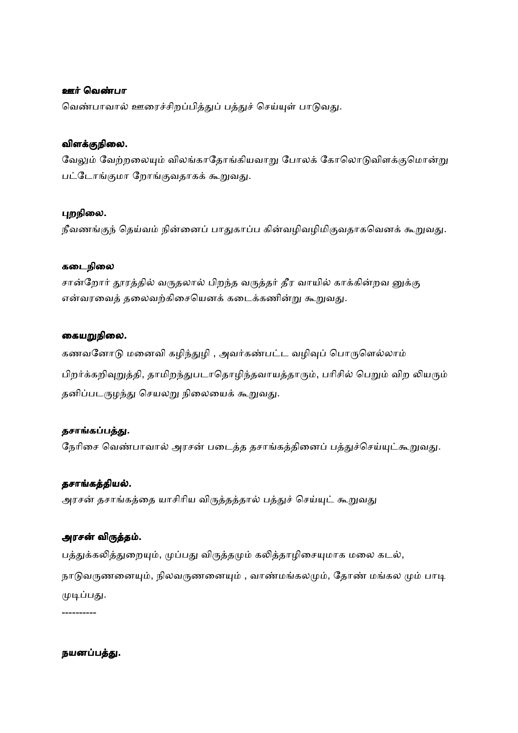#### ஊர் வெண்பா

வெண்பாவால் ஊரைச்சிறப்பித்துப் பத்துச் செய்யுள் பாடுவது.

## விளநிைல.

வேலும் வேற்றலையும் விலங்காதோங்கியவாறு போலக் கோலொடுவிளக்குமொன்று பட்டோங்குமா றோங்குவதாகக் கூறுவது.

## புறநிலை.

நீவணங்குந் தெய்வம் நின்னைப் பாதுகாப்ப கின்வழிவழிமிகுவதாகவெனக் கூறுவது.

### கடைநிலை

சான்றோர் தூரத்தில் வருதலால் பிறந்த வருத்தர் தீர வாயில் காக்கின்றவ னுக்கு என்வரவைத் தலைவற்கிசையெனக் கடைக்கணின்று கூறுவது.

## கையறுநிலை.

கணவனோடு மனைவி கழிந்துழி , அவர்கண்பட்ட வழிவுப் பொருளெல்லாம் பிறர்க்கறிவுறுத்தி, தாமிறந்துபடாதொழிந்தவாயத்தாரும், பரிசில் பெறும் விற லியரும் தனிப்படருழந்து செயலறு நிலையைக் கூறுவது.

## தசாங்கப்பத்து.

நேரிசை வெண்பாவால் அரசன் படைத்த தசாங்கத்தினைப் பத்துச்செய்யுட்கூறுவது.

## தசாங்கத்தியல்.

அரசன் தசாங்கத்தை யாசிரிய விருத்தத்தால் பத்துச் செய்யுட் கூறுவது

## அரசன் விருத்தம்.

பத்துக்கலித்துறையும், முப்பது விருத்தமும் கலித்தாழிசையுமாக மலை கடல், நாடுவருணனையும், நிலவருணனையும் , வாண்மங்கலமும், தோண் மங்கல மும் பாடி முடிப்பது.

----------

## நயனப்பத்து.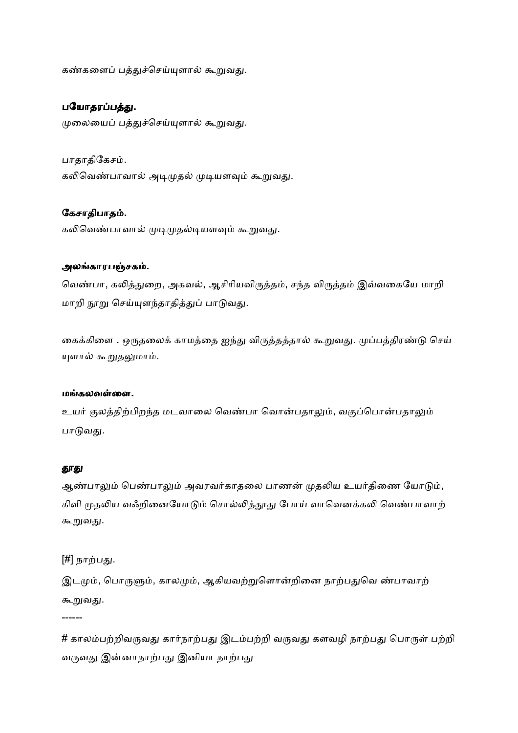கண்களைப் பத்துச்செய்யுளால் கூறுவது.

### பயோதரப்பத்து.

முலையைப் பத்துச்செய்யுளால் கூறுவது.

பாதாதிகேசம். கலிவெண்பாவால் அடிமுதல் முடியளவும் கூறுவது.

## கேசாதிபாதம்.

கலிவெண்பாவால் முடிமுதல்டியளவும் கூறுவது.

### அலங்காரபஞ்சகம்.

வெண்பா, கலித்துறை, அகவல், ஆசிரியவிருத்தம், சந்த விருத்தம் இவ்வகையே மாறி மாறி நூறு செய்யுளந்தாதித்துப் பாடுவது.

கைக்கிளை . ஒருதலைக் காமத்தை ஐந்து விருத்தத்தால் கூறுவது. முப்பத்திரண்டு செய் யுளால் கூறுதலுமாம்.

#### ம.கலவைள.

உயர் குலத்திற்பிறந்த மடவாலை வெண்பா வொன்பதாலும், வகுப்பொன்பதாலும் பாடுவது.

#### தூது

ஆண்பாலும் பெண்பாலும் அவரவர்காதலை பாணன் முதலிய உயர்திணை யோடும், கிளி முதலிய வஃறினையோடும் சொல்லித்தூது போய் வாவெனக்கலி வெண்பாவாற் கூறுவது.

[#] நாற்பது.

------

இடமும், பொருளும், காலமும், ஆகியவற்றுளொன்றினை நாற்பதுவெ ண்பாவாற் கூறுவது.

 $#$  காலம்பற்றிவருவது கார்நாற்பது இடம்பற்றி வருவது களவழி நாற்பது பொருள் பற்றி வருவது இன்னாநாற்பது இனியா நாற்பது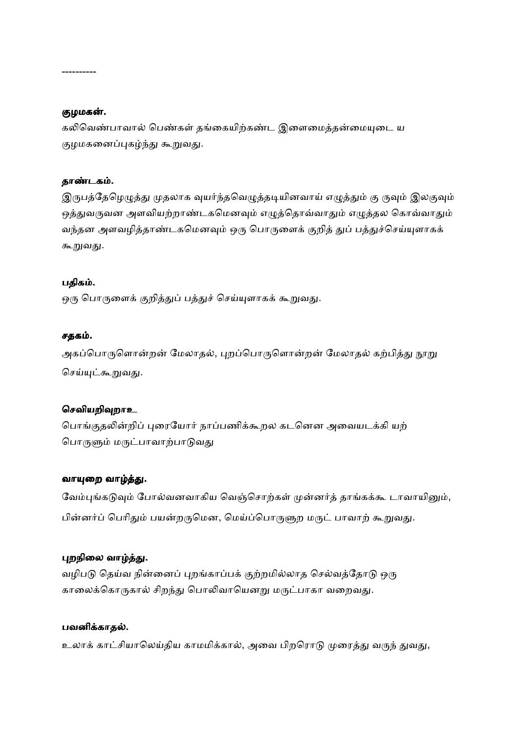#### ----------

### குழமகன்.

கலிவெண்பாவால் பெண்கள் தங்கையிற்கண்ட இளைமைத்தன்மையுடை ய குழமகனைப்புகழ்ந்து கூறுவது.

#### தாண்டகம்.

இருபத்தேழெழுத்து முதலாக வுயர்ந்தவெழுத்தடியினவாய் எழுத்தும் கு ருவும் இலகுவும் ஒத்துவருவன அளவியற்றாண்டகமெனவும் எழுத்தொவ்வாதும் எழுத்தல கொவ்வாதும் வந்தன அளவழித்தாண்டகமெனவும் ஒரு பொருளைக் குறித் துப் பத்துச்செய்யுளாகக் கூறுவது.

#### பதிக .

ஒரு பொருளைக் குறித்துப் பத்துச் செய்யுளாகக் கூறுவது.

#### சதக .

அகப்பொருளொன்றன் மேலாதல், புறப்பொருளொன்றன் மேலாதல் கற்பித்து நூறு செய்யுட்கூறுவது.

#### செவியறிவுறாஉ

பொங்குதலின்றிப் புரையோர் நாப்பணிக்கூறல கடனென அவையடக்கி யற் பொருளும் மருட்பாவாற்பாடுவது

#### வாயுறை வாழ்த்து.

வேம்புங்கடுவும் போல்வனவாகிய வெஞ்சொற்கள் முன்னர்த் தாங்கக்கூ டாவாயினும், பின்னர்ப் பெரிதும் பயன்றருமென, மெய்ப்பொருளுற மருட் பாவாற் கூறுவது.

## புறநிலை வாழ்த்து.

வழிபடு தெய்வ நின்னைப் புறங்காப்பக் குற்றமில்லாத செல்வத்தோடு ஒரு காலைக்கொருகால் சிறந்து பொலிவாயெனறு மருட்பாகா வறைவது.

#### பவனிக்காதல்.

உலாக் காட்சியாலெய்திய காமமிக்கால், அவை பிறரொடு முரைத்து வருந் துவது,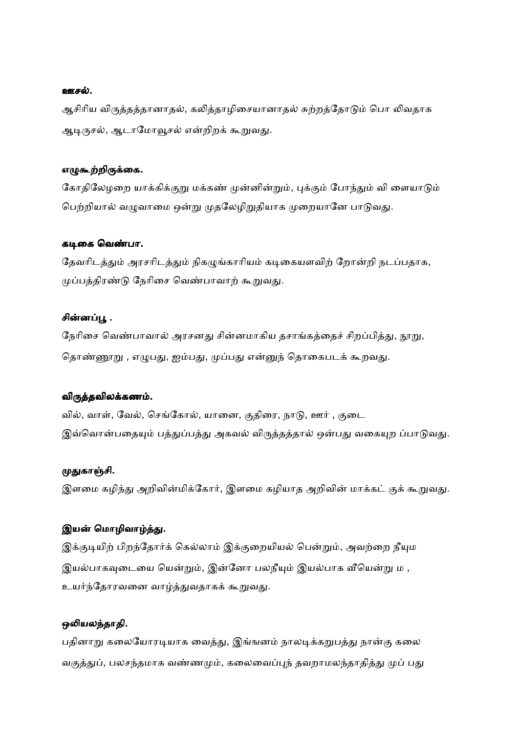#### ஊசல்.

ஆசிரிய விருத்தத்தானாதல், கலித்தாழிசையானாதல் சுற்றத்தோடும் பொ லிவதாக ஆடிருசல், ஆடாமோவூசல் என்றிறக் கூறுவது.

#### எழுகூற்றிருக்கை.

கோதிலேழறை யாக்கிக்குறு மக்கண் முன்னின்றும், புக்கும் போந்தும் வி ளையாடும் பெற்றியால் வழுவாமை ஒன்று முதலேழிறுதியாக முறையானே பாடுவது.

#### கடிகை வெண்பா.

தேவரிடத்தும் அரசரிடத்தும் நிகழுங்காரியம் கடிகையளவிற் றோன்றி நடப்பதாக, முப்பத்திரண்டு நேரிசை வெண்பாவாற் கூறுவது.

#### சின்னப்பூ .

நேரிசை வெண்பாவால் அரசனது சின்னமாகிய தசாங்கத்தைச் சிறப்பித்து, நூறு, தொண்ணூறு , எழுபது, ஐம்பது, முப்பது என்னுந் தொகைபடக் கூறவது.

### விருத்தவிலக்கணம்.

வில், வாள், வேல், செங்கோல், யானை, குதிரை, நாடு, ஊர் , குடை இவ்வொன்பதையும் பத்துப்பத்து அகவல் விருத்தத்தால் ஒன்பது வகையுற ப்பாடுவது.

### முதுகாஞ்சி.

இளமை கழிந்து அறிவின்மிக்கோர், இளமை கழியாத அறிவின் மாக்கட் குக் கூறுவது.

### இயன் மொழிவாழ்த்து.

இக்குடியிற் பிறந்தோர்க் கெல்லாம் இக்குறையியல் பென்றும், அவற்றை நீயும இயல்பாகவுடையை யென்றும், இன்னோ பலநீயும் இயல்பாக வீயென்று ம , உயர்ந்தோரவனை வாழ்த்துவதாகக் கூறுவது.

### ஒலியலந்தாதி.

பதினாறு கலையோரடியாக வைத்து, இங்ஙனம் நாலடிக்கறுபத்து நான்கு கலை வகுத்துப், பலசந்தமாக வண்ணமும், கலைவைப்புந் தவறாமலந்தாதித்து முப் பது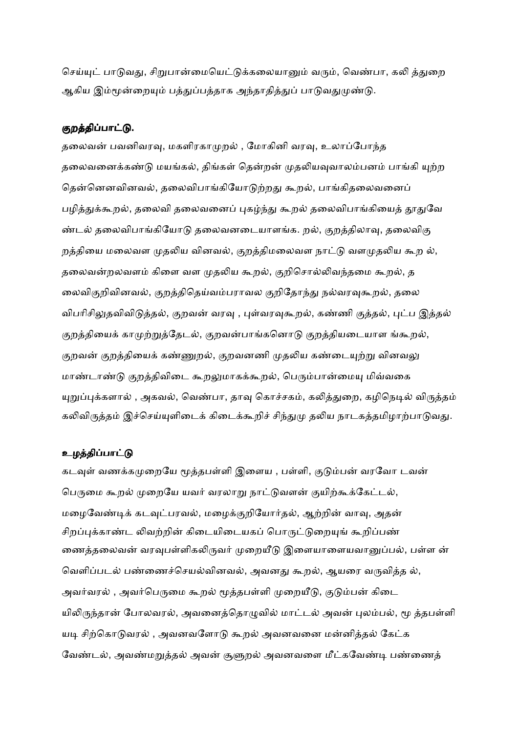செய்யுட் பாடுவது, சிறுபான்மையெட்டுக்கலையானும் வரும், வெண்பா, கலி த்துறை ஆகிய இம்மூன்றையும் பத்துப்பத்தாக அந்தாதித்துப் பாடுவதுமுண்டு.

### குறத்திப்பாட்டு.

தலைவன் பவனிவரவு, மகளிரகாமுறல் , மோகினி வரவு, உலாப்போந்த தலைவனைக்கண்டு மயங்கல், திங்கள் தென்றன் முதலியவுவாலம்பனம் பாங்கி யுற்ற தென்னெனவினவல், தலைவிபாங்கியோடுற்றது கூறல், பாங்கிதலைவனைப் பழித்துக்கூறல், தலைவி தலைவனைப் புகழ்ந்து கூறல் தலைவிபாங்கியைத் தூதுவே ண்டல் தலைவிபாங்கியோடு தலைவனடையாளங்க. றல், குறத்திலாவு, தலைவிகு றத்தியை மலைவள முதலிய வினவல், குறத்திமலைவள நாட்டு வளமுதலிய கூற ல், தலைவன்றலவளம் கிளை வள முதலிய கூறல், குறிசொல்லிவந்தமை கூறல், த லைவிகுறிவினவல், குறத்திதெய்வம்பராவல குறிதோந்து நல்வரவுகூறல், தலை விபரிசிலுதவிவிடுத்தல், குறவன் வரவு , புள்வரவுகூறல், கண்ணி குத்தல், புட்ப இத்தல் குறத்தியைக் காமுற்றுத்தேடல், குறவன்பாங்கனொடு குறத்தியடையாள ங்கூறல், குறவன் குறத்தியைக் கண்ணுறல், குறவனணி முதலிய கண்டையுற்று வினவலு மாண்டாண்டு குறத்திவிடை கூறலுமாகக்கூறல், பெரும்பான்மையு மிவ்வகை யுறுப்புக்களால் , அகவல், வெண்பா, தாவு கொச்சகம், கலித்துறை, கழிநெடில் விருத்தம் கலிவிருத்தம் இச்செய்யுளிடைக் கிடைக்கூறிச் சிந்துமு தலிய நாடகத்தமிழாற்பாடுவது.

#### உழத்திப்பாட்டு

கடவுள் வணக்கமுறையே மூத்தபள்ளி இளைய , பள்ளி, குடும்பன் வரவோ டவன் பெருமை கூறல் முறையே யவர் வரலாறு நாட்டுவளன் குயிற்கூக்கேட்டல், மழைவேண்டிக் கடவுட்பரவல், மழைக்குறியோர்தல், ஆற்றின் வாவு, அதன் சிறப்புக்காண்ட லிவற்றின் கிடையிடையகப் பொருட்டுறையுங் கூறிப்பண் ணைத்தலைவன் வரவுபள்ளிகலிருவர் முறையீடு இளையாளையவானுப்பல், பள்ள ன் வெளிப்படல் பண்ணைச்செயல்வினவல், அவனது கூறல், ஆயரை வருவித்த ல், அவர்வரல் , அவர்பெருமை கூறல் மூத்தபள்ளி முறையீடு, குடும்பன் கிடை யிலிருந்தான் போலவரல், அவனைத்தொழுவில் மாட்டல் அவன் புலம்பல், மூ த்தபள்ளி யடி சிற்கொடுவரல் , அவனவளோடு கூறல் அவனவனை மன்னித்தல் கேட்க வேண்டல், அவண்மறுத்தல் அவன் சூளுறல் அவனவளை மீட்கவேண்டி பண்ணைத்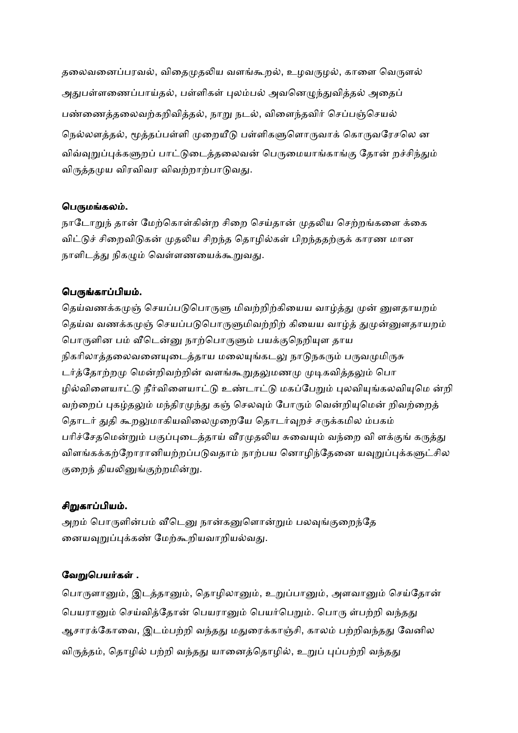தலைவனைப்பரவல், விதைமுதலிய வளங்கூறல், உழவருழல், காளை வெருளல் அதுபள்ளணைப்பாய்தல், பள்ளிகள் புலம்பல் அவனெழுந்துவித்தல் அதைப் பண்ணைத்தலைவற்கறிவித்தல், நாறு நடல், விளைந்தவிர் செப்பஞ்செயல் நெல்லளத்தல், மூத்தப்பள்ளி முறையீடு பள்ளிகளுளொருவாக் கொருவரேசலெ ன விவ்வுறுப்புக்களுறப் பாட்டுடைத்தலைவன் பெருமையாங்காங்கு தோன் றச்சிந்தும் விருத்தமுய விரவிவர விவற்றாற்பாடுவது.

## பெருமங்கலம்.

நாடோறுந் தான் மேற்கொள்கின்ற சிறை செய்தான் முதலிய செற்றங்களை க்கை விட்டுச் சிறைவிடுகன் முதலிய சிறந்த தொழில்கள் பிறந்ததற்குக் காரண மான நாளிடத்து நிகமும் வெள்ளணயைக்கூறுவது.

## பெருங்காப்பியம்.

தெய்வணக்கமுஞ் செயப்படுபொருளு மிவற்றிற்கியைய வாழ்த்து முன் னுளதாயறம் தெய்வ வணக்கமுன் செயப்படுபொருளுமிவற்றிற் கியைய வாழ்க் துமுன்னுளதாயறம் பொருளின பம் வீடென்னு நாற்பொருளும் பயக்குநெறியுள தாய நிகரிலாத்தலைவனையுடைத்தாய மலையுங்கடலு நாடுநகரும் பருவமுமிருசு டர்த்தோற்றமு மென்றிவற்றின் வளங்கூறுதலுமணமு முடிகவித்தலும் பொ ழில்விளையாட்டு நீர்விளையாட்டு உண்டாட்டு மகப்பேறும் புலவியுங்கலவியுமெ ன்றி வற்றைப் புகழ்தலும் மந்திரமுந்து கஞ் செலவும் போரும் வென்றியுமென் றிவற்றைத் தொடர் துதி கூறலுமாகியவிலைமுறையே தொடர்வுறச் சருக்கமில ம்பகம் பரிச்சேதமென்றும் பகுப்புடைத்தாய் வீரமுதலிய சுவையும் வந்றை வி ளக்குங் கருத்து விளங்கக்கற்றோரானியற்றப்படுவதாம் நாற்பய னொழிந்தேனை யவுறுப்புக்களுட்சில குறைந் தியலினுங்குற்றமின்று.

## சிறுகாப்பியம்.

அறம் பொருளின்பம் வீடெனு நான்கனுளொன்றும் பலவங்குறைந்தே னையவுறுப்புக்கண் மேற்கூறியவாறியல்வது.

## வேறுபெயர்கள் .

பொருளானும், இடத்தானும், தொழிலானும், உறுப்பானும், அளவானும் செய்தோன் பெயரானும் செய்வித்தோன் பெயரானும் பெயர்பெறும். பொரு ள்பற்றி வந்தது ஆசாரக்கோவை, இடம்பற்றி வந்தது மதுரைக்காஞ்சி, காலம் பற்றிவந்தது வேனில விருத்தம், தொழில் பற்றி வந்தது யானைத்தொழில், உறுப் புப்பற்றி வந்தது